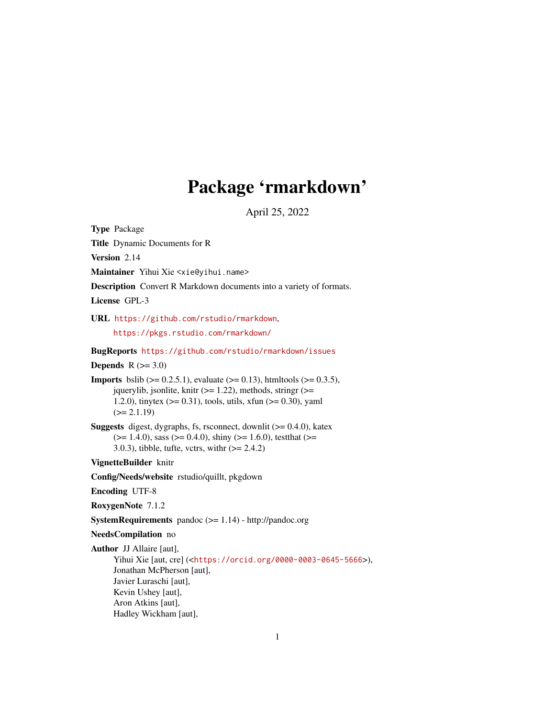# Package 'rmarkdown'

April 25, 2022

<span id="page-0-0"></span>Type Package

Title Dynamic Documents for R

Version 2.14

Maintainer Yihui Xie <xie@yihui.name>

Description Convert R Markdown documents into a variety of formats.

License GPL-3

URL <https://github.com/rstudio/rmarkdown>,

<https://pkgs.rstudio.com/rmarkdown/>

#### BugReports <https://github.com/rstudio/rmarkdown/issues>

**Depends**  $R$  ( $>= 3.0$ )

**Imports** bslib ( $>= 0.2.5.1$ ), evaluate ( $>= 0.13$ ), htmltools ( $>= 0.3.5$ ), jquerylib, jsonlite, knitr ( $>= 1.22$ ), methods, stringr ( $>=$ 1.2.0), tinytex ( $> = 0.31$ ), tools, utils, xfun ( $> = 0.30$ ), yaml  $(>= 2.1.19)$ 

**Suggests** digest, dygraphs, fs, rsconnect, downlit  $(>= 0.4.0)$ , katex  $(>= 1.4.0)$ , sass  $(>= 0.4.0)$ , shiny  $(>= 1.6.0)$ , testthat  $(>= 1.4.0)$ 3.0.3), tibble, tufte, vctrs, with  $(>= 2.4.2)$ 

VignetteBuilder knitr

Config/Needs/website rstudio/quillt, pkgdown

Encoding UTF-8

RoxygenNote 7.1.2

SystemRequirements pandoc (>= 1.14) - http://pandoc.org

NeedsCompilation no

Author JJ Allaire [aut],

Yihui Xie [aut, cre] (<<https://orcid.org/0000-0003-0645-5666>>), Jonathan McPherson [aut], Javier Luraschi [aut], Kevin Ushey [aut], Aron Atkins [aut], Hadley Wickham [aut],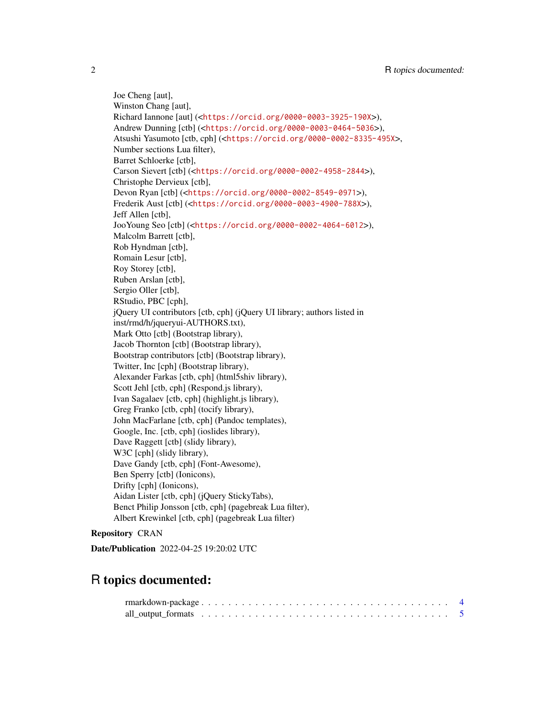Joe Cheng [aut], Winston Chang [aut], Richard Iannone [aut] (<<https://orcid.org/0000-0003-3925-190X>>), Andrew Dunning [ctb] (<<https://orcid.org/0000-0003-0464-5036>>), Atsushi Yasumoto [ctb, cph] (<<https://orcid.org/0000-0002-8335-495X>>, Number sections Lua filter), Barret Schloerke [ctb], Carson Sievert [ctb] (<<https://orcid.org/0000-0002-4958-2844>>), Christophe Dervieux [ctb], Devon Ryan [ctb] (<<https://orcid.org/0000-0002-8549-0971>>), Frederik Aust [ctb] (<<https://orcid.org/0000-0003-4900-788X>>), Jeff Allen [ctb], JooYoung Seo [ctb] (<<https://orcid.org/0000-0002-4064-6012>>), Malcolm Barrett [ctb], Rob Hyndman [ctb], Romain Lesur [ctb], Roy Storey [ctb], Ruben Arslan [ctb], Sergio Oller [ctb], RStudio, PBC [cph], jQuery UI contributors [ctb, cph] (jQuery UI library; authors listed in inst/rmd/h/jqueryui-AUTHORS.txt), Mark Otto [ctb] (Bootstrap library), Jacob Thornton [ctb] (Bootstrap library), Bootstrap contributors [ctb] (Bootstrap library), Twitter, Inc [cph] (Bootstrap library), Alexander Farkas [ctb, cph] (html5shiv library), Scott Jehl [ctb, cph] (Respond.js library), Ivan Sagalaev [ctb, cph] (highlight.js library), Greg Franko [ctb, cph] (tocify library), John MacFarlane [ctb, cph] (Pandoc templates), Google, Inc. [ctb, cph] (ioslides library), Dave Raggett [ctb] (slidy library), W3C [cph] (slidy library), Dave Gandy [ctb, cph] (Font-Awesome), Ben Sperry [ctb] (Ionicons), Drifty [cph] (Ionicons), Aidan Lister [ctb, cph] (jQuery StickyTabs), Benct Philip Jonsson [ctb, cph] (pagebreak Lua filter), Albert Krewinkel [ctb, cph] (pagebreak Lua filter)

# Repository CRAN

Date/Publication 2022-04-25 19:20:02 UTC

# R topics documented: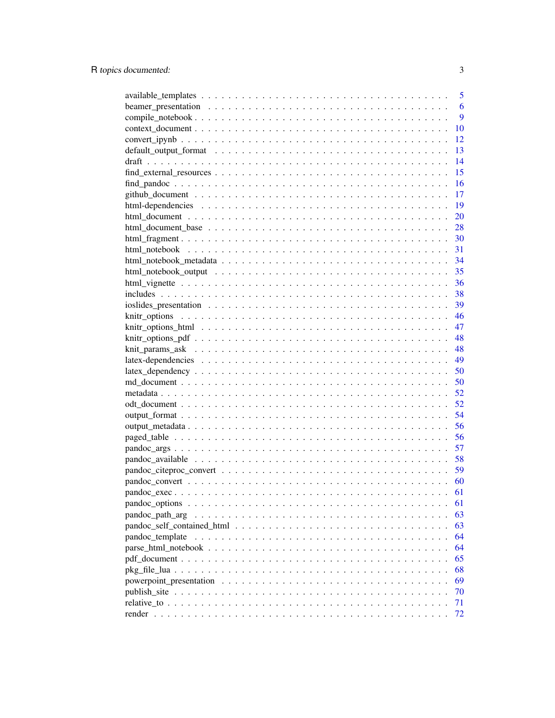|                                                                                                            | 5  |
|------------------------------------------------------------------------------------------------------------|----|
|                                                                                                            | 6  |
|                                                                                                            | 9  |
|                                                                                                            | 10 |
|                                                                                                            | 12 |
|                                                                                                            | 13 |
|                                                                                                            | 14 |
|                                                                                                            | 15 |
|                                                                                                            | 16 |
|                                                                                                            | 17 |
|                                                                                                            | 19 |
|                                                                                                            | 20 |
|                                                                                                            | 28 |
|                                                                                                            | 30 |
|                                                                                                            | 31 |
|                                                                                                            |    |
|                                                                                                            | 35 |
|                                                                                                            | 36 |
|                                                                                                            | 38 |
|                                                                                                            | 39 |
|                                                                                                            | 46 |
|                                                                                                            | 47 |
|                                                                                                            | 48 |
|                                                                                                            | 48 |
|                                                                                                            | 49 |
|                                                                                                            | 50 |
|                                                                                                            |    |
|                                                                                                            | 50 |
|                                                                                                            | 52 |
|                                                                                                            | 52 |
|                                                                                                            | 54 |
|                                                                                                            | 56 |
|                                                                                                            | 56 |
|                                                                                                            | 57 |
|                                                                                                            | 58 |
|                                                                                                            | 59 |
|                                                                                                            | 60 |
|                                                                                                            | 61 |
|                                                                                                            | 61 |
| pandoc_path_arg                                                                                            | 63 |
|                                                                                                            | 63 |
| pandoc template                                                                                            | 64 |
| $parse_html\_notebook \dots \dots \dots \dots \dots \dots \dots \dots \dots \dots \dots \dots \dots \dots$ | 64 |
|                                                                                                            | 65 |
|                                                                                                            | 68 |
|                                                                                                            | 69 |
|                                                                                                            | 70 |
|                                                                                                            | 71 |
|                                                                                                            | 72 |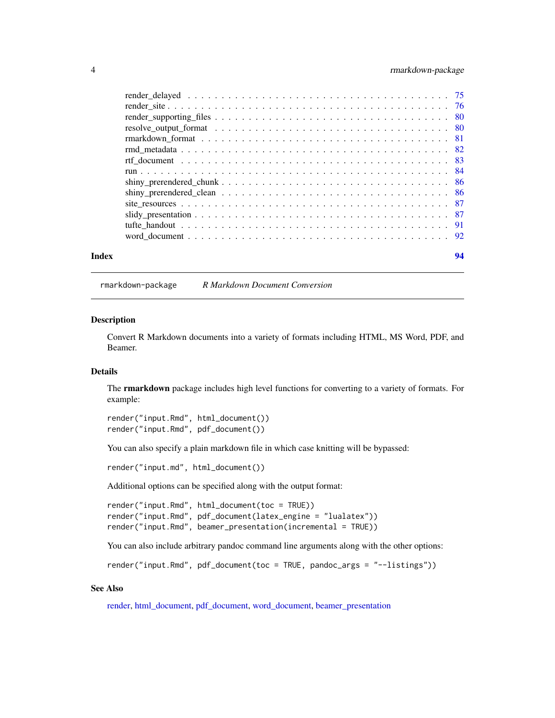# <span id="page-3-0"></span>4 rmarkdown-package

| Index | 94 |
|-------|----|
|       |    |
|       |    |
|       |    |
|       |    |
|       |    |
|       |    |
|       |    |
|       |    |
|       |    |
|       |    |
|       |    |
|       |    |
|       |    |
|       |    |

rmarkdown-package *R Markdown Document Conversion*

#### **Description**

Convert R Markdown documents into a variety of formats including HTML, MS Word, PDF, and Beamer.

# Details

The rmarkdown package includes high level functions for converting to a variety of formats. For example:

render("input.Rmd", html\_document()) render("input.Rmd", pdf\_document())

You can also specify a plain markdown file in which case knitting will be bypassed:

render("input.md", html\_document())

Additional options can be specified along with the output format:

```
render("input.Rmd", html_document(toc = TRUE))
render("input.Rmd", pdf_document(latex_engine = "lualatex"))
render("input.Rmd", beamer_presentation(incremental = TRUE))
```
You can also include arbitrary pandoc command line arguments along with the other options:

render("input.Rmd", pdf\_document(toc = TRUE, pandoc\_args = "--listings"))

#### See Also

[render,](#page-71-1) [html\\_document,](#page-19-1) [pdf\\_document,](#page-64-1) [word\\_document,](#page-91-1) [beamer\\_presentation](#page-5-1)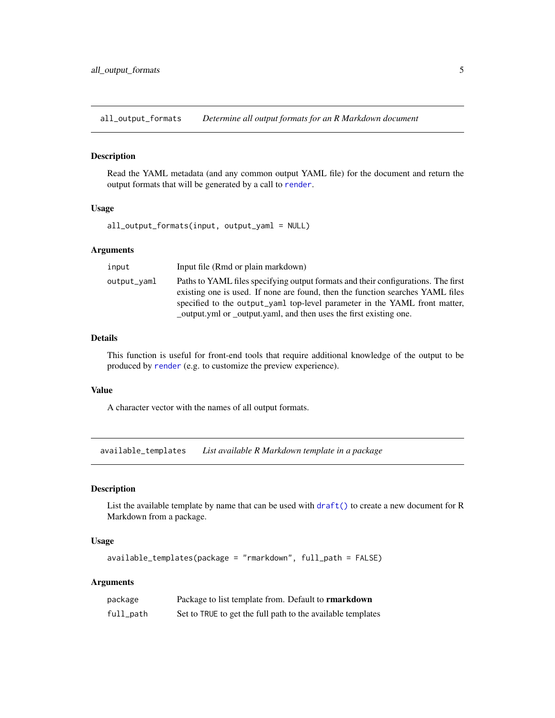<span id="page-4-0"></span>all\_output\_formats *Determine all output formats for an R Markdown document*

# Description

Read the YAML metadata (and any common output YAML file) for the document and return the output formats that will be generated by a call to [render](#page-71-1).

# Usage

all\_output\_formats(input, output\_yaml = NULL)

# Arguments

| input       | Input file (Rmd or plain markdown)                                                                                                                                                                                                                |
|-------------|---------------------------------------------------------------------------------------------------------------------------------------------------------------------------------------------------------------------------------------------------|
| output_vaml | Paths to YAML files specifying output formats and their configurations. The first<br>existing one is used. If none are found, then the function searches YAML files<br>specified to the output_yaml top-level parameter in the YAML front matter, |
|             | _output.yml or _output.yaml, and then uses the first existing one.                                                                                                                                                                                |

# Details

This function is useful for front-end tools that require additional knowledge of the output to be produced by [render](#page-71-1) (e.g. to customize the preview experience).

#### Value

A character vector with the names of all output formats.

available\_templates *List available R Markdown template in a package*

# Description

List the available template by name that can be used with  $\text{draff}()$  to create a new document for R Markdown from a package.

#### Usage

```
available_templates(package = "rmarkdown", full_path = FALSE)
```
# Arguments

| package   | Package to list template from. Default to <b>rmarkdown</b>  |
|-----------|-------------------------------------------------------------|
| full_path | Set to TRUE to get the full path to the available templates |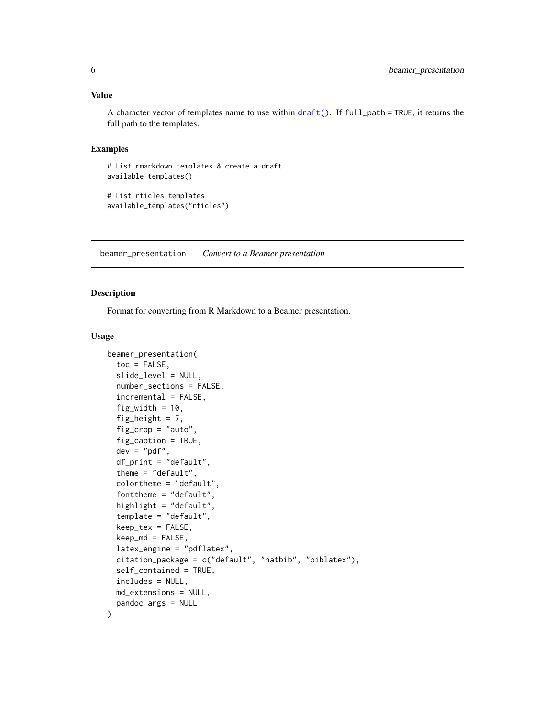#### <span id="page-5-0"></span>Value

A character vector of templates name to use within [draft\(\)](#page-13-1). If full\_path = TRUE, it returns the full path to the templates.

# Examples

```
# List rmarkdown templates & create a draft
available_templates()
```

```
# List rticles templates
available_templates("rticles")
```
<span id="page-5-1"></span>beamer\_presentation *Convert to a Beamer presentation*

#### Description

Format for converting from R Markdown to a Beamer presentation.

#### Usage

```
beamer_presentation(
  toc = FALSE,slide_level = NULL,
  number_sections = FALSE,
  incremental = FALSE,fig_width = 10,
  fig_height = 7,
  fig_crop = "auto",
  fig_caption = TRUE,
  dev = "pdf",df_print = "default",
  theme = "default",
  colortheme = "default",
  fonttheme = "default",
  highlight = "default",
  template = "default",
  keep_tex = FALSE,
  keep\_md = FALSE,latex_engine = "pdflatex",
  citation_package = c("default", "natbib", "biblatex"),
  self_contained = TRUE,
  includes = NULL,
  md_extensions = NULL,
  pandoc_args = NULL
)
```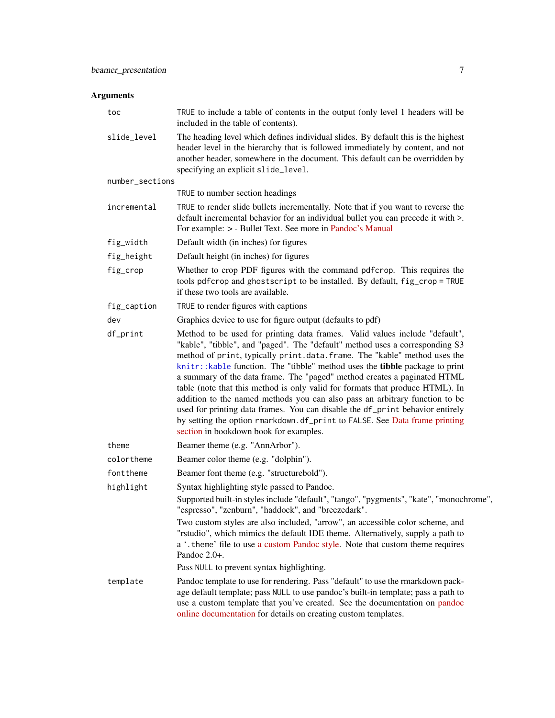# Arguments

| toc             | TRUE to include a table of contents in the output (only level 1 headers will be<br>included in the table of contents).                                                                                                                                                                                                                                                                                                                                                                                                                                                                                                                                                                                                                                                      |
|-----------------|-----------------------------------------------------------------------------------------------------------------------------------------------------------------------------------------------------------------------------------------------------------------------------------------------------------------------------------------------------------------------------------------------------------------------------------------------------------------------------------------------------------------------------------------------------------------------------------------------------------------------------------------------------------------------------------------------------------------------------------------------------------------------------|
| slide_level     | The heading level which defines individual slides. By default this is the highest<br>header level in the hierarchy that is followed immediately by content, and not<br>another header, somewhere in the document. This default can be overridden by<br>specifying an explicit slide_level.                                                                                                                                                                                                                                                                                                                                                                                                                                                                                  |
| number_sections |                                                                                                                                                                                                                                                                                                                                                                                                                                                                                                                                                                                                                                                                                                                                                                             |
|                 | TRUE to number section headings                                                                                                                                                                                                                                                                                                                                                                                                                                                                                                                                                                                                                                                                                                                                             |
| incremental     | TRUE to render slide bullets incrementally. Note that if you want to reverse the<br>default incremental behavior for an individual bullet you can precede it with >.<br>For example: > - Bullet Text. See more in Pandoc's Manual                                                                                                                                                                                                                                                                                                                                                                                                                                                                                                                                           |
| fig_width       | Default width (in inches) for figures                                                                                                                                                                                                                                                                                                                                                                                                                                                                                                                                                                                                                                                                                                                                       |
| fig_height      | Default height (in inches) for figures                                                                                                                                                                                                                                                                                                                                                                                                                                                                                                                                                                                                                                                                                                                                      |
| fig_crop        | Whether to crop PDF figures with the command pdf crop. This requires the<br>tools pdfcrop and ghostscript to be installed. By default, fig_crop = TRUE<br>if these two tools are available.                                                                                                                                                                                                                                                                                                                                                                                                                                                                                                                                                                                 |
| fig_caption     | TRUE to render figures with captions                                                                                                                                                                                                                                                                                                                                                                                                                                                                                                                                                                                                                                                                                                                                        |
| dev             | Graphics device to use for figure output (defaults to pdf)                                                                                                                                                                                                                                                                                                                                                                                                                                                                                                                                                                                                                                                                                                                  |
| df_print        | Method to be used for printing data frames. Valid values include "default",<br>"kable", "tibble", and "paged". The "default" method uses a corresponding S3<br>method of print, typically print.data.frame. The "kable" method uses the<br>knitr::kable function. The "tibble" method uses the tibble package to print<br>a summary of the data frame. The "paged" method creates a paginated HTML<br>table (note that this method is only valid for formats that produce HTML). In<br>addition to the named methods you can also pass an arbitrary function to be<br>used for printing data frames. You can disable the df_print behavior entirely<br>by setting the option rmarkdown.df_print to FALSE. See Data frame printing<br>section in bookdown book for examples. |
| theme           | Beamer theme (e.g. "AnnArbor").                                                                                                                                                                                                                                                                                                                                                                                                                                                                                                                                                                                                                                                                                                                                             |
| colortheme      | Beamer color theme (e.g. "dolphin").                                                                                                                                                                                                                                                                                                                                                                                                                                                                                                                                                                                                                                                                                                                                        |
| fonttheme       | Beamer font theme (e.g. "structurebold").                                                                                                                                                                                                                                                                                                                                                                                                                                                                                                                                                                                                                                                                                                                                   |
| highlight       | Syntax highlighting style passed to Pandoc.<br>Supported built-in styles include "default", "tango", "pygments", "kate", "monochrome",<br>"espresso", "zenburn", "haddock", and "breezedark".                                                                                                                                                                                                                                                                                                                                                                                                                                                                                                                                                                               |
|                 | Two custom styles are also included, "arrow", an accessible color scheme, and<br>"rstudio", which mimics the default IDE theme. Alternatively, supply a path to<br>a '. theme' file to use a custom Pandoc style. Note that custom theme requires<br>Pandoc 2.0+.                                                                                                                                                                                                                                                                                                                                                                                                                                                                                                           |
|                 | Pass NULL to prevent syntax highlighting.                                                                                                                                                                                                                                                                                                                                                                                                                                                                                                                                                                                                                                                                                                                                   |
| template        | Pandoc template to use for rendering. Pass "default" to use the rmarkdown pack-<br>age default template; pass NULL to use pandoc's built-in template; pass a path to<br>use a custom template that you've created. See the documentation on pandoc<br>online documentation for details on creating custom templates.                                                                                                                                                                                                                                                                                                                                                                                                                                                        |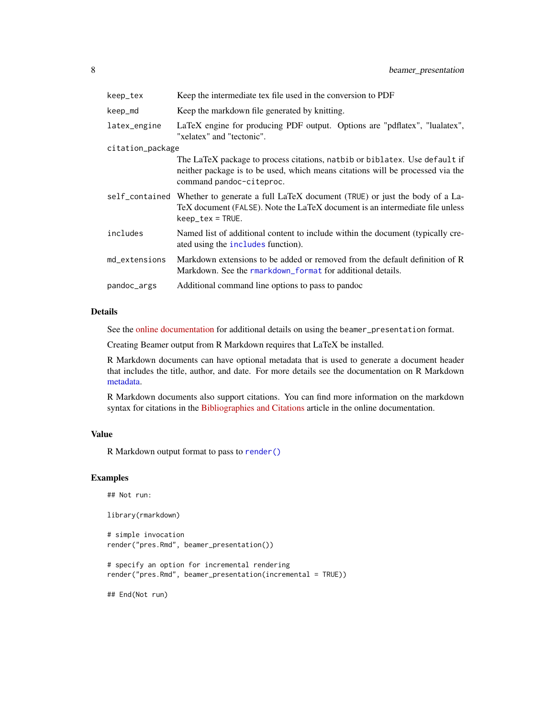| keep_tex         | Keep the intermediate tex file used in the conversion to PDF                                                                                                                                     |
|------------------|--------------------------------------------------------------------------------------------------------------------------------------------------------------------------------------------------|
| keep_md          | Keep the markdown file generated by knitting.                                                                                                                                                    |
| latex_engine     | LaTeX engine for producing PDF output. Options are "pdflatex", "lualatex",<br>"xelatex" and "tectonic".                                                                                          |
| citation_package |                                                                                                                                                                                                  |
|                  | The LaTeX package to process citations, natbib or biblatex. Use default if<br>neither package is to be used, which means citations will be processed via the<br>command pandoc-citeproc.         |
|                  | self_contained Whether to generate a full LaTeX document (TRUE) or just the body of a La-<br>TeX document (FALSE). Note the LaTeX document is an intermediate file unless<br>$keep\_tex = TRUE.$ |
| includes         | Named list of additional content to include within the document (typically cre-<br>ated using the includes function).                                                                            |
| md_extensions    | Markdown extensions to be added or removed from the default definition of R<br>Markdown. See the rmarkdown format for additional details.                                                        |
| pandoc_args      | Additional command line options to pass to pandoc                                                                                                                                                |

# Details

See the [online documentation](https://bookdown.org/yihui/rmarkdown/beamer-presentation.html) for additional details on using the beamer\_presentation format.

Creating Beamer output from R Markdown requires that LaTeX be installed.

R Markdown documents can have optional metadata that is used to generate a document header that includes the title, author, and date. For more details see the documentation on R Markdown [metadata.](#page-81-1)

R Markdown documents also support citations. You can find more information on the markdown syntax for citations in the [Bibliographies and Citations](https://pandoc.org/MANUAL.html#citations) article in the online documentation.

# Value

R Markdown output format to pass to [render\(\)](#page-71-1)

# Examples

```
## Not run:
library(rmarkdown)
# simple invocation
```

```
render("pres.Rmd", beamer_presentation())
```

```
# specify an option for incremental rendering
render("pres.Rmd", beamer_presentation(incremental = TRUE))
```
## End(Not run)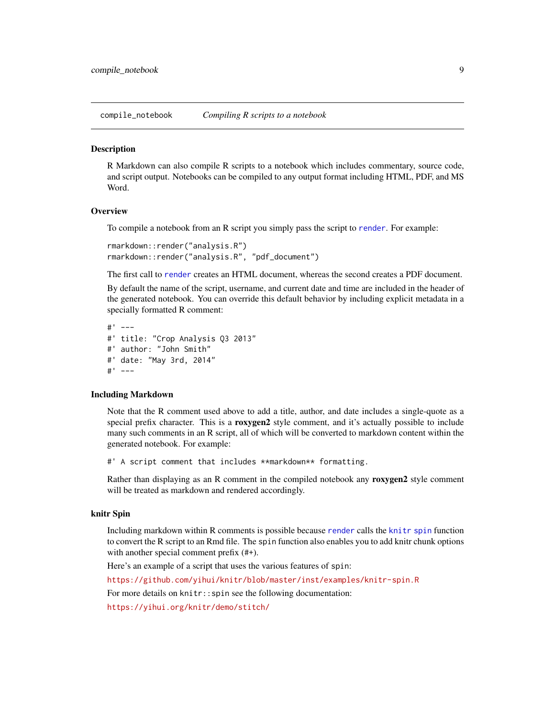<span id="page-8-0"></span>compile\_notebook *Compiling R scripts to a notebook*

#### Description

R Markdown can also compile R scripts to a notebook which includes commentary, source code, and script output. Notebooks can be compiled to any output format including HTML, PDF, and MS Word.

#### **Overview**

To compile a notebook from an R script you simply pass the script to [render](#page-71-1). For example:

```
rmarkdown::render("analysis.R")
rmarkdown::render("analysis.R", "pdf_document")
```
The first call to [render](#page-71-1) creates an HTML document, whereas the second creates a PDF document.

By default the name of the script, username, and current date and time are included in the header of the generated notebook. You can override this default behavior by including explicit metadata in a specially formatted R comment:

```
#' ---
#' title: "Crop Analysis Q3 2013"
#' author: "John Smith"
#' date: "May 3rd, 2014"
#' ---
```
#### Including Markdown

Note that the R comment used above to add a title, author, and date includes a single-quote as a special prefix character. This is a roxygen2 style comment, and it's actually possible to include many such comments in an R script, all of which will be converted to markdown content within the generated notebook. For example:

#' A script comment that includes \*\*markdown\*\* formatting.

Rather than displaying as an R comment in the compiled notebook any **roxygen2** style comment will be treated as markdown and rendered accordingly.

#### knitr Spin

Including markdown within R comments is possible because [render](#page-71-1) calls the [knitr spin](#page-0-0) function to convert the R script to an Rmd file. The spin function also enables you to add knitr chunk options with another special comment prefix (#+).

Here's an example of a script that uses the various features of spin:

<https://github.com/yihui/knitr/blob/master/inst/examples/knitr-spin.R>

For more details on knitr:: spin see the following documentation:

<https://yihui.org/knitr/demo/stitch/>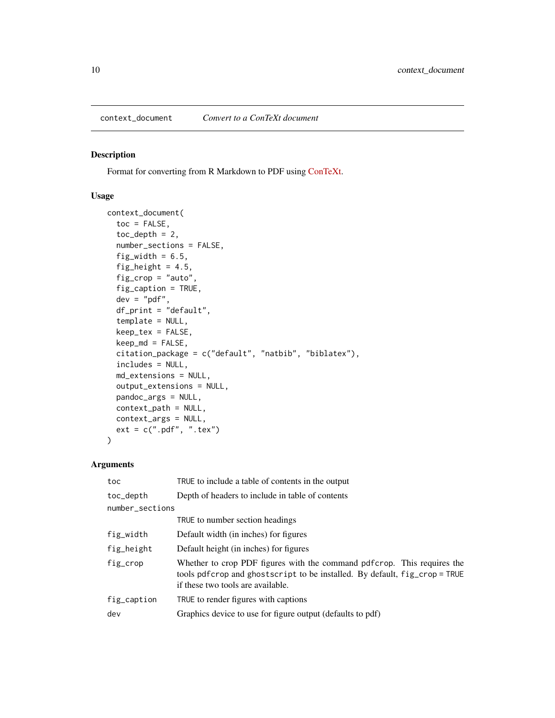#### <span id="page-9-0"></span>Description

Format for converting from R Markdown to PDF using [ConTeXt.](https://wiki.contextgarden.net/Main_Page)

# Usage

```
context_document(
  toc = FALSE,toc\_depth = 2,
  number_sections = FALSE,
  fig_width = 6.5,
  fig_height = 4.5,
  fig_crop = "auto",
  fig_caption = TRUE,
  dev = "pdf",
  df_print = "default",
  template = NULL,
  keep_tex = FALSE,
  keep\_md = FALSE,citation_package = c("default", "natbib", "biblatex"),
  includes = NULL,
 md_extensions = NULL,
 output_extensions = NULL,
  pandoc_args = NULL,
  context_path = NULL,
 context_args = NULL,
 ext = c(".pdf", ".tex")\lambda
```
# Arguments

| toc             | TRUE to include a table of contents in the output                                                                                                                                           |
|-----------------|---------------------------------------------------------------------------------------------------------------------------------------------------------------------------------------------|
| toc_depth       | Depth of headers to include in table of contents                                                                                                                                            |
| number_sections |                                                                                                                                                                                             |
|                 | TRUE to number section headings                                                                                                                                                             |
| fig_width       | Default width (in inches) for figures                                                                                                                                                       |
| fig_height      | Default height (in inches) for figures                                                                                                                                                      |
| fig_crop        | Whether to crop PDF figures with the command pdf crop. This requires the<br>tools pdfcrop and ghostscript to be installed. By default, fig_crop = TRUE<br>if these two tools are available. |
| fig_caption     | TRUE to render figures with captions                                                                                                                                                        |
| dev             | Graphics device to use for figure output (defaults to pdf)                                                                                                                                  |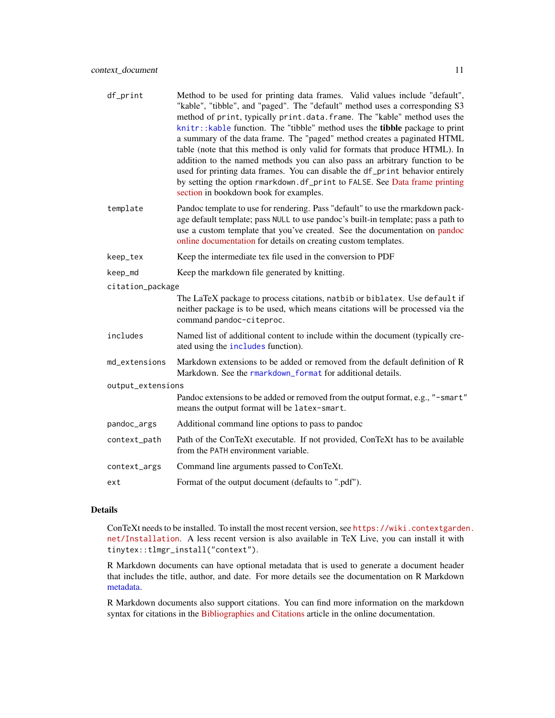| df_print          | Method to be used for printing data frames. Valid values include "default",<br>"kable", "tibble", and "paged". The "default" method uses a corresponding S3<br>method of print, typically print.data.frame. The "kable" method uses the<br>knitr:: kable function. The "tibble" method uses the <b>tibble</b> package to print<br>a summary of the data frame. The "paged" method creates a paginated HTML<br>table (note that this method is only valid for formats that produce HTML). In<br>addition to the named methods you can also pass an arbitrary function to be<br>used for printing data frames. You can disable the df_print behavior entirely<br>by setting the option rmarkdown.df_print to FALSE. See Data frame printing<br>section in bookdown book for examples. |
|-------------------|-------------------------------------------------------------------------------------------------------------------------------------------------------------------------------------------------------------------------------------------------------------------------------------------------------------------------------------------------------------------------------------------------------------------------------------------------------------------------------------------------------------------------------------------------------------------------------------------------------------------------------------------------------------------------------------------------------------------------------------------------------------------------------------|
| template          | Pandoc template to use for rendering. Pass "default" to use the rmarkdown pack-<br>age default template; pass NULL to use pandoc's built-in template; pass a path to<br>use a custom template that you've created. See the documentation on pandoc<br>online documentation for details on creating custom templates.                                                                                                                                                                                                                                                                                                                                                                                                                                                                |
| keep_tex          | Keep the intermediate tex file used in the conversion to PDF                                                                                                                                                                                                                                                                                                                                                                                                                                                                                                                                                                                                                                                                                                                        |
| keep_md           | Keep the markdown file generated by knitting.                                                                                                                                                                                                                                                                                                                                                                                                                                                                                                                                                                                                                                                                                                                                       |
| citation_package  |                                                                                                                                                                                                                                                                                                                                                                                                                                                                                                                                                                                                                                                                                                                                                                                     |
|                   | The LaTeX package to process citations, natbib or biblatex. Use default if<br>neither package is to be used, which means citations will be processed via the<br>command pandoc-citeproc.                                                                                                                                                                                                                                                                                                                                                                                                                                                                                                                                                                                            |
| includes          | Named list of additional content to include within the document (typically cre-<br>ated using the includes function).                                                                                                                                                                                                                                                                                                                                                                                                                                                                                                                                                                                                                                                               |
| md_extensions     | Markdown extensions to be added or removed from the default definition of R<br>Markdown. See the rmarkdown_format for additional details.                                                                                                                                                                                                                                                                                                                                                                                                                                                                                                                                                                                                                                           |
| output_extensions |                                                                                                                                                                                                                                                                                                                                                                                                                                                                                                                                                                                                                                                                                                                                                                                     |
|                   | Pandoc extensions to be added or removed from the output format, e.g., "-smart"<br>means the output format will be latex-smart.                                                                                                                                                                                                                                                                                                                                                                                                                                                                                                                                                                                                                                                     |
| pandoc_args       | Additional command line options to pass to pandoc                                                                                                                                                                                                                                                                                                                                                                                                                                                                                                                                                                                                                                                                                                                                   |
| context_path      | Path of the ConTeXt executable. If not provided, ConTeXt has to be available<br>from the PATH environment variable.                                                                                                                                                                                                                                                                                                                                                                                                                                                                                                                                                                                                                                                                 |
| context_args      | Command line arguments passed to ConTeXt.                                                                                                                                                                                                                                                                                                                                                                                                                                                                                                                                                                                                                                                                                                                                           |
| ext               | Format of the output document (defaults to ".pdf").                                                                                                                                                                                                                                                                                                                                                                                                                                                                                                                                                                                                                                                                                                                                 |

# Details

ConTeXt needs to be installed. To install the most recent version, see [https://wiki.contextgarde](https://wiki.contextgarden.net/Installation)n. [net/Installation](https://wiki.contextgarden.net/Installation). A less recent version is also available in TeX Live, you can install it with tinytex::tlmgr\_install("context").

R Markdown documents can have optional metadata that is used to generate a document header that includes the title, author, and date. For more details see the documentation on R Markdown [metadata.](#page-81-1)

R Markdown documents also support citations. You can find more information on the markdown syntax for citations in the [Bibliographies and Citations](https://pandoc.org/MANUAL.html#citations) article in the online documentation.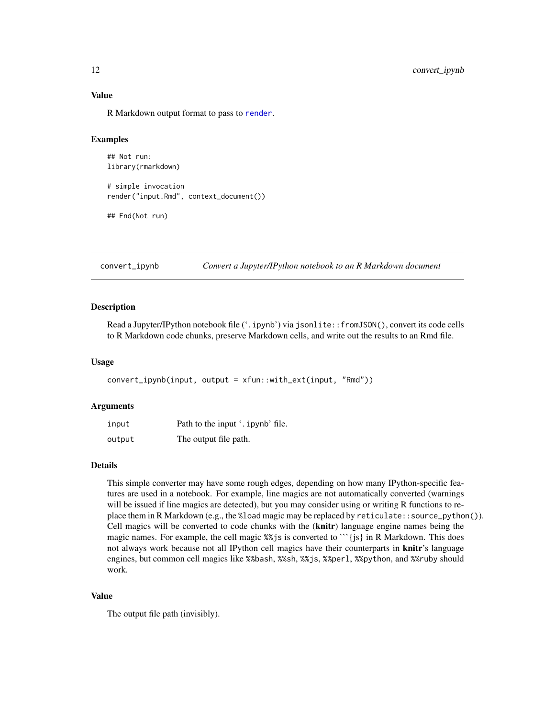#### Value

R Markdown output format to pass to [render](#page-71-1).

# Examples

```
## Not run:
library(rmarkdown)
# simple invocation
render("input.Rmd", context_document())
```

```
## End(Not run)
```
convert\_ipynb *Convert a Jupyter/IPython notebook to an R Markdown document*

#### Description

Read a Jupyter/IPython notebook file ('.ipynb') via jsonlite::fromJSON(), convert its code cells to R Markdown code chunks, preserve Markdown cells, and write out the results to an Rmd file.

#### Usage

```
convert_ipynb(input, output = xfun::with_ext(input, "Rmd"))
```
#### Arguments

| input  | Path to the input '. ipynb' file. |
|--------|-----------------------------------|
| output | The output file path.             |

# Details

This simple converter may have some rough edges, depending on how many IPython-specific features are used in a notebook. For example, line magics are not automatically converted (warnings will be issued if line magics are detected), but you may consider using or writing R functions to replace them in R Markdown (e.g., the %load magic may be replaced by reticulate::source\_python()). Cell magics will be converted to code chunks with the (knitr) language engine names being the magic names. For example, the cell magic  $\frac{8}{3}$  is converted to ``{js} in R Markdown. This does not always work because not all IPython cell magics have their counterparts in **knitr**'s language engines, but common cell magics like %%bash, %%sh, %%js, %%perl, %%python, and %%ruby should work.

#### Value

The output file path (invisibly).

<span id="page-11-0"></span>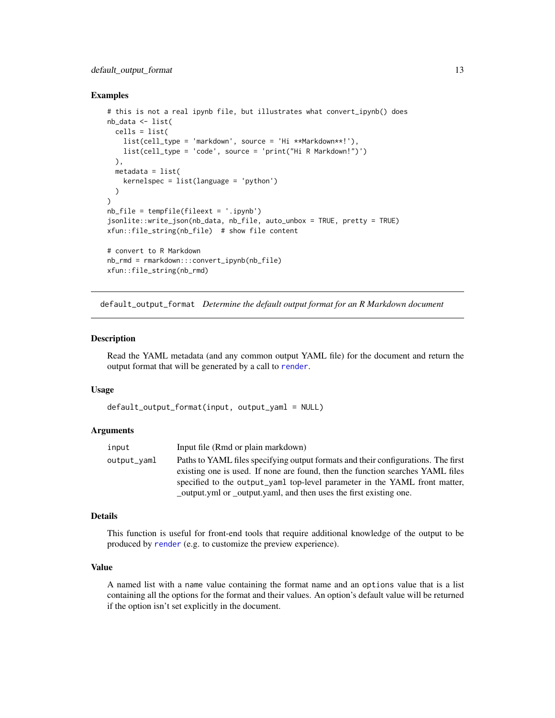# <span id="page-12-0"></span>default\_output\_format 13

#### Examples

```
# this is not a real ipynb file, but illustrates what convert_ipynb() does
nb_data <- list(
  cells = list(
   list(cell_type = 'markdown', source = 'Hi **Markdown**!'),
   list(cell_type = 'code', source = 'print("Hi R Markdown!")')
  ),
  metadata = list(kernelspec = list(language = 'python')
  )
)
nb_file = tempfile(fileext = '.ipynb')
jsonlite::write_json(nb_data, nb_file, auto_unbox = TRUE, pretty = TRUE)
xfun::file_string(nb_file) # show file content
# convert to R Markdown
nb_rmd = rmarkdown:::convert_ipynb(nb_file)
xfun::file_string(nb_rmd)
```
default\_output\_format *Determine the default output format for an R Markdown document*

# Description

Read the YAML metadata (and any common output YAML file) for the document and return the output format that will be generated by a call to [render](#page-71-1).

#### Usage

```
default_output_format(input, output_yaml = NULL)
```
#### Arguments

| input       | Input file (Rmd or plain markdown)                                                |
|-------------|-----------------------------------------------------------------------------------|
| output_vaml | Paths to YAML files specifying output formats and their configurations. The first |
|             | existing one is used. If none are found, then the function searches YAML files    |
|             | specified to the output_yaml top-level parameter in the YAML front matter,        |
|             | output.yml or _output.yaml, and then uses the first existing one.                 |

#### Details

This function is useful for front-end tools that require additional knowledge of the output to be produced by [render](#page-71-1) (e.g. to customize the preview experience).

# Value

A named list with a name value containing the format name and an options value that is a list containing all the options for the format and their values. An option's default value will be returned if the option isn't set explicitly in the document.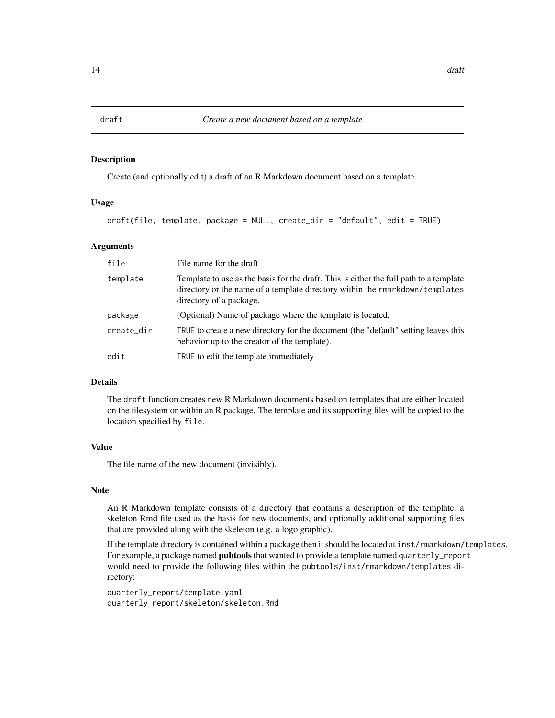<span id="page-13-1"></span><span id="page-13-0"></span>

# Description

Create (and optionally edit) a draft of an R Markdown document based on a template.

#### Usage

```
draft(file, template, package = NULL, create_dir = "default", edit = TRUE)
```
#### Arguments

| file       | File name for the draft                                                                                                                                                                           |
|------------|---------------------------------------------------------------------------------------------------------------------------------------------------------------------------------------------------|
| template   | Template to use as the basis for the draft. This is either the full path to a template<br>directory or the name of a template directory within the rmarkdown/templates<br>directory of a package. |
| package    | (Optional) Name of package where the template is located.                                                                                                                                         |
| create_dir | TRUE to create a new directory for the document (the "default" setting leaves this<br>behavior up to the creator of the template).                                                                |
| edit       | TRUE to edit the template immediately                                                                                                                                                             |

# Details

The draft function creates new R Markdown documents based on templates that are either located on the filesystem or within an R package. The template and its supporting files will be copied to the location specified by file.

#### Value

The file name of the new document (invisibly).

#### Note

An R Markdown template consists of a directory that contains a description of the template, a skeleton Rmd file used as the basis for new documents, and optionally additional supporting files that are provided along with the skeleton (e.g. a logo graphic).

If the template directory is contained within a package then it should be located at inst/rmarkdown/templates. For example, a package named **pubtools** that wanted to provide a template named quarterly\_report would need to provide the following files within the pubtools/inst/rmarkdown/templates directory:

quarterly\_report/template.yaml quarterly\_report/skeleton/skeleton.Rmd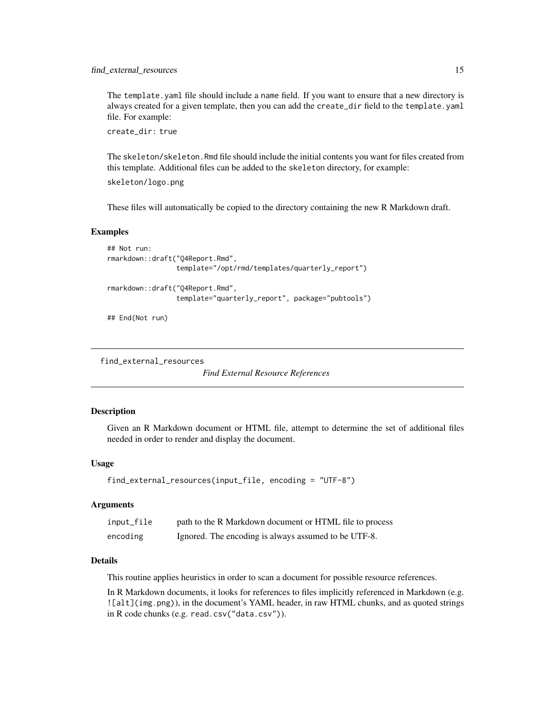<span id="page-14-0"></span>The template.yaml file should include a name field. If you want to ensure that a new directory is always created for a given template, then you can add the create\_dir field to the template.yaml file. For example:

create\_dir: true

The skeleton/skeleton.Rmd file should include the initial contents you want for files created from this template. Additional files can be added to the skeleton directory, for example: skeleton/logo.png

These files will automatically be copied to the directory containing the new R Markdown draft.

#### Examples

```
## Not run:
rmarkdown::draft("Q4Report.Rmd",
                 template="/opt/rmd/templates/quarterly_report")
rmarkdown::draft("Q4Report.Rmd",
                 template="quarterly_report", package="pubtools")
```
## End(Not run)

```
find_external_resources
```
*Find External Resource References*

#### **Description**

Given an R Markdown document or HTML file, attempt to determine the set of additional files needed in order to render and display the document.

#### Usage

```
find_external_resources(input_file, encoding = "UTF-8")
```
### Arguments

| input_file | path to the R Markdown document or HTML file to process |
|------------|---------------------------------------------------------|
| encoding   | Ignored. The encoding is always assumed to be UTF-8.    |

# **Details**

This routine applies heuristics in order to scan a document for possible resource references.

In R Markdown documents, it looks for references to files implicitly referenced in Markdown (e.g. ![alt](img.png)), in the document's YAML header, in raw HTML chunks, and as quoted strings in R code chunks (e.g. read.csv("data.csv")).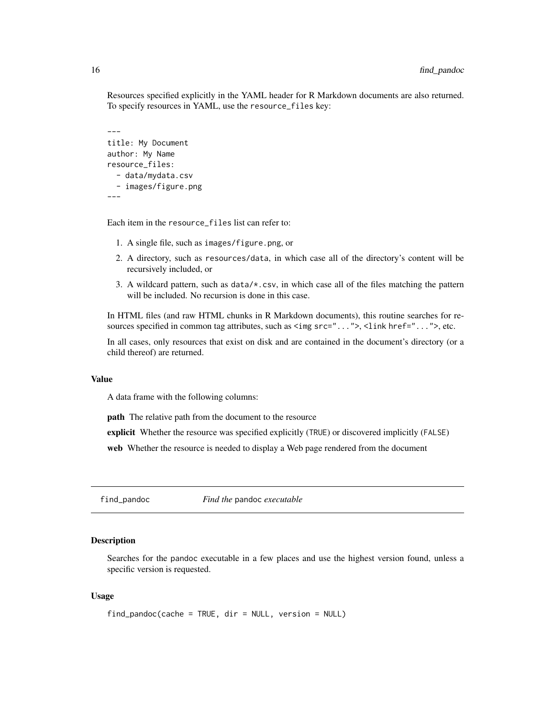<span id="page-15-0"></span>Resources specified explicitly in the YAML header for R Markdown documents are also returned. To specify resources in YAML, use the resource\_files key:

```
---
title: My Document
author: My Name
resource_files:
  - data/mydata.csv
  - images/figure.png
---
```
Each item in the resource\_files list can refer to:

- 1. A single file, such as images/figure.png, or
- 2. A directory, such as resources/data, in which case all of the directory's content will be recursively included, or
- 3. A wildcard pattern, such as data/\*.csv, in which case all of the files matching the pattern will be included. No recursion is done in this case.

In HTML files (and raw HTML chunks in R Markdown documents), this routine searches for resources specified in common tag attributes, such as  $\langle \text{img src}^{-1} \dots \rangle$ ,  $\langle \text{link href}^{-1} \dots \rangle$ , etc.

In all cases, only resources that exist on disk and are contained in the document's directory (or a child thereof) are returned.

#### Value

A data frame with the following columns:

path The relative path from the document to the resource

explicit Whether the resource was specified explicitly (TRUE) or discovered implicitly (FALSE)

web Whether the resource is needed to display a Web page rendered from the document

find\_pandoc *Find the* pandoc *executable*

#### **Description**

Searches for the pandoc executable in a few places and use the highest version found, unless a specific version is requested.

# Usage

```
find_pandoc(cache = TRUE, dir = NULL, version = NULL)
```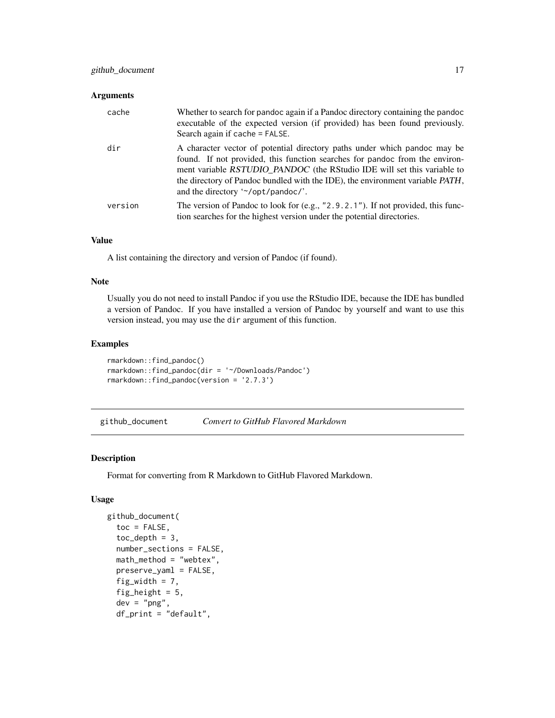#### <span id="page-16-0"></span>Arguments

| cache   | Whether to search for pandoc again if a Pandoc directory containing the pandoc<br>executable of the expected version (if provided) has been found previously.<br>Search again if cache = FALSE.                                                                                                                                                            |
|---------|------------------------------------------------------------------------------------------------------------------------------------------------------------------------------------------------------------------------------------------------------------------------------------------------------------------------------------------------------------|
| dir     | A character vector of potential directory paths under which pandoc may be<br>found. If not provided, this function searches for pandoc from the environ-<br>ment variable RSTUDIO PANDOC (the RStudio IDE will set this variable to<br>the directory of Pandoc bundled with the IDE), the environment variable PATH,<br>and the directory '~/opt/pandoc/'. |
| version | The version of Pandoc to look for (e.g., "2.9.2.1"). If not provided, this func-<br>tion searches for the highest version under the potential directories.                                                                                                                                                                                                 |

# Value

A list containing the directory and version of Pandoc (if found).

#### Note

Usually you do not need to install Pandoc if you use the RStudio IDE, because the IDE has bundled a version of Pandoc. If you have installed a version of Pandoc by yourself and want to use this version instead, you may use the dir argument of this function.

# Examples

```
rmarkdown::find_pandoc()
rmarkdown::find_pandoc(dir = '~/Downloads/Pandoc')
rmarkdown::find_pandoc(version = '2.7.3')
```
github\_document *Convert to GitHub Flavored Markdown*

#### Description

Format for converting from R Markdown to GitHub Flavored Markdown.

# Usage

```
github_document(
  toc = FALSE,toc\_depth = 3,
  number_sections = FALSE,
 math_method = "webtex",
 preserve_yaml = FALSE,
  fig_width = 7,
  fig_height = 5,
  dev = "png",df_print = "default",
```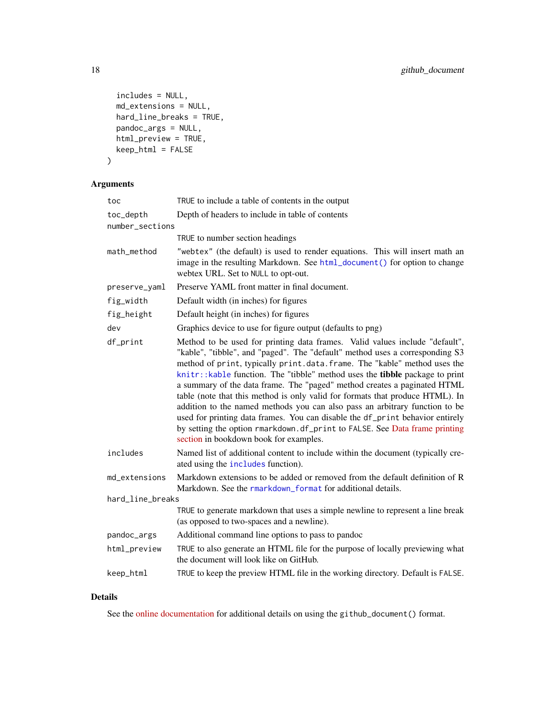```
includes = NULL,
 md_extensions = NULL,
 hard_line_breaks = TRUE,
 pandoc_args = NULL,
 html_preview = TRUE,
 keep_html = FALSE
)
```
# Arguments

| toc              | TRUE to include a table of contents in the output                                                                                                                                                                                                                                                                                                                                                                                                                                                                                                                                                                                                                                                                                                                            |
|------------------|------------------------------------------------------------------------------------------------------------------------------------------------------------------------------------------------------------------------------------------------------------------------------------------------------------------------------------------------------------------------------------------------------------------------------------------------------------------------------------------------------------------------------------------------------------------------------------------------------------------------------------------------------------------------------------------------------------------------------------------------------------------------------|
| toc_depth        | Depth of headers to include in table of contents                                                                                                                                                                                                                                                                                                                                                                                                                                                                                                                                                                                                                                                                                                                             |
| number_sections  |                                                                                                                                                                                                                                                                                                                                                                                                                                                                                                                                                                                                                                                                                                                                                                              |
|                  | TRUE to number section headings                                                                                                                                                                                                                                                                                                                                                                                                                                                                                                                                                                                                                                                                                                                                              |
| math_method      | "webtex" (the default) is used to render equations. This will insert math an<br>image in the resulting Markdown. See html_document() for option to change<br>webtex URL. Set to NULL to opt-out.                                                                                                                                                                                                                                                                                                                                                                                                                                                                                                                                                                             |
| preserve_yaml    | Preserve YAML front matter in final document.                                                                                                                                                                                                                                                                                                                                                                                                                                                                                                                                                                                                                                                                                                                                |
| fig_width        | Default width (in inches) for figures                                                                                                                                                                                                                                                                                                                                                                                                                                                                                                                                                                                                                                                                                                                                        |
| fig_height       | Default height (in inches) for figures                                                                                                                                                                                                                                                                                                                                                                                                                                                                                                                                                                                                                                                                                                                                       |
| dev              | Graphics device to use for figure output (defaults to png)                                                                                                                                                                                                                                                                                                                                                                                                                                                                                                                                                                                                                                                                                                                   |
| df_print         | Method to be used for printing data frames. Valid values include "default",<br>"kable", "tibble", and "paged". The "default" method uses a corresponding S3<br>method of print, typically print.data.frame. The "kable" method uses the<br>knitr:: kable function. The "tibble" method uses the tibble package to print<br>a summary of the data frame. The "paged" method creates a paginated HTML<br>table (note that this method is only valid for formats that produce HTML). In<br>addition to the named methods you can also pass an arbitrary function to be<br>used for printing data frames. You can disable the df_print behavior entirely<br>by setting the option rmarkdown.df_print to FALSE. See Data frame printing<br>section in bookdown book for examples. |
| includes         | Named list of additional content to include within the document (typically cre-<br>ated using the includes function).                                                                                                                                                                                                                                                                                                                                                                                                                                                                                                                                                                                                                                                        |
| md_extensions    | Markdown extensions to be added or removed from the default definition of R<br>Markdown. See the rmarkdown_format for additional details.                                                                                                                                                                                                                                                                                                                                                                                                                                                                                                                                                                                                                                    |
| hard_line_breaks |                                                                                                                                                                                                                                                                                                                                                                                                                                                                                                                                                                                                                                                                                                                                                                              |
|                  | TRUE to generate markdown that uses a simple newline to represent a line break<br>(as opposed to two-spaces and a newline).                                                                                                                                                                                                                                                                                                                                                                                                                                                                                                                                                                                                                                                  |
| pandoc_args      | Additional command line options to pass to pandoc                                                                                                                                                                                                                                                                                                                                                                                                                                                                                                                                                                                                                                                                                                                            |
| html_preview     | TRUE to also generate an HTML file for the purpose of locally previewing what<br>the document will look like on GitHub.                                                                                                                                                                                                                                                                                                                                                                                                                                                                                                                                                                                                                                                      |
| keep_html        | TRUE to keep the preview HTML file in the working directory. Default is FALSE.                                                                                                                                                                                                                                                                                                                                                                                                                                                                                                                                                                                                                                                                                               |
|                  |                                                                                                                                                                                                                                                                                                                                                                                                                                                                                                                                                                                                                                                                                                                                                                              |

# Details

See the [online documentation](https://rmarkdown.rstudio.com/github_document_format.html) for additional details on using the github\_document() format.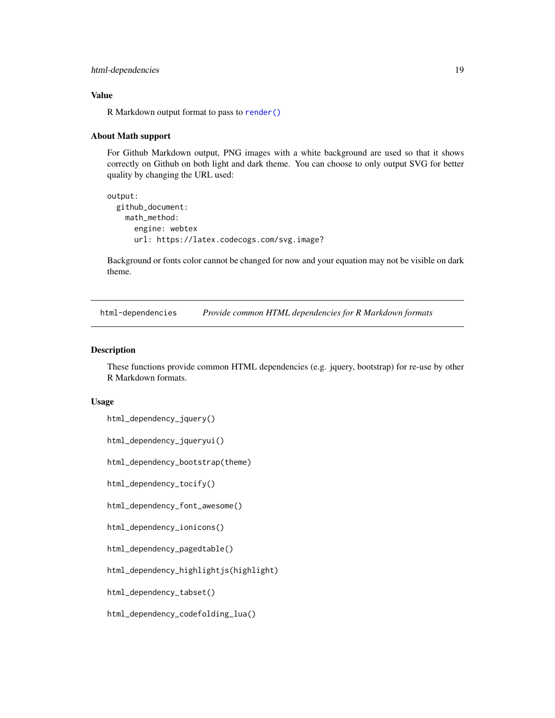# <span id="page-18-0"></span>html-dependencies 19

#### Value

R Markdown output format to pass to [render\(\)](#page-71-1)

#### About Math support

For Github Markdown output, PNG images with a white background are used so that it shows correctly on Github on both light and dark theme. You can choose to only output SVG for better quality by changing the URL used:

```
output:
 github_document:
   math_method:
      engine: webtex
      url: https://latex.codecogs.com/svg.image?
```
Background or fonts color cannot be changed for now and your equation may not be visible on dark theme.

html-dependencies *Provide common HTML dependencies for R Markdown formats*

# <span id="page-18-1"></span>Description

These functions provide common HTML dependencies (e.g. jquery, bootstrap) for re-use by other R Markdown formats.

#### Usage

- html\_dependency\_jquery()
- html\_dependency\_jqueryui()

html\_dependency\_bootstrap(theme)

- html\_dependency\_tocify()
- html\_dependency\_font\_awesome()
- html\_dependency\_ionicons()
- html\_dependency\_pagedtable()
- html\_dependency\_highlightjs(highlight)
- html\_dependency\_tabset()
- html\_dependency\_codefolding\_lua()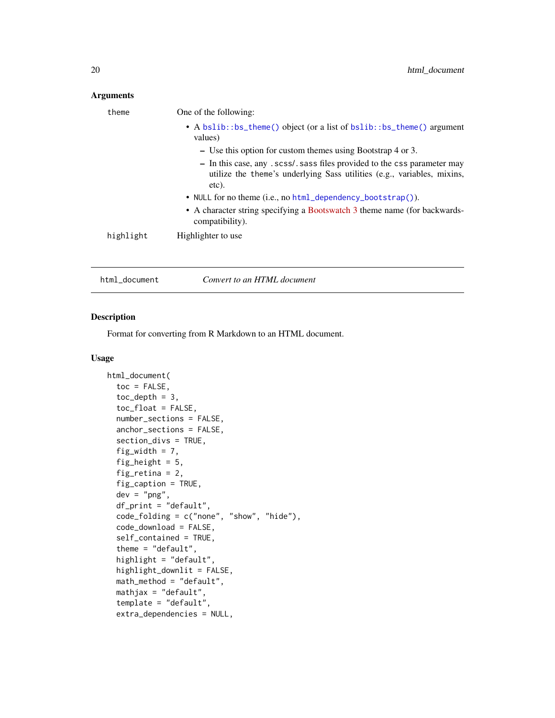# <span id="page-19-0"></span>Arguments

| theme     | One of the following:                                                                                                                                        |
|-----------|--------------------------------------------------------------------------------------------------------------------------------------------------------------|
|           | • A bslib::bs_theme() object (or a list of bslib::bs_theme() argument<br>values)                                                                             |
|           | $\sim$ Use this option for custom themes using Bootstrap 4 or 3.                                                                                             |
|           | - In this case, any . scss/ sass files provided to the css parameter may<br>utilize the theme's underlying Sass utilities (e.g., variables, mixins,<br>etc). |
|           | • NULL for no theme (i.e., no html_dependency_bootstrap()).                                                                                                  |
|           | • A character string specifying a Bootswatch 3 theme name (for backwards-<br>compatibility).                                                                 |
| highlight | Highlighter to use                                                                                                                                           |
|           |                                                                                                                                                              |

#### Description

Format for converting from R Markdown to an HTML document.

<span id="page-19-1"></span>html\_document *Convert to an HTML document*

#### Usage

```
html_document(
  toc = FALSE,toc\_depth = 3,
  toc_float = FALSE,
  number_sections = FALSE,
  anchor_sections = FALSE,
  section_divs = TRUE,
  fig_width = 7,
  fig_height = 5,
  fig_retina = 2,
  fig_caption = TRUE,
  dev = "png",df_print = "default",
  code_folding = c("none", "show", "hide"),
  code_download = FALSE,
  self_contained = TRUE,
  theme = "default",
  highlight = "default",
  highlight_downlit = FALSE,
  math_method = "default",
  mathjax = "default",
  template = "default",
  extra_dependencies = NULL,
```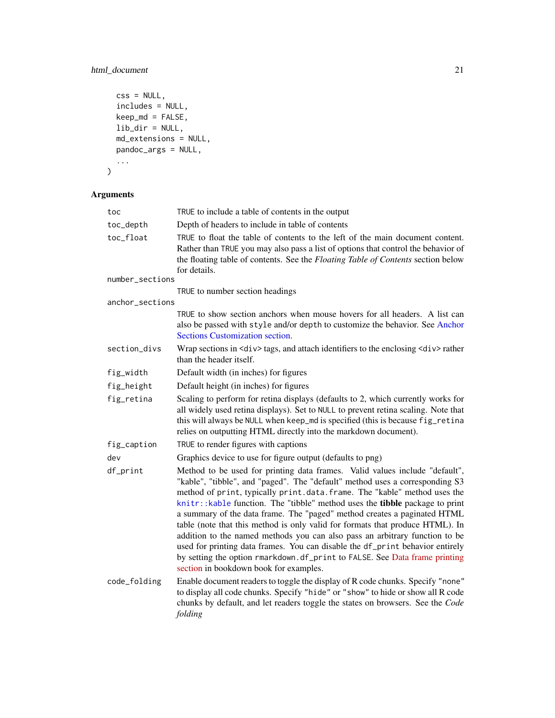# html\_document 21

```
\text{css} = \text{NULL},
  includes = NULL,
  keep_md = FALSE,
  lib_dir = NULL,
  md_extensions = NULL,
  pandoc_args = NULL,
  ...
\overline{\phantom{a}}
```
# Arguments

| toc             | TRUE to include a table of contents in the output                                                                                                                                                                                                                                                                                                                                                                                                                                                                                                                                                                                                                                                                                                                            |
|-----------------|------------------------------------------------------------------------------------------------------------------------------------------------------------------------------------------------------------------------------------------------------------------------------------------------------------------------------------------------------------------------------------------------------------------------------------------------------------------------------------------------------------------------------------------------------------------------------------------------------------------------------------------------------------------------------------------------------------------------------------------------------------------------------|
| toc_depth       | Depth of headers to include in table of contents                                                                                                                                                                                                                                                                                                                                                                                                                                                                                                                                                                                                                                                                                                                             |
| toc_float       | TRUE to float the table of contents to the left of the main document content.<br>Rather than TRUE you may also pass a list of options that control the behavior of<br>the floating table of contents. See the Floating Table of Contents section below<br>for details.                                                                                                                                                                                                                                                                                                                                                                                                                                                                                                       |
| number_sections |                                                                                                                                                                                                                                                                                                                                                                                                                                                                                                                                                                                                                                                                                                                                                                              |
|                 | TRUE to number section headings                                                                                                                                                                                                                                                                                                                                                                                                                                                                                                                                                                                                                                                                                                                                              |
| anchor_sections | TRUE to show section anchors when mouse hovers for all headers. A list can<br>also be passed with style and/or depth to customize the behavior. See Anchor<br>Sections Customization section.                                                                                                                                                                                                                                                                                                                                                                                                                                                                                                                                                                                |
| section_divs    | Wrap sections in <div> tags, and attach identifiers to the enclosing <div>rather<br/>than the header itself.</div></div>                                                                                                                                                                                                                                                                                                                                                                                                                                                                                                                                                                                                                                                     |
| fig_width       | Default width (in inches) for figures                                                                                                                                                                                                                                                                                                                                                                                                                                                                                                                                                                                                                                                                                                                                        |
| fig_height      | Default height (in inches) for figures                                                                                                                                                                                                                                                                                                                                                                                                                                                                                                                                                                                                                                                                                                                                       |
| fig_retina      | Scaling to perform for retina displays (defaults to 2, which currently works for<br>all widely used retina displays). Set to NULL to prevent retina scaling. Note that<br>this will always be NULL when keep_md is specified (this is because fig_retina<br>relies on outputting HTML directly into the markdown document).                                                                                                                                                                                                                                                                                                                                                                                                                                                  |
| fig_caption     | TRUE to render figures with captions                                                                                                                                                                                                                                                                                                                                                                                                                                                                                                                                                                                                                                                                                                                                         |
| dev             | Graphics device to use for figure output (defaults to png)                                                                                                                                                                                                                                                                                                                                                                                                                                                                                                                                                                                                                                                                                                                   |
| df_print        | Method to be used for printing data frames. Valid values include "default",<br>"kable", "tibble", and "paged". The "default" method uses a corresponding S3<br>method of print, typically print.data.frame. The "kable" method uses the<br>knitr:: kable function. The "tibble" method uses the tibble package to print<br>a summary of the data frame. The "paged" method creates a paginated HTML<br>table (note that this method is only valid for formats that produce HTML). In<br>addition to the named methods you can also pass an arbitrary function to be<br>used for printing data frames. You can disable the df_print behavior entirely<br>by setting the option rmarkdown.df_print to FALSE. See Data frame printing<br>section in bookdown book for examples. |
| code_folding    | Enable document readers to toggle the display of R code chunks. Specify "none"<br>to display all code chunks. Specify "hide" or "show" to hide or show all R code<br>chunks by default, and let readers toggle the states on browsers. See the Code<br>folding                                                                                                                                                                                                                                                                                                                                                                                                                                                                                                               |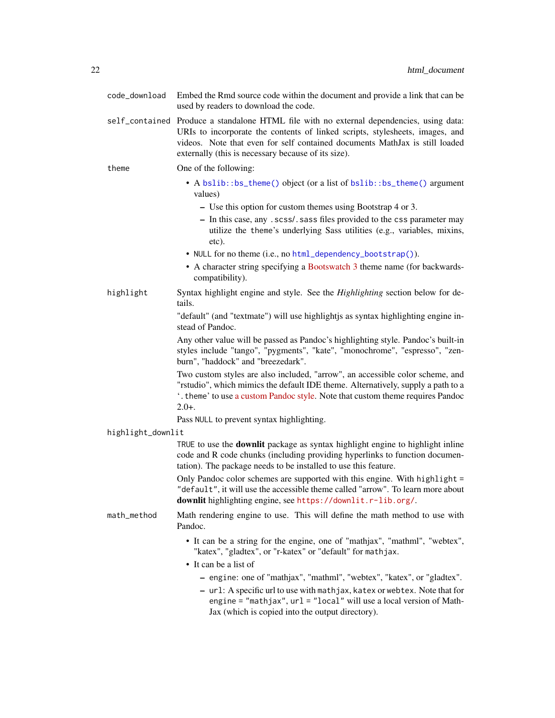| code_download                             | Embed the Rmd source code within the document and provide a link that can be<br>used by readers to download the code.                                                                                                                                                                                          |
|-------------------------------------------|----------------------------------------------------------------------------------------------------------------------------------------------------------------------------------------------------------------------------------------------------------------------------------------------------------------|
|                                           | self_contained Produce a standalone HTML file with no external dependencies, using data:<br>URIs to incorporate the contents of linked scripts, stylesheets, images, and<br>videos. Note that even for self contained documents MathJax is still loaded<br>externally (this is necessary because of its size). |
| theme                                     | One of the following:                                                                                                                                                                                                                                                                                          |
|                                           | • A bslib::bs_theme() object (or a list of bslib::bs_theme() argument<br>values)                                                                                                                                                                                                                               |
|                                           | - Use this option for custom themes using Bootstrap 4 or 3.                                                                                                                                                                                                                                                    |
|                                           | - In this case, any . scss/. sass files provided to the css parameter may<br>utilize the theme's underlying Sass utilities (e.g., variables, mixins,<br>etc).                                                                                                                                                  |
|                                           | • NULL for no theme (i.e., no html_dependency_bootstrap()).                                                                                                                                                                                                                                                    |
|                                           | • A character string specifying a Bootswatch 3 theme name (for backwards-<br>compatibility).                                                                                                                                                                                                                   |
| highlight                                 | Syntax highlight engine and style. See the Highlighting section below for de-<br>tails.                                                                                                                                                                                                                        |
|                                           | "default" (and "textmate") will use highlightjs as syntax highlighting engine in-<br>stead of Pandoc.                                                                                                                                                                                                          |
|                                           | Any other value will be passed as Pandoc's highlighting style. Pandoc's built-in<br>styles include "tango", "pygments", "kate", "monochrome", "espresso", "zen-<br>burn", "haddock" and "breezedark".                                                                                                          |
|                                           | Two custom styles are also included, "arrow", an accessible color scheme, and<br>"rstudio", which mimics the default IDE theme. Alternatively, supply a path to a<br>*. theme' to use a custom Pandoc style. Note that custom theme requires Pandoc<br>$2.0+$ .                                                |
| Pass NULL to prevent syntax highlighting. |                                                                                                                                                                                                                                                                                                                |
| highlight_downlit                         |                                                                                                                                                                                                                                                                                                                |
|                                           | TRUE to use the <b>downlit</b> package as syntax highlight engine to highlight inline<br>code and R code chunks (including providing hyperlinks to function documen-<br>tation). The package needs to be installed to use this feature.                                                                        |
|                                           | Only Pandoc color schemes are supported with this engine. With highlight =<br>"default", it will use the accessible theme called "arrow". To learn more about<br>downlit highlighting engine, see https://downlit.r-lib.org/.                                                                                  |
| math_method                               | Math rendering engine to use. This will define the math method to use with<br>Pandoc.                                                                                                                                                                                                                          |
|                                           | • It can be a string for the engine, one of "mathjax", "mathml", "webtex",<br>"katex", "gladtex", or "r-katex" or "default" for mathjax.                                                                                                                                                                       |
|                                           | • It can be a list of                                                                                                                                                                                                                                                                                          |
|                                           | - engine: one of "mathjax", "mathml", "webtex", "katex", or "gladtex".                                                                                                                                                                                                                                         |
|                                           | - url: A specific url to use with mathjax, katex or webtex. Note that for<br>engine = "mathjax", $url = "local"$ will use a local version of Math-<br>Jax (which is copied into the output directory).                                                                                                         |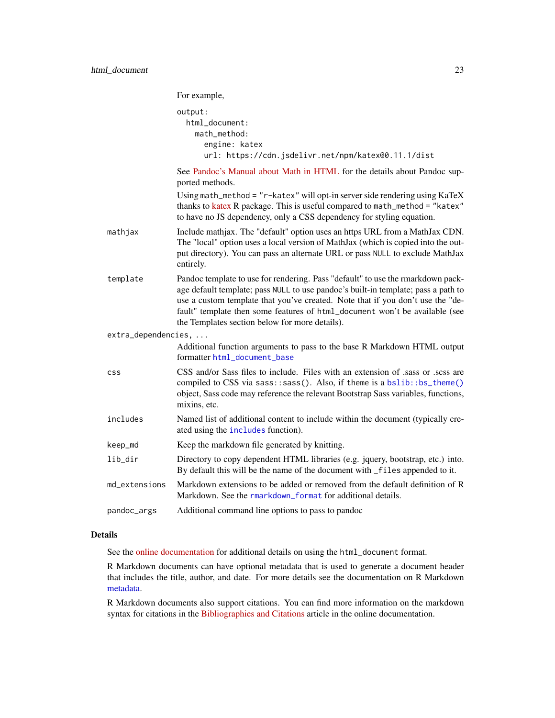|                     | For example,                                                                                                                                                                                                                                                                                                                                                                            |
|---------------------|-----------------------------------------------------------------------------------------------------------------------------------------------------------------------------------------------------------------------------------------------------------------------------------------------------------------------------------------------------------------------------------------|
|                     | output:<br>html_document:<br>math_method:<br>engine: katex<br>url: https://cdn.jsdelivr.net/npm/katex@0.11.1/dist                                                                                                                                                                                                                                                                       |
|                     | See Pandoc's Manual about Math in HTML for the details about Pandoc sup-<br>ported methods.                                                                                                                                                                                                                                                                                             |
|                     | Using math_method = "r-katex" will opt-in server side rendering using KaTeX<br>thanks to katex R package. This is useful compared to math_method = "katex"<br>to have no JS dependency, only a CSS dependency for styling equation.                                                                                                                                                     |
| mathjax             | Include mathjax. The "default" option uses an https URL from a MathJax CDN.<br>The "local" option uses a local version of MathJax (which is copied into the out-<br>put directory). You can pass an alternate URL or pass NULL to exclude MathJax<br>entirely.                                                                                                                          |
| template            | Pandoc template to use for rendering. Pass "default" to use the rmarkdown pack-<br>age default template; pass NULL to use pandoc's built-in template; pass a path to<br>use a custom template that you've created. Note that if you don't use the "de-<br>fault" template then some features of html_document won't be available (see<br>the Templates section below for more details). |
| extra_dependencies, |                                                                                                                                                                                                                                                                                                                                                                                         |
|                     | Additional function arguments to pass to the base R Markdown HTML output<br>formatter html_document_base                                                                                                                                                                                                                                                                                |
| <b>CSS</b>          | CSS and/or Sass files to include. Files with an extension of .sass or .scss are<br>compiled to CSS via sass::sass(). Also, if theme is a bslib::bs_theme()<br>object, Sass code may reference the relevant Bootstrap Sass variables, functions,<br>mixins, etc.                                                                                                                         |
| includes            | Named list of additional content to include within the document (typically cre-<br>ated using the includes function).                                                                                                                                                                                                                                                                   |
| keep_md             | Keep the markdown file generated by knitting.                                                                                                                                                                                                                                                                                                                                           |
| lib_dir             | Directory to copy dependent HTML libraries (e.g. jquery, bootstrap, etc.) into.<br>By default this will be the name of the document with _files appended to it.                                                                                                                                                                                                                         |
| md_extensions       | Markdown extensions to be added or removed from the default definition of R<br>Markdown. See the rmarkdown_format for additional details.                                                                                                                                                                                                                                               |
| pandoc_args         | Additional command line options to pass to pandoc                                                                                                                                                                                                                                                                                                                                       |

# Details

See the [online documentation](https://bookdown.org/yihui/rmarkdown/html-document.html) for additional details on using the html\_document format.

R Markdown documents can have optional metadata that is used to generate a document header that includes the title, author, and date. For more details see the documentation on R Markdown [metadata.](#page-81-1)

R Markdown documents also support citations. You can find more information on the markdown syntax for citations in the [Bibliographies and Citations](https://pandoc.org/MANUAL.html#citations) article in the online documentation.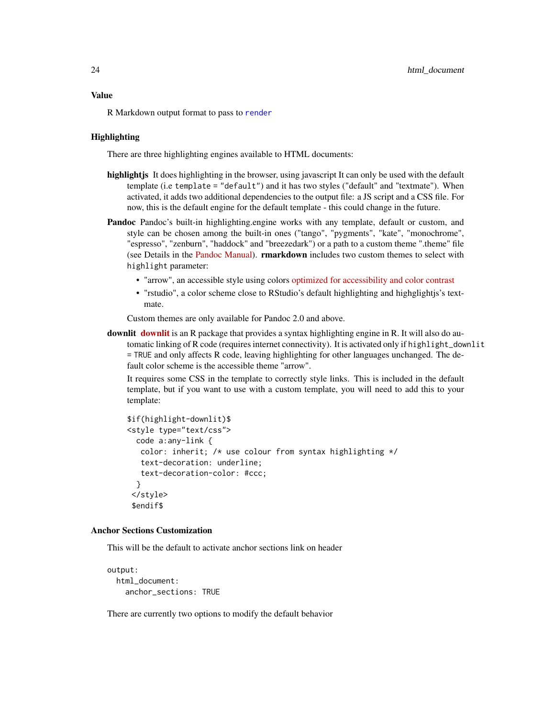#### Value

R Markdown output format to pass to [render](#page-71-1)

#### **Highlighting**

There are three highlighting engines available to HTML documents:

- highlight is It does highlighting in the browser, using javascript It can only be used with the default template (i.e template = "default") and it has two styles ("default" and "textmate"). When activated, it adds two additional dependencies to the output file: a JS script and a CSS file. For now, this is the default engine for the default template - this could change in the future.
- Pandoc Pandoc's built-in highlighting.engine works with any template, default or custom, and style can be chosen among the built-in ones ("tango", "pygments", "kate", "monochrome", "espresso", "zenburn", "haddock" and "breezedark") or a path to a custom theme ".theme" file (see Details in the [Pandoc Manual\)](https://pandoc.org/MANUAL.html#syntax-highlighting). rmarkdown includes two custom themes to select with highlight parameter:
	- "arrow", an accessible style using colors [optimized for accessibility and color contrast](https://www.a11yproject.com/)
	- "rstudio", a color scheme close to RStudio's default highlighting and highglightjs's textmate.

Custom themes are only available for Pandoc 2.0 and above.

[downlit](https://downlit.r-lib.org/) downlit is an R package that provides a syntax highlighting engine in R. It will also do automatic linking of R code (requires internet connectivity). It is activated only if highlight\_downlit = TRUE and only affects R code, leaving highlighting for other languages unchanged. The default color scheme is the accessible theme "arrow".

It requires some CSS in the template to correctly style links. This is included in the default template, but if you want to use with a custom template, you will need to add this to your template:

```
$if(highlight-downlit)$
<style type="text/css">
 code a:any-link {
  color: inherit; /* use colour from syntax highlighting */
   text-decoration: underline;
   text-decoration-color: #ccc;
 }
</style>
$endif$
```
# Anchor Sections Customization

This will be the default to activate anchor sections link on header

```
output:
  html_document:
    anchor_sections: TRUE
```
There are currently two options to modify the default behavior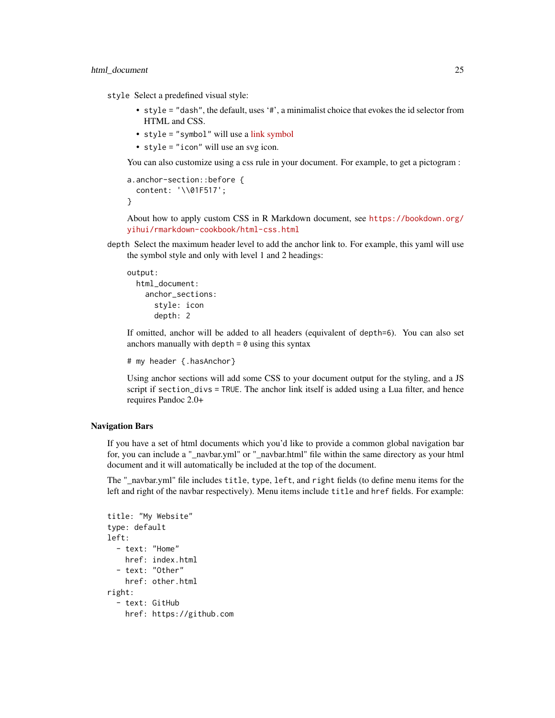style Select a predefined visual style:

- style = "dash", the default, uses '#', a minimalist choice that evokes the id selector from HTML and CSS.
- style = "symbol" will use a [link symbol](https://codepoints.net/U+1F517)
- style = "icon" will use an svg icon.

You can also customize using a css rule in your document. For example, to get a pictogram :

```
a.anchor-section::before {
  content: '\\01F517';
}
```
About how to apply custom CSS in R Markdown document, see [https://bookdown.org/](https://bookdown.org/yihui/rmarkdown-cookbook/html-css.html) [yihui/rmarkdown-cookbook/html-css.html](https://bookdown.org/yihui/rmarkdown-cookbook/html-css.html)

depth Select the maximum header level to add the anchor link to. For example, this yaml will use the symbol style and only with level 1 and 2 headings:

```
output:
 html_document:
   anchor_sections:
      style: icon
      depth: 2
```
If omitted, anchor will be added to all headers (equivalent of depth=6). You can also set anchors manually with depth  $= 0$  using this syntax

```
# my header {.hasAnchor}
```
Using anchor sections will add some CSS to your document output for the styling, and a JS script if section\_divs = TRUE. The anchor link itself is added using a Lua filter, and hence requires Pandoc 2.0+

### Navigation Bars

If you have a set of html documents which you'd like to provide a common global navigation bar for, you can include a "\_navbar.yml" or "\_navbar.html" file within the same directory as your html document and it will automatically be included at the top of the document.

The "\_navbar.yml" file includes title, type, left, and right fields (to define menu items for the left and right of the navbar respectively). Menu items include title and href fields. For example:

```
title: "My Website"
type: default
left:
  - text: "Home"
    href: index.html
  - text: "Other"
    href: other.html
right:
  - text: GitHub
    href: https://github.com
```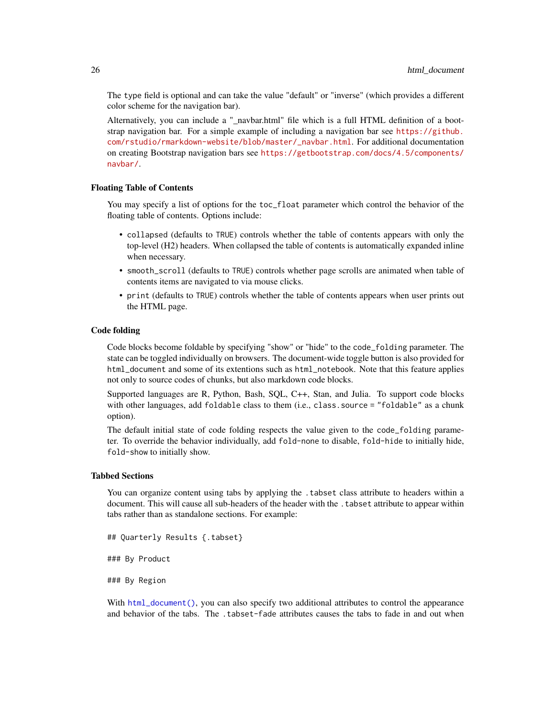The type field is optional and can take the value "default" or "inverse" (which provides a different color scheme for the navigation bar).

Alternatively, you can include a "\_navbar.html" file which is a full HTML definition of a bootstrap navigation bar. For a simple example of including a navigation bar see [https://github.](https://github.com/rstudio/rmarkdown-website/blob/master/_navbar.html) [com/rstudio/rmarkdown-website/blob/master/\\_navbar.html](https://github.com/rstudio/rmarkdown-website/blob/master/_navbar.html). For additional documentation on creating Bootstrap navigation bars see [https://getbootstrap.com/docs/4.5/components/](https://getbootstrap.com/docs/4.5/components/navbar/) [navbar/](https://getbootstrap.com/docs/4.5/components/navbar/).

#### Floating Table of Contents

You may specify a list of options for the toc\_float parameter which control the behavior of the floating table of contents. Options include:

- collapsed (defaults to TRUE) controls whether the table of contents appears with only the top-level (H2) headers. When collapsed the table of contents is automatically expanded inline when necessary.
- smooth\_scroll (defaults to TRUE) controls whether page scrolls are animated when table of contents items are navigated to via mouse clicks.
- print (defaults to TRUE) controls whether the table of contents appears when user prints out the HTML page.

#### Code folding

Code blocks become foldable by specifying "show" or "hide" to the code\_folding parameter. The state can be toggled individually on browsers. The document-wide toggle button is also provided for html\_document and some of its extentions such as html\_notebook. Note that this feature applies not only to source codes of chunks, but also markdown code blocks.

Supported languages are R, Python, Bash, SQL, C++, Stan, and Julia. To support code blocks with other languages, add foldable class to them (i.e., class.source = "foldable" as a chunk option).

The default initial state of code folding respects the value given to the code\_folding parameter. To override the behavior individually, add fold-none to disable, fold-hide to initially hide, fold-show to initially show.

#### Tabbed Sections

You can organize content using tabs by applying the .tabset class attribute to headers within a document. This will cause all sub-headers of the header with the .tabset attribute to appear within tabs rather than as standalone sections. For example:

## Quarterly Results {.tabset}

### By Product

### By Region

With [html\\_document\(\)](#page-19-1), you can also specify two additional attributes to control the appearance and behavior of the tabs. The .tabset-fade attributes causes the tabs to fade in and out when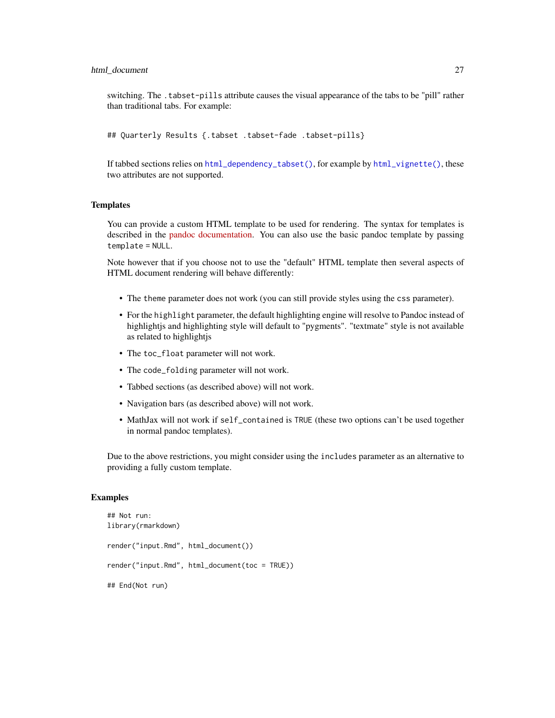switching. The .tabset-pills attribute causes the visual appearance of the tabs to be "pill" rather than traditional tabs. For example:

## Quarterly Results {.tabset .tabset-fade .tabset-pills}

If tabbed sections relies on [html\\_dependency\\_tabset\(\)](#page-18-1), for example by [html\\_vignette\(\)](#page-35-1), these two attributes are not supported.

# **Templates**

You can provide a custom HTML template to be used for rendering. The syntax for templates is described in the [pandoc documentation.](https://pandoc.org/MANUAL.html) You can also use the basic pandoc template by passing template = NULL.

Note however that if you choose not to use the "default" HTML template then several aspects of HTML document rendering will behave differently:

- The theme parameter does not work (you can still provide styles using the css parameter).
- For the highlight parameter, the default highlighting engine will resolve to Pandoc instead of highlightjs and highlighting style will default to "pygments". "textmate" style is not available as related to highlightjs
- The toc\_float parameter will not work.
- The code\_folding parameter will not work.
- Tabbed sections (as described above) will not work.
- Navigation bars (as described above) will not work.
- MathJax will not work if self\_contained is TRUE (these two options can't be used together in normal pandoc templates).

Due to the above restrictions, you might consider using the includes parameter as an alternative to providing a fully custom template.

#### Examples

```
## Not run:
library(rmarkdown)
render("input.Rmd", html_document())
render("input.Rmd", html_document(toc = TRUE))
## End(Not run)
```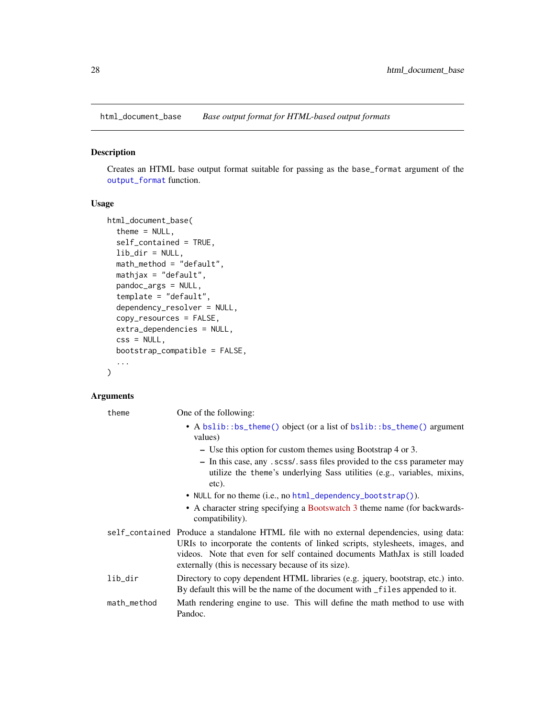<span id="page-27-1"></span><span id="page-27-0"></span>html\_document\_base *Base output format for HTML-based output formats*

#### Description

Creates an HTML base output format suitable for passing as the base\_format argument of the [output\\_format](#page-53-1) function.

#### Usage

```
html_document_base(
  theme = NULL,
  self_contained = TRUE,
  lib\_dir = NULL,math_method = "default",
  mathiathjax = "default",
  pandoc_args = NULL,
  template = "default",
  dependency_resolver = NULL,
  copy_resources = FALSE,
  extra_dependencies = NULL,
  \text{css} = \text{NULL},
  bootstrap_compatible = FALSE,
  ...
)
```
#### Arguments

theme One of the following:

- A [bslib::bs\\_theme\(\)](#page-0-0) object (or a list of bslib::bs\_theme() argument values)
	- Use this option for custom themes using Bootstrap 4 or 3.
	- In this case, any .scss/.sass files provided to the css parameter may utilize the theme's underlying Sass utilities (e.g., variables, mixins, etc).
- NULL for no theme (i.e., no [html\\_dependency\\_bootstrap\(\)](#page-18-1)).
- A character string specifying a [Bootswatch 3](https://bootswatch.com/3/) theme name (for backwardscompatibility).
- self\_contained Produce a standalone HTML file with no external dependencies, using data: URIs to incorporate the contents of linked scripts, stylesheets, images, and videos. Note that even for self contained documents MathJax is still loaded externally (this is necessary because of its size).
- lib\_dir Directory to copy dependent HTML libraries (e.g. jquery, bootstrap, etc.) into. By default this will be the name of the document with \_files appended to it.
- math\_method Math rendering engine to use. This will define the math method to use with Pandoc.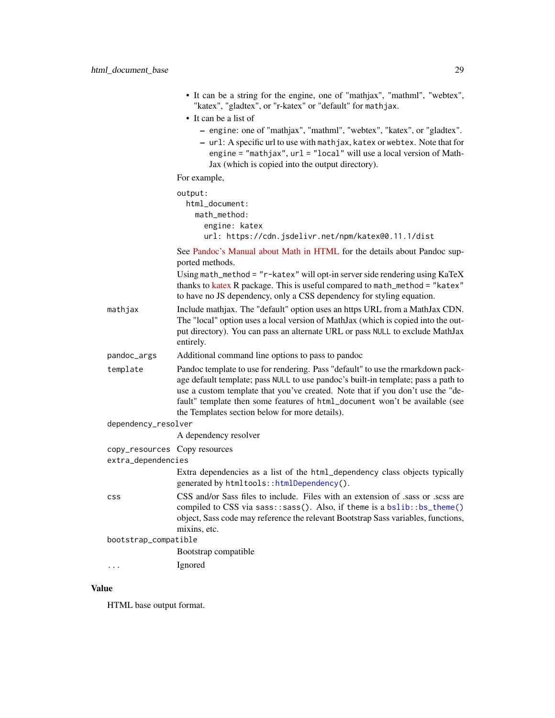|                                                            | • It can be a string for the engine, one of "mathjax", "mathml", "webtex", |
|------------------------------------------------------------|----------------------------------------------------------------------------|
| "katex", "gladtex", or "r-katex" or "default" for mathjax. |                                                                            |

• It can be a list of

- engine: one of "mathjax", "mathml", "webtex", "katex", or "gladtex".
- url: A specific url to use with mathjax, katex or webtex. Note that for engine = "mathjax", url = "local" will use a local version of Math-Jax (which is copied into the output directory).

For example,

| output:                                             |
|-----------------------------------------------------|
| html document:                                      |
| math_method:                                        |
| engine: katex                                       |
| url: https://cdn.jsdelivr.net/npm/katex@0.11.1/dist |

See [Pandoc's Manual about Math in HTML](https://pandoc.org/MANUAL.html#math-rendering-in-html) for the details about Pandoc supported methods.

Using math\_method = "r-katex" will opt-in server side rendering using KaTeX thanks to [katex](https://docs.ropensci.org/katex/) R package. This is useful compared to math\_method = "katex" to have no JS dependency, only a CSS dependency for styling equation.

- mathjax Include mathjax. The "default" option uses an https URL from a MathJax CDN. The "local" option uses a local version of MathJax (which is copied into the output directory). You can pass an alternate URL or pass NULL to exclude MathJax entirely.
- pandoc\_args Additional command line options to pass to pandoc
- template Pandoc template to use for rendering. Pass "default" to use the rmarkdown package default template; pass NULL to use pandoc's built-in template; pass a path to use a custom template that you've created. Note that if you don't use the "default" template then some features of html\_document won't be available (see the Templates section below for more details).

| dependency_resolver |  |
|---------------------|--|
|---------------------|--|

A dependency resolver

- copy\_resources Copy resources
- extra\_dependencies

Extra dependencies as a list of the html\_dependency class objects typically generated by htmltools:[:htmlDependency\(](#page-0-0)).

- css CSS and/or Sass files to include. Files with an extension of .sass or .scss are compiled to CSS via sass::sass(). Also, if theme is a [bslib::bs\\_theme\(\)](#page-0-0) object, Sass code may reference the relevant Bootstrap Sass variables, functions, mixins, etc.
- bootstrap\_compatible

Bootstrap compatible

... Ignored

#### Value

HTML base output format.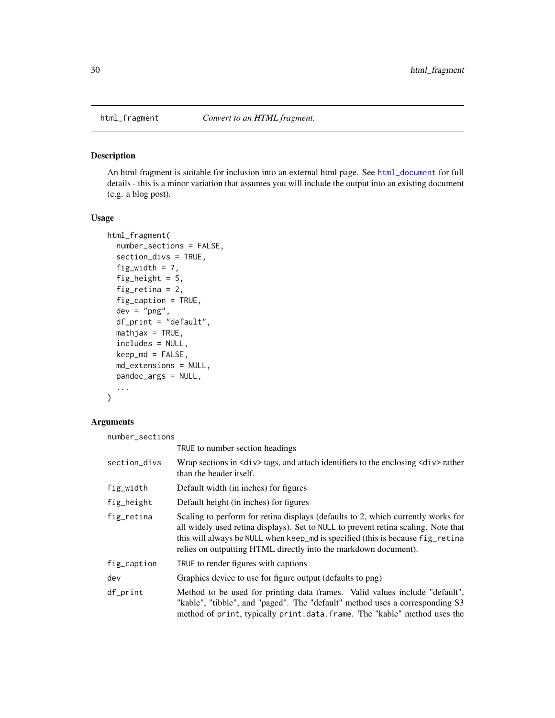<span id="page-29-0"></span>

#### Description

An html fragment is suitable for inclusion into an external html page. See [html\\_document](#page-19-1) for full details - this is a minor variation that assumes you will include the output into an existing document (e.g. a blog post).

#### Usage

```
html_fragment(
 number_sections = FALSE,
  section_divs = TRUE,
  fig_width = 7,
  fig_height = 5,
  fig_retina = 2,
  fig_caption = TRUE,
  dev = "png",
  df_print = "default",
 mathincludes = NULL,
  keep\_md = FALSE,md_extensions = NULL,
 pandoc_args = NULL,
  ...
)
```
# Arguments

number\_sections

|              | TRUE to number section headings                                                                                                                                                                                                                                                                                             |
|--------------|-----------------------------------------------------------------------------------------------------------------------------------------------------------------------------------------------------------------------------------------------------------------------------------------------------------------------------|
| section_divs | Wrap sections in $\langle \text{div} \rangle$ tags, and attach identifiers to the enclosing $\langle \text{div} \rangle$ rather<br>than the header itself.                                                                                                                                                                  |
| fig_width    | Default width (in inches) for figures                                                                                                                                                                                                                                                                                       |
| fig_height   | Default height (in inches) for figures                                                                                                                                                                                                                                                                                      |
| fig_retina   | Scaling to perform for retina displays (defaults to 2, which currently works for<br>all widely used retina displays). Set to NULL to prevent retina scaling. Note that<br>this will always be NULL when keep_md is specified (this is because fig_retina<br>relies on outputting HTML directly into the markdown document). |
| fig_caption  | TRUE to render figures with captions                                                                                                                                                                                                                                                                                        |
| dev          | Graphics device to use for figure output (defaults to png)                                                                                                                                                                                                                                                                  |
| df_print     | Method to be used for printing data frames. Valid values include "default",<br>"kable", "tibble", and "paged". The "default" method uses a corresponding S3<br>method of print, typically print.data.frame. The "kable" method uses the                                                                                     |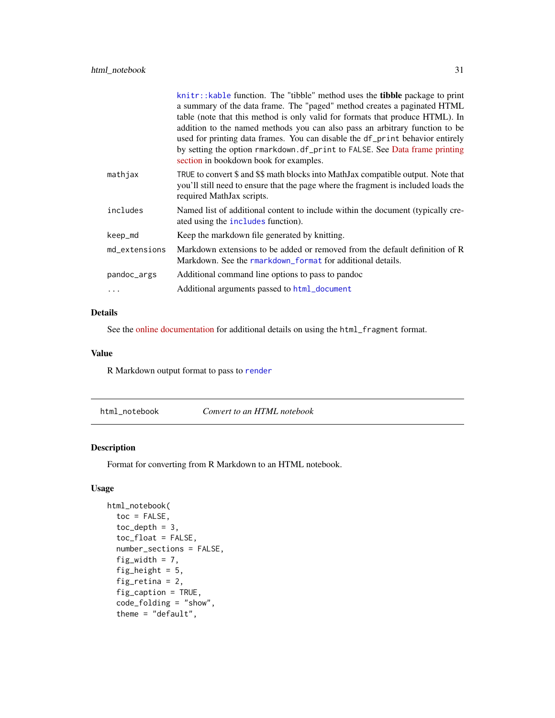<span id="page-30-0"></span>

|               | knitr::kable function. The "tibble" method uses the <b>tibble</b> package to print                                                                                                                   |
|---------------|------------------------------------------------------------------------------------------------------------------------------------------------------------------------------------------------------|
|               | a summary of the data frame. The "paged" method creates a paginated HTML                                                                                                                             |
|               | table (note that this method is only valid for formats that produce HTML). In                                                                                                                        |
|               | addition to the named methods you can also pass an arbitrary function to be                                                                                                                          |
|               | used for printing data frames. You can disable the df_print behavior entirely                                                                                                                        |
|               | by setting the option rmarkdown.df_print to FALSE. See Data frame printing<br>section in bookdown book for examples.                                                                                 |
| mathjax       | TRUE to convert \$ and \$\$ math blocks into MathJax compatible output. Note that<br>you'll still need to ensure that the page where the fragment is included loads the<br>required MathJax scripts. |
| includes      | Named list of additional content to include within the document (typically cre-<br>ated using the includes function).                                                                                |
| keep_md       | Keep the markdown file generated by knitting.                                                                                                                                                        |
| md extensions | Markdown extensions to be added or removed from the default definition of R<br>Markdown. See the rmarkdown format for additional details.                                                            |
| pandoc_args   | Additional command line options to pass to pandoc                                                                                                                                                    |
| .             | Additional arguments passed to html_document                                                                                                                                                         |

#### Details

See the [online documentation](https://bookdown.org/yihui/rmarkdown/html-document.html) for additional details on using the html\_fragment format.

#### Value

R Markdown output format to pass to [render](#page-71-1)

html\_notebook *Convert to an HTML notebook*

# Description

Format for converting from R Markdown to an HTML notebook.

# Usage

```
html_notebook(
  toc = FALSE,toc\_depth = 3,
  toc_float = FALSE,number_sections = FALSE,
  fig_width = 7,
  fig_height = 5,
  fig_retina = 2,
  fig_caption = TRUE,
  code_folding = "show",
  theme = "default",
```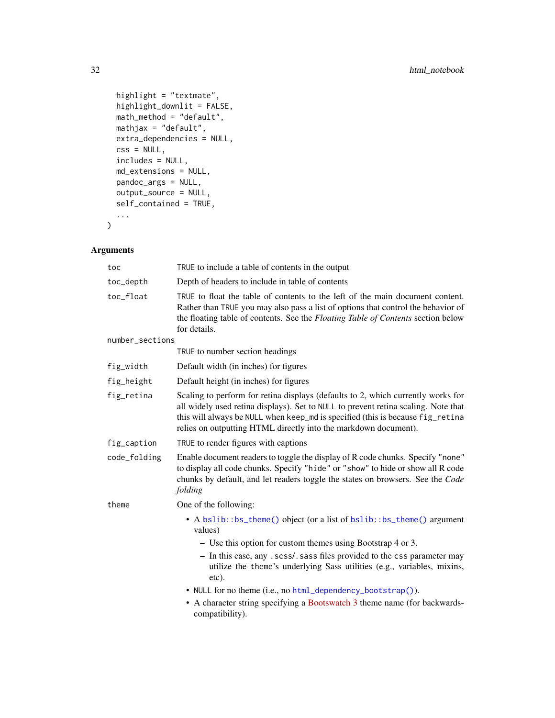```
highlight = "textmate",
 highlight_downlit = FALSE,
 math_method = "default",
 mathjax = "default",
 extra_dependencies = NULL,
 \text{css} = \text{NULL},
 includes = NULL,
 md_extensions = NULL,
 pandoc_args = NULL,
 output_source = NULL,
  self_contained = TRUE,
  ...
\mathcal{L}
```
# Arguments

| toc             | TRUE to include a table of contents in the output                                                                                                                                                                                                                                                                           |
|-----------------|-----------------------------------------------------------------------------------------------------------------------------------------------------------------------------------------------------------------------------------------------------------------------------------------------------------------------------|
| toc_depth       | Depth of headers to include in table of contents                                                                                                                                                                                                                                                                            |
| toc_float       | TRUE to float the table of contents to the left of the main document content.<br>Rather than TRUE you may also pass a list of options that control the behavior of<br>the floating table of contents. See the Floating Table of Contents section below<br>for details.                                                      |
| number_sections |                                                                                                                                                                                                                                                                                                                             |
|                 | TRUE to number section headings                                                                                                                                                                                                                                                                                             |
| fig_width       | Default width (in inches) for figures                                                                                                                                                                                                                                                                                       |
| fig_height      | Default height (in inches) for figures                                                                                                                                                                                                                                                                                      |
| fig_retina      | Scaling to perform for retina displays (defaults to 2, which currently works for<br>all widely used retina displays). Set to NULL to prevent retina scaling. Note that<br>this will always be NULL when keep_md is specified (this is because fig_retina<br>relies on outputting HTML directly into the markdown document). |
| fig_caption     | TRUE to render figures with captions                                                                                                                                                                                                                                                                                        |
| code_folding    | Enable document readers to toggle the display of R code chunks. Specify "none"<br>to display all code chunks. Specify "hide" or "show" to hide or show all R code<br>chunks by default, and let readers toggle the states on browsers. See the Code<br>folding                                                              |
| theme           | One of the following:                                                                                                                                                                                                                                                                                                       |
|                 | • A bslib::bs_theme() object (or a list of bslib::bs_theme() argument<br>values)                                                                                                                                                                                                                                            |
|                 | - Use this option for custom themes using Bootstrap 4 or 3.                                                                                                                                                                                                                                                                 |
|                 | - In this case, any . scss/. sass files provided to the css parameter may<br>utilize the theme's underlying Sass utilities (e.g., variables, mixins,<br>etc).                                                                                                                                                               |
|                 | • NULL for no theme (i.e., no html_dependency_bootstrap()).                                                                                                                                                                                                                                                                 |
|                 | • A character string specifying a Bootswatch 3 theme name (for backwards-<br>compatibility).                                                                                                                                                                                                                                |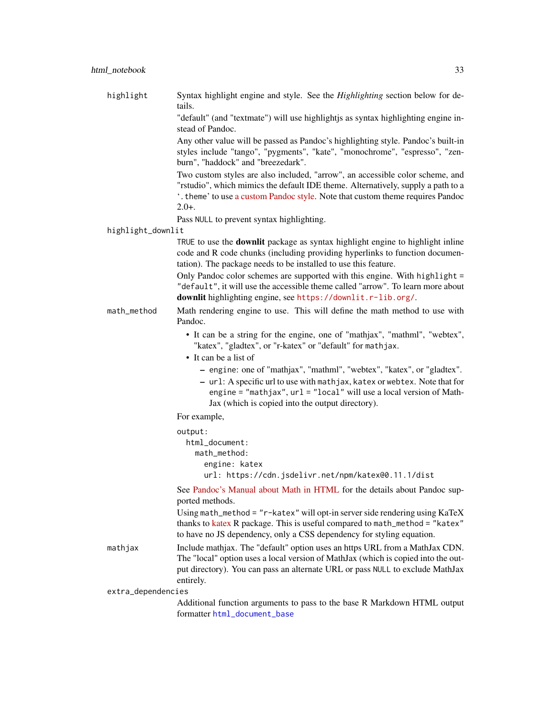| highlight          | Syntax highlight engine and style. See the Highlighting section below for de-<br>tails.                                                                                                                                                                                        |
|--------------------|--------------------------------------------------------------------------------------------------------------------------------------------------------------------------------------------------------------------------------------------------------------------------------|
|                    | "default" (and "textmate") will use highlightjs as syntax highlighting engine in-<br>stead of Pandoc.                                                                                                                                                                          |
|                    | Any other value will be passed as Pandoc's highlighting style. Pandoc's built-in<br>styles include "tango", "pygments", "kate", "monochrome", "espresso", "zen-<br>burn", "haddock" and "breezedark".                                                                          |
|                    | Two custom styles are also included, "arrow", an accessible color scheme, and<br>"rstudio", which mimics the default IDE theme. Alternatively, supply a path to a<br>'. theme' to use a custom Pandoc style. Note that custom theme requires Pandoc<br>$2.0+$ .                |
|                    | Pass NULL to prevent syntax highlighting.                                                                                                                                                                                                                                      |
| highlight_downlit  |                                                                                                                                                                                                                                                                                |
|                    | TRUE to use the <b>downlit</b> package as syntax highlight engine to highlight inline<br>code and R code chunks (including providing hyperlinks to function documen-<br>tation). The package needs to be installed to use this feature.                                        |
|                    | Only Pandoc color schemes are supported with this engine. With highlight =<br>"default", it will use the accessible theme called "arrow". To learn more about<br>downlit highlighting engine, see https://downlit.r-lib.org/.                                                  |
| math_method        | Math rendering engine to use. This will define the math method to use with<br>Pandoc.                                                                                                                                                                                          |
|                    | • It can be a string for the engine, one of "mathjax", "mathml", "webtex",<br>"katex", "gladtex", or "r-katex" or "default" for mathjax.<br>• It can be a list of                                                                                                              |
|                    | - engine: one of "mathjax", "mathml", "webtex", "katex", or "gladtex".<br>- url: A specific url to use with mathjax, katex or webtex. Note that for<br>engine = "mathjax", url = "local" will use a local version of Math-<br>Jax (which is copied into the output directory). |
|                    | For example,                                                                                                                                                                                                                                                                   |
|                    | output:<br>html_document:<br>math_method:<br>engine: katex                                                                                                                                                                                                                     |
|                    | url: https://cdn.jsdelivr.net/npm/katex@0.11.1/dist                                                                                                                                                                                                                            |
|                    | See Pandoc's Manual about Math in HTML for the details about Pandoc sup-<br>ported methods.                                                                                                                                                                                    |
|                    | Using math_method = "r-katex" will opt-in server side rendering using KaTeX<br>thanks to katex R package. This is useful compared to math_method = "katex"<br>to have no JS dependency, only a CSS dependency for styling equation.                                            |
| mathjax            | Include mathjax. The "default" option uses an https URL from a MathJax CDN.<br>The "local" option uses a local version of MathJax (which is copied into the out-<br>put directory). You can pass an alternate URL or pass NULL to exclude MathJax<br>entirely.                 |
| extra_dependencies |                                                                                                                                                                                                                                                                                |
|                    | Additional function arguments to pass to the base R Markdown HTML output                                                                                                                                                                                                       |

Additional function arguments to pass to the base R Markdown HTML output formatter [html\\_document\\_base](#page-27-1)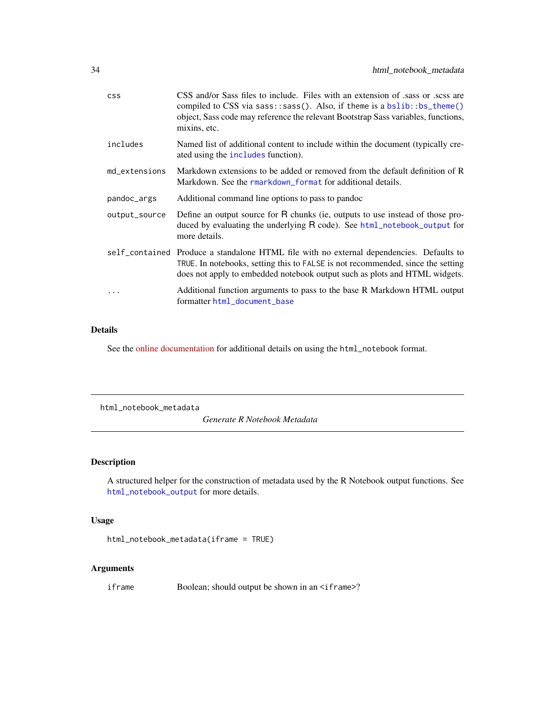<span id="page-33-0"></span>

| <b>CSS</b>    | CSS and/or Sass files to include. Files with an extension of sass or scss are<br>compiled to CSS via sass::sass(). Also, if theme is a $bslib::bs\_them()$<br>object, Sass code may reference the relevant Bootstrap Sass variables, functions,<br>mixins, etc. |
|---------------|-----------------------------------------------------------------------------------------------------------------------------------------------------------------------------------------------------------------------------------------------------------------|
| includes      | Named list of additional content to include within the document (typically cre-<br>ated using the includes function).                                                                                                                                           |
| md_extensions | Markdown extensions to be added or removed from the default definition of R<br>Markdown. See the rmarkdown_format for additional details.                                                                                                                       |
| pandoc_args   | Additional command line options to pass to pandoc                                                                                                                                                                                                               |
| output_source | Define an output source for R chunks (ie, outputs to use instead of those pro-<br>duced by evaluating the underlying R code). See html_notebook_output for<br>more details.                                                                                     |
|               | self_contained Produce a standalone HTML file with no external dependencies. Defaults to<br>TRUE. In notebooks, setting this to FALSE is not recommended, since the setting<br>does not apply to embedded notebook output such as plots and HTML widgets.       |
| $\ddotsc$     | Additional function arguments to pass to the base R Markdown HTML output<br>formatter html_document_base                                                                                                                                                        |

# Details

See the [online documentation](https://rmarkdown.rstudio.com/r_notebook_format.html) for additional details on using the html\_notebook format.

html\_notebook\_metadata

*Generate R Notebook Metadata*

# Description

A structured helper for the construction of metadata used by the R Notebook output functions. See [html\\_notebook\\_output](#page-34-1) for more details.

# Usage

```
html_notebook_metadata(iframe = TRUE)
```
# Arguments

iframe Boolean; should output be shown in an <iframe>?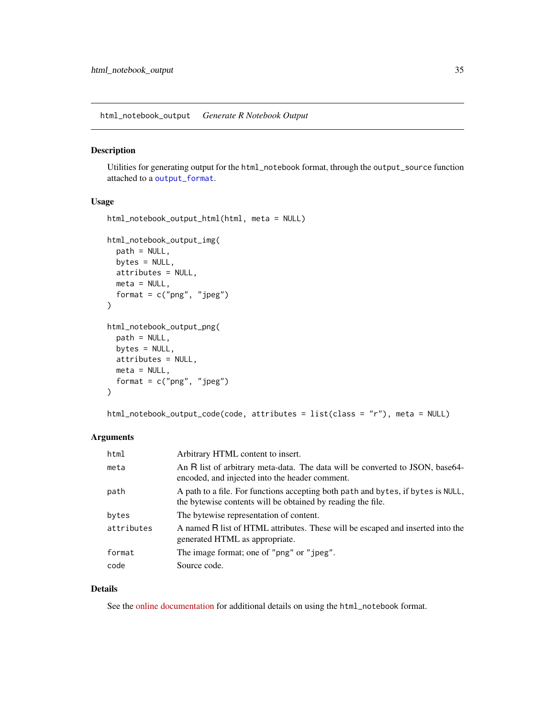<span id="page-34-1"></span><span id="page-34-0"></span>html\_notebook\_output *Generate R Notebook Output*

# Description

Utilities for generating output for the html\_notebook format, through the output\_source function attached to a [output\\_format](#page-53-1).

# Usage

```
html_notebook_output_html(html, meta = NULL)
html_notebook_output_img(
 path = NULL,bytes = NULL,
  attributes = NULL,
 meta = NULL,
 format = c("png", "jpeg")\mathcal{L}html_notebook_output_png(
 path = NULL,
 bytes = NULL,
 attributes = NULL,
 meta = NULL,
  format = c("png", "jpeg"))
```
html\_notebook\_output\_code(code, attributes = list(class = "r"), meta = NULL)

# Arguments

| html       | Arbitrary HTML content to insert.                                                                                                               |
|------------|-------------------------------------------------------------------------------------------------------------------------------------------------|
| meta       | An R list of arbitrary meta-data. The data will be converted to JSON, base 64-<br>encoded, and injected into the header comment.                |
| path       | A path to a file. For functions accepting both path and bytes, if bytes is NULL,<br>the bytewise contents will be obtained by reading the file. |
| bytes      | The bytewise representation of content.                                                                                                         |
| attributes | A named R list of HTML attributes. These will be escaped and inserted into the<br>generated HTML as appropriate.                                |
| format     | The image format; one of "png" or "jpeg".                                                                                                       |
| code       | Source code.                                                                                                                                    |

# Details

See the [online documentation](https://rmarkdown.rstudio.com/r_notebook_format.html) for additional details on using the html\_notebook format.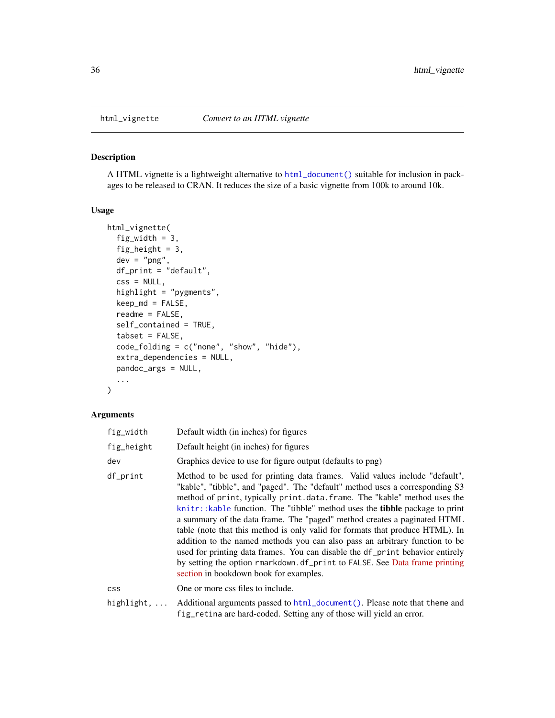<span id="page-35-1"></span><span id="page-35-0"></span>

#### Description

A HTML vignette is a lightweight alternative to [html\\_document\(\)](#page-19-1) suitable for inclusion in packages to be released to CRAN. It reduces the size of a basic vignette from 100k to around 10k.

# Usage

```
html_vignette(
  fig_width = 3,
  fig_height = 3,
  dev = "png",df<sub>-</sub>print = "default",
  \text{css} = \text{NULL},
  highlight = "pygments",
  keep_md = FALSE,
  readme = FALSE,
  self_contained = TRUE,
  tabset = FALSE,
  code_folding = c("none", "show", "hide"),
  extra_dependencies = NULL,
  pandoc_args = NULL,
  ...
)
```
# Arguments

| fig_width  | Default width (in inches) for figures                                                                                                                                                                                                                                                                                                                                                                                                                                                                                                                                                                                                                                                                                                                                       |
|------------|-----------------------------------------------------------------------------------------------------------------------------------------------------------------------------------------------------------------------------------------------------------------------------------------------------------------------------------------------------------------------------------------------------------------------------------------------------------------------------------------------------------------------------------------------------------------------------------------------------------------------------------------------------------------------------------------------------------------------------------------------------------------------------|
| fig_height | Default height (in inches) for figures                                                                                                                                                                                                                                                                                                                                                                                                                                                                                                                                                                                                                                                                                                                                      |
| dev        | Graphics device to use for figure output (defaults to png)                                                                                                                                                                                                                                                                                                                                                                                                                                                                                                                                                                                                                                                                                                                  |
| df_print   | Method to be used for printing data frames. Valid values include "default",<br>"kable", "tibble", and "paged". The "default" method uses a corresponding S3<br>method of print, typically print.data.frame. The "kable" method uses the<br>knitr::kable function. The "tibble" method uses the tibble package to print<br>a summary of the data frame. The "paged" method creates a paginated HTML<br>table (note that this method is only valid for formats that produce HTML). In<br>addition to the named methods you can also pass an arbitrary function to be<br>used for printing data frames. You can disable the df_print behavior entirely<br>by setting the option rmarkdown.df_print to FALSE. See Data frame printing<br>section in bookdown book for examples. |
| css        | One or more css files to include.                                                                                                                                                                                                                                                                                                                                                                                                                                                                                                                                                                                                                                                                                                                                           |
| highlight, | Additional arguments passed to html_document(). Please note that theme and<br>fig_retina are hard-coded. Setting any of those will yield an error.                                                                                                                                                                                                                                                                                                                                                                                                                                                                                                                                                                                                                          |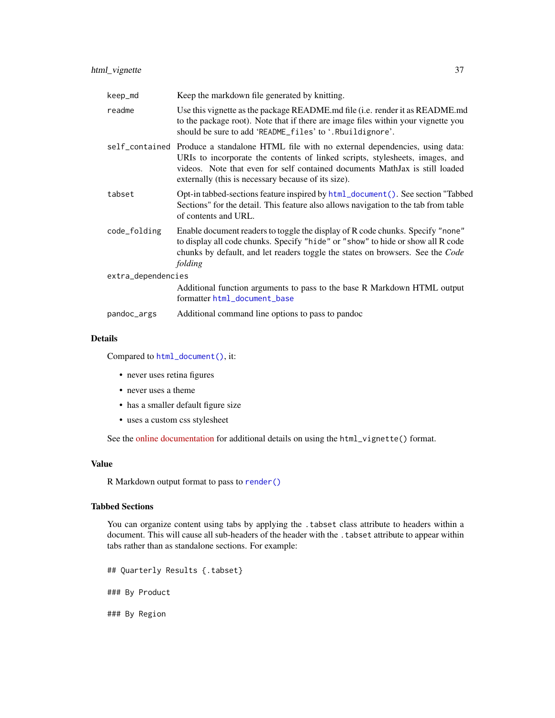| keep_md            | Keep the markdown file generated by knitting.                                                                                                                                                                                                                                                                  |  |
|--------------------|----------------------------------------------------------------------------------------------------------------------------------------------------------------------------------------------------------------------------------------------------------------------------------------------------------------|--|
| readme             | Use this vignette as the package README.md file ( <i>i.e.</i> render it as README.md<br>to the package root). Note that if there are image files within your vignette you<br>should be sure to add 'README_files' to '.Rbuildignore'.                                                                          |  |
|                    | self_contained Produce a standalone HTML file with no external dependencies, using data:<br>URIs to incorporate the contents of linked scripts, stylesheets, images, and<br>videos. Note that even for self contained documents MathJax is still loaded<br>externally (this is necessary because of its size). |  |
| tabset             | Opt-in tabbed-sections feature inspired by html_document (). See section "Tabbed<br>Sections" for the detail. This feature also allows navigation to the tab from table<br>of contents and URL.                                                                                                                |  |
| code_folding       | Enable document readers to toggle the display of R code chunks. Specify "none"<br>to display all code chunks. Specify "hide" or "show" to hide or show all R code<br>chunks by default, and let readers toggle the states on browsers. See the Code<br>folding                                                 |  |
| extra_dependencies |                                                                                                                                                                                                                                                                                                                |  |
|                    | Additional function arguments to pass to the base R Markdown HTML output<br>formatter html_document_base                                                                                                                                                                                                       |  |
| pandoc_args        | Additional command line options to pass to pandoc                                                                                                                                                                                                                                                              |  |
|                    |                                                                                                                                                                                                                                                                                                                |  |

## Details

Compared to [html\\_document\(\)](#page-19-0), it:

- never uses retina figures
- never uses a theme
- has a smaller default figure size
- uses a custom css stylesheet

See the [online documentation](https://bookdown.org/yihui/rmarkdown/r-package-vignette.html) for additional details on using the html\_vignette() format.

# Value

R Markdown output format to pass to [render\(\)](#page-71-0)

# Tabbed Sections

You can organize content using tabs by applying the . tabset class attribute to headers within a document. This will cause all sub-headers of the header with the . tabset attribute to appear within tabs rather than as standalone sections. For example:

## Quarterly Results {.tabset}

### By Product

### By Region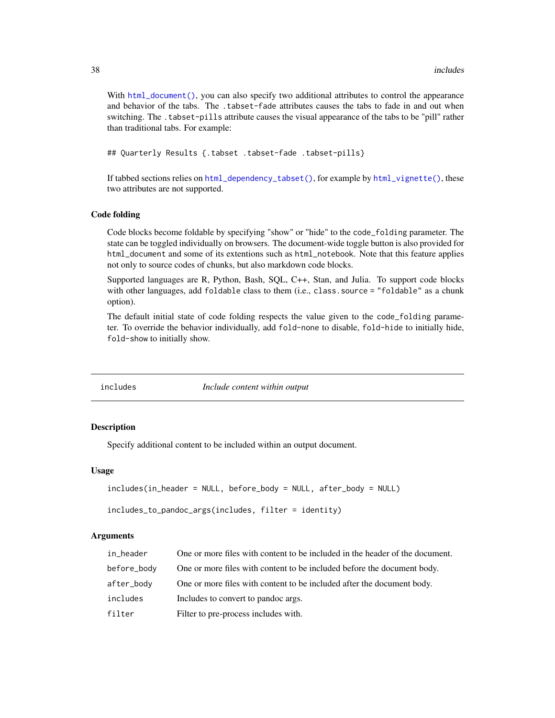With [html\\_document\(\)](#page-19-0), you can also specify two additional attributes to control the appearance and behavior of the tabs. The .tabset-fade attributes causes the tabs to fade in and out when switching. The .tabset-pills attribute causes the visual appearance of the tabs to be "pill" rather than traditional tabs. For example:

## Quarterly Results {.tabset .tabset-fade .tabset-pills}

If tabbed sections relies on [html\\_dependency\\_tabset\(\)](#page-18-0), for example by [html\\_vignette\(\)](#page-35-0), these two attributes are not supported.

#### Code folding

Code blocks become foldable by specifying "show" or "hide" to the code\_folding parameter. The state can be toggled individually on browsers. The document-wide toggle button is also provided for html\_document and some of its extentions such as html\_notebook. Note that this feature applies not only to source codes of chunks, but also markdown code blocks.

Supported languages are R, Python, Bash, SQL, C++, Stan, and Julia. To support code blocks with other languages, add foldable class to them (i.e., class.source = "foldable" as a chunk option).

The default initial state of code folding respects the value given to the code\_folding parameter. To override the behavior individually, add fold-none to disable, fold-hide to initially hide, fold-show to initially show.

<span id="page-37-0"></span>

includes *Include content within output*

#### **Description**

Specify additional content to be included within an output document.

#### Usage

```
includes(in_header = NULL, before_body = NULL, after_body = NULL)
```

```
includes_to_pandoc_args(includes, filter = identity)
```

| in_header   | One or more files with content to be included in the header of the document. |
|-------------|------------------------------------------------------------------------------|
| before_body | One or more files with content to be included before the document body.      |
| after_body  | One or more files with content to be included after the document body.       |
| includes    | Includes to convert to pandoc args.                                          |
| filter      | Filter to pre-process includes with.                                         |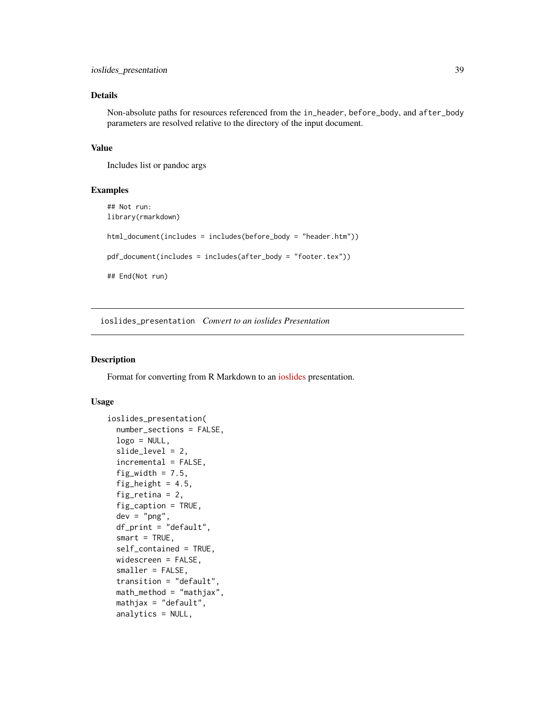# Details

Non-absolute paths for resources referenced from the in\_header, before\_body, and after\_body parameters are resolved relative to the directory of the input document.

## Value

Includes list or pandoc args

## Examples

```
## Not run:
library(rmarkdown)
html_document(includes = includes(before_body = "header.htm"))
pdf_document(includes = includes(after_body = "footer.tex"))
## End(Not run)
```
ioslides\_presentation *Convert to an ioslides Presentation*

# Description

Format for converting from R Markdown to an [ioslides](https://code.google.com/archive/p/io-2012-slides/) presentation.

## Usage

```
ioslides_presentation(
  number_sections = FALSE,
  logo = NULL,slide_level = 2,
  incremental = FALSE,
  fig_width = 7.5,
  fig_height = 4.5,
  fig_retina = 2,
  fig_caption = TRUE,
  dev = "png",df_print = "default",
  smart = TRUE,self_contained = TRUE,
 widescreen = FALSE,
  smaller = FALSE,
  transition = "default",
  math_method = "mathjax",
 mathjax = "default",
  analytics = NULL,
```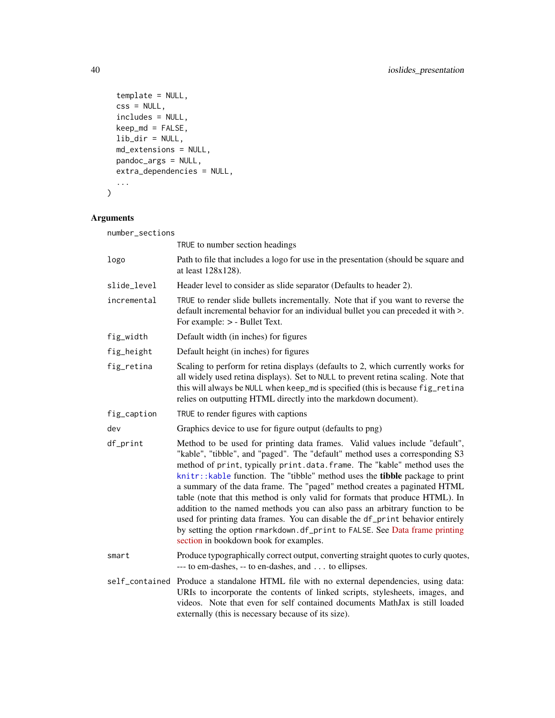```
template = NULL,
  \text{css} = \text{NULL},
  includes = NULL,
  keep_md = FALSE,
  lib_dir = NULL,
  md_extensions = NULL,
  pandoc_args = NULL,
  extra_dependencies = NULL,
  ...
\mathcal{L}
```

| number_sections |                                                                                                                                                                                                                                                                                                                                                                                                                                                                                                                                                                                                                                                                                                                                                                              |
|-----------------|------------------------------------------------------------------------------------------------------------------------------------------------------------------------------------------------------------------------------------------------------------------------------------------------------------------------------------------------------------------------------------------------------------------------------------------------------------------------------------------------------------------------------------------------------------------------------------------------------------------------------------------------------------------------------------------------------------------------------------------------------------------------------|
|                 | TRUE to number section headings                                                                                                                                                                                                                                                                                                                                                                                                                                                                                                                                                                                                                                                                                                                                              |
| logo            | Path to file that includes a logo for use in the presentation (should be square and<br>at least 128x128).                                                                                                                                                                                                                                                                                                                                                                                                                                                                                                                                                                                                                                                                    |
| slide_level     | Header level to consider as slide separator (Defaults to header 2).                                                                                                                                                                                                                                                                                                                                                                                                                                                                                                                                                                                                                                                                                                          |
| incremental     | TRUE to render slide bullets incrementally. Note that if you want to reverse the<br>default incremental behavior for an individual bullet you can preceded it with >.<br>For example: > - Bullet Text.                                                                                                                                                                                                                                                                                                                                                                                                                                                                                                                                                                       |
| fig_width       | Default width (in inches) for figures                                                                                                                                                                                                                                                                                                                                                                                                                                                                                                                                                                                                                                                                                                                                        |
| fig_height      | Default height (in inches) for figures                                                                                                                                                                                                                                                                                                                                                                                                                                                                                                                                                                                                                                                                                                                                       |
| fig_retina      | Scaling to perform for retina displays (defaults to 2, which currently works for<br>all widely used retina displays). Set to NULL to prevent retina scaling. Note that<br>this will always be NULL when keep_md is specified (this is because fig_retina<br>relies on outputting HTML directly into the markdown document).                                                                                                                                                                                                                                                                                                                                                                                                                                                  |
| fig_caption     | TRUE to render figures with captions                                                                                                                                                                                                                                                                                                                                                                                                                                                                                                                                                                                                                                                                                                                                         |
| dev             | Graphics device to use for figure output (defaults to png)                                                                                                                                                                                                                                                                                                                                                                                                                                                                                                                                                                                                                                                                                                                   |
| df_print        | Method to be used for printing data frames. Valid values include "default",<br>"kable", "tibble", and "paged". The "default" method uses a corresponding S3<br>method of print, typically print.data.frame. The "kable" method uses the<br>knitr:: kable function. The "tibble" method uses the tibble package to print<br>a summary of the data frame. The "paged" method creates a paginated HTML<br>table (note that this method is only valid for formats that produce HTML). In<br>addition to the named methods you can also pass an arbitrary function to be<br>used for printing data frames. You can disable the df_print behavior entirely<br>by setting the option rmarkdown.df_print to FALSE. See Data frame printing<br>section in bookdown book for examples. |
| smart           | Produce typographically correct output, converting straight quotes to curly quotes,<br>--- to em-dashes, -- to en-dashes, and to ellipses.                                                                                                                                                                                                                                                                                                                                                                                                                                                                                                                                                                                                                                   |
|                 | self_contained Produce a standalone HTML file with no external dependencies, using data:<br>URIs to incorporate the contents of linked scripts, stylesheets, images, and<br>videos. Note that even for self contained documents MathJax is still loaded<br>externally (this is necessary because of its size).                                                                                                                                                                                                                                                                                                                                                                                                                                                               |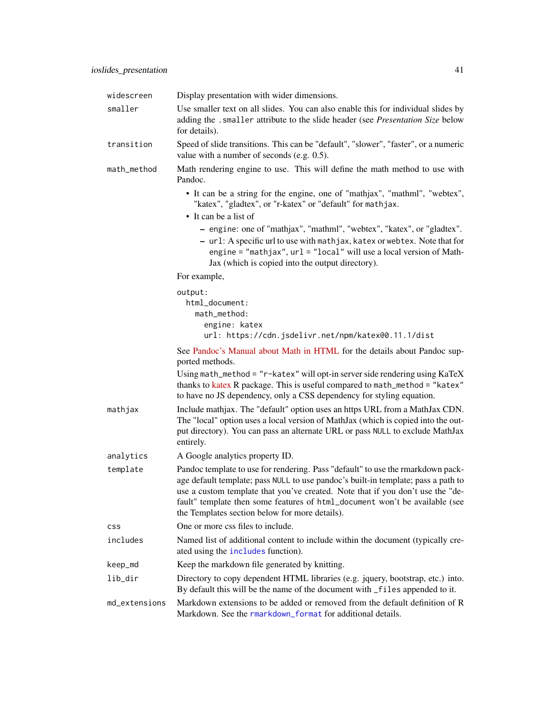| widescreen    | Display presentation with wider dimensions.                                                                                                                                                                                                                                                                                                                                             |
|---------------|-----------------------------------------------------------------------------------------------------------------------------------------------------------------------------------------------------------------------------------------------------------------------------------------------------------------------------------------------------------------------------------------|
| smaller       | Use smaller text on all slides. You can also enable this for individual slides by<br>adding the .smaller attribute to the slide header (see Presentation Size below<br>for details).                                                                                                                                                                                                    |
| transition    | Speed of slide transitions. This can be "default", "slower", "faster", or a numeric<br>value with a number of seconds (e.g. 0.5).                                                                                                                                                                                                                                                       |
| math_method   | Math rendering engine to use. This will define the math method to use with<br>Pandoc.                                                                                                                                                                                                                                                                                                   |
|               | • It can be a string for the engine, one of "mathjax", "mathml", "webtex",<br>"katex", "gladtex", or "r-katex" or "default" for mathjax.<br>• It can be a list of                                                                                                                                                                                                                       |
|               | - engine: one of "mathjax", "mathml", "webtex", "katex", or "gladtex".<br>- url: A specific url to use with mathjax, katex or webtex. Note that for<br>engine = "mathjax", url = "local" will use a local version of Math-<br>Jax (which is copied into the output directory).                                                                                                          |
|               | For example,                                                                                                                                                                                                                                                                                                                                                                            |
|               | output:<br>html_document:<br>math_method:<br>engine: katex<br>url: https://cdn.jsdelivr.net/npm/katex@0.11.1/dist                                                                                                                                                                                                                                                                       |
|               | See Pandoc's Manual about Math in HTML for the details about Pandoc sup-<br>ported methods.                                                                                                                                                                                                                                                                                             |
|               | Using math_method = "r-katex" will opt-in server side rendering using KaTeX<br>thanks to katex R package. This is useful compared to math_method = "katex"<br>to have no JS dependency, only a CSS dependency for styling equation.                                                                                                                                                     |
| mathjax       | Include mathjax. The "default" option uses an https URL from a MathJax CDN.<br>The "local" option uses a local version of MathJax (which is copied into the out-<br>put directory). You can pass an alternate URL or pass NULL to exclude MathJax<br>entirely.                                                                                                                          |
| analytics     | A Google analytics property ID.                                                                                                                                                                                                                                                                                                                                                         |
| template      | Pandoc template to use for rendering. Pass "default" to use the rmarkdown pack-<br>age default template; pass NULL to use pandoc's built-in template; pass a path to<br>use a custom template that you've created. Note that if you don't use the "de-<br>fault" template then some features of html_document won't be available (see<br>the Templates section below for more details). |
| <b>CSS</b>    | One or more css files to include.                                                                                                                                                                                                                                                                                                                                                       |
| includes      | Named list of additional content to include within the document (typically cre-<br>ated using the includes function).                                                                                                                                                                                                                                                                   |
| keep_md       | Keep the markdown file generated by knitting.                                                                                                                                                                                                                                                                                                                                           |
| lib_dir       | Directory to copy dependent HTML libraries (e.g. jquery, bootstrap, etc.) into.<br>By default this will be the name of the document with _files appended to it.                                                                                                                                                                                                                         |
| md_extensions | Markdown extensions to be added or removed from the default definition of R<br>Markdown. See the rmarkdown_format for additional details.                                                                                                                                                                                                                                               |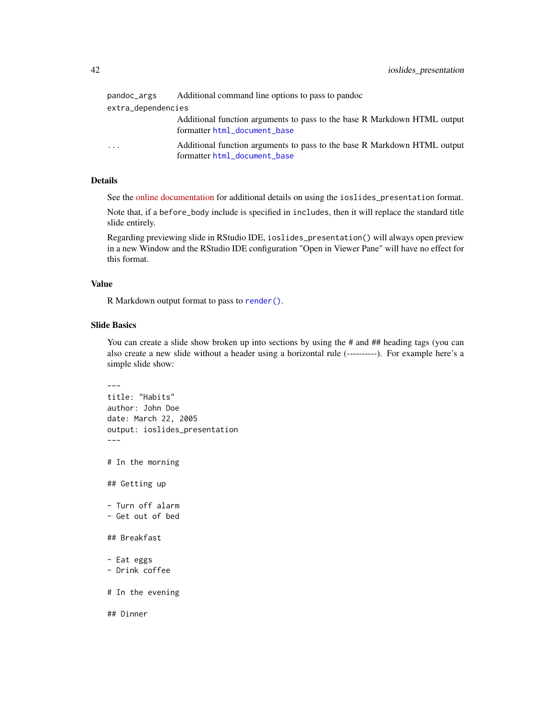| pandoc_args        | Additional command line options to pass to pandoc                                                        |  |
|--------------------|----------------------------------------------------------------------------------------------------------|--|
| extra_dependencies |                                                                                                          |  |
|                    | Additional function arguments to pass to the base R Markdown HTML output<br>formatter html_document_base |  |
| $\cdot$            | Additional function arguments to pass to the base R Markdown HTML output<br>formatter html_document_base |  |

# Details

See the [online documentation](https://bookdown.org/yihui/rmarkdown/ioslides-presentation.html) for additional details on using the ioslides\_presentation format.

Note that, if a before\_body include is specified in includes, then it will replace the standard title slide entirely.

Regarding previewing slide in RStudio IDE, ioslides\_presentation() will always open preview in a new Window and the RStudio IDE configuration "Open in Viewer Pane" will have no effect for this format.

## Value

R Markdown output format to pass to [render\(\)](#page-71-0).

#### Slide Basics

You can create a slide show broken up into sections by using the # and ## heading tags (you can also create a new slide without a header using a horizontal rule (----------). For example here's a simple slide show:

```
---
title: "Habits"
author: John Doe
date: March 22, 2005
output: ioslides_presentation
---
# In the morning
## Getting up
- Turn off alarm
- Get out of bed
## Breakfast
- Eat eggs
- Drink coffee
# In the evening
## Dinner
```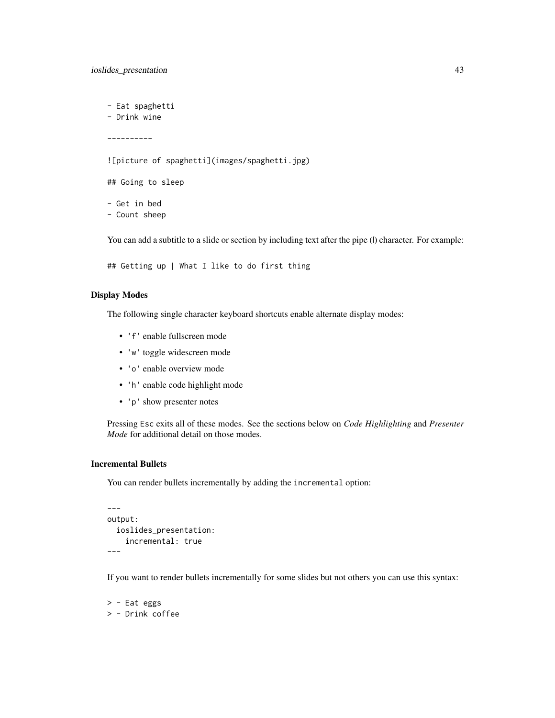- Eat spaghetti - Drink wine ---------- ![picture of spaghetti](images/spaghetti.jpg) ## Going to sleep - Get in bed - Count sheep

You can add a subtitle to a slide or section by including text after the pipe (I) character. For example:

```
## Getting up | What I like to do first thing
```
# Display Modes

The following single character keyboard shortcuts enable alternate display modes:

- 'f' enable fullscreen mode
- 'w' toggle widescreen mode
- 'o' enable overview mode
- 'h' enable code highlight mode
- 'p' show presenter notes

Pressing Esc exits all of these modes. See the sections below on *Code Highlighting* and *Presenter Mode* for additional detail on those modes.

## Incremental Bullets

You can render bullets incrementally by adding the incremental option:

```
---
output:
  ioslides_presentation:
    incremental: true
---
```
If you want to render bullets incrementally for some slides but not others you can use this syntax:

> - Eat eggs > - Drink coffee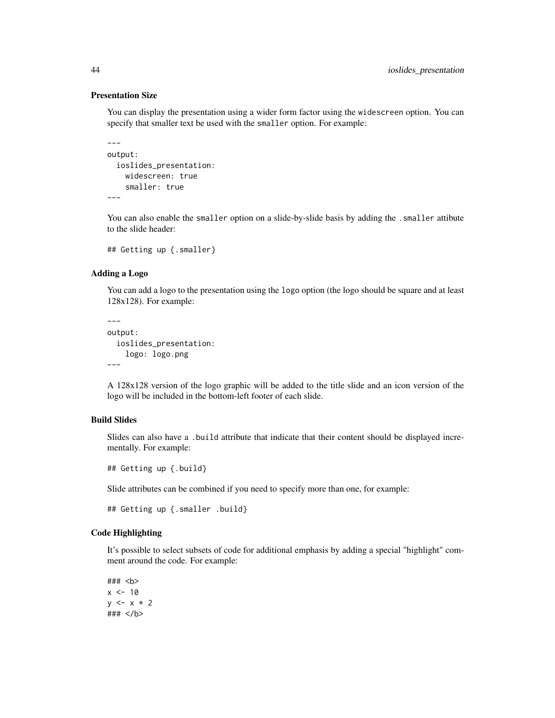## Presentation Size

You can display the presentation using a wider form factor using the widescreen option. You can specify that smaller text be used with the smaller option. For example:

```
---output:
  ioslides_presentation:
    widescreen: true
    smaller: true
---
```
You can also enable the smaller option on a slide-by-slide basis by adding the . smaller attibute to the slide header:

```
## Getting up {.smaller}
```
## Adding a Logo

You can add a logo to the presentation using the logo option (the logo should be square and at least 128x128). For example:

```
---
output:
  ioslides_presentation:
    logo: logo.png
---
```
A 128x128 version of the logo graphic will be added to the title slide and an icon version of the logo will be included in the bottom-left footer of each slide.

# Build Slides

Slides can also have a .build attribute that indicate that their content should be displayed incrementally. For example:

## Getting up {.build}

Slide attributes can be combined if you need to specify more than one, for example:

```
## Getting up {.smaller .build}
```
# Code Highlighting

It's possible to select subsets of code for additional emphasis by adding a special "highlight" comment around the code. For example:

### <b>  $x < -10$  $y \leq -x \times 2$ ### </b>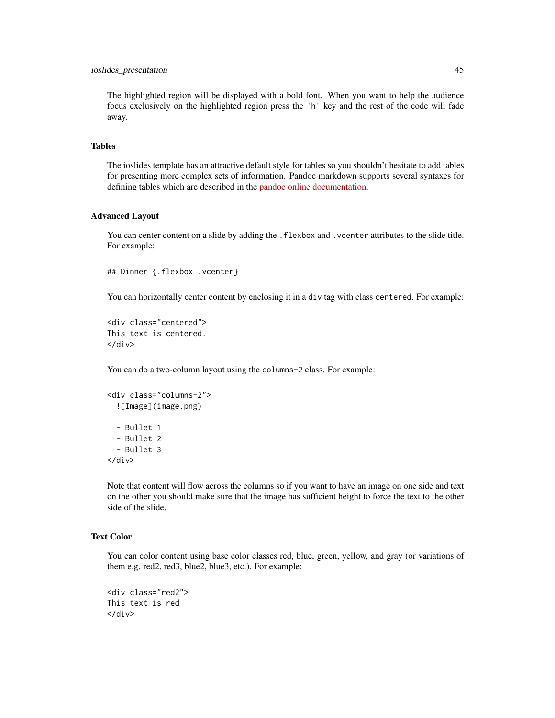# ioslides\_presentation 45

The highlighted region will be displayed with a bold font. When you want to help the audience focus exclusively on the highlighted region press the 'h' key and the rest of the code will fade away.

## Tables

The ioslides template has an attractive default style for tables so you shouldn't hesitate to add tables for presenting more complex sets of information. Pandoc markdown supports several syntaxes for defining tables which are described in the [pandoc online documentation.](https://pandoc.org/MANUAL.html)

#### Advanced Layout

You can center content on a slide by adding the . flexbox and . vcenter attributes to the slide title. For example:

```
## Dinner {.flexbox .vcenter}
```
You can horizontally center content by enclosing it in a div tag with class centered. For example:

```
<div class="centered">
This text is centered.
</div>
```
You can do a two-column layout using the columns-2 class. For example:

```
<div class="columns-2">
  ![Image](image.png)
  - Bullet 1
  - Bullet 2
  - Bullet 3
\langle/div\rangle
```
Note that content will flow across the columns so if you want to have an image on one side and text on the other you should make sure that the image has sufficient height to force the text to the other side of the slide.

# Text Color

You can color content using base color classes red, blue, green, yellow, and gray (or variations of them e.g. red2, red3, blue2, blue3, etc.). For example:

```
<div class="red2">
This text is red
\langlediv\rangle
```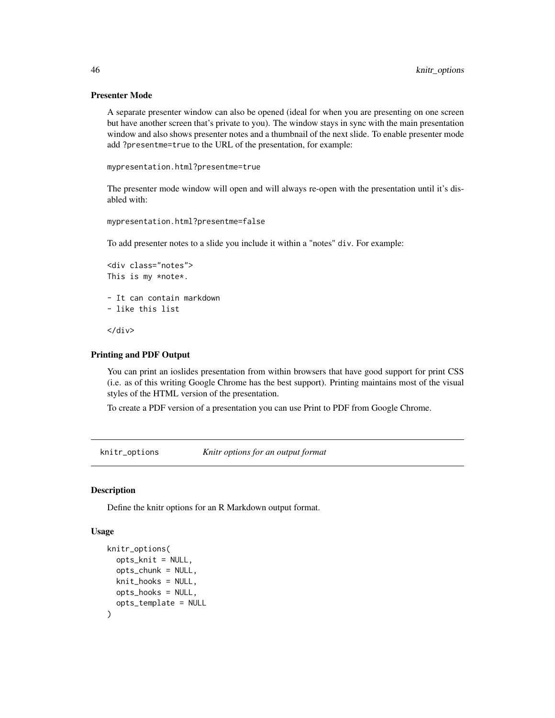## Presenter Mode

A separate presenter window can also be opened (ideal for when you are presenting on one screen but have another screen that's private to you). The window stays in sync with the main presentation window and also shows presenter notes and a thumbnail of the next slide. To enable presenter mode add ?presentme=true to the URL of the presentation, for example:

```
mypresentation.html?presentme=true
```
The presenter mode window will open and will always re-open with the presentation until it's disabled with:

```
mypresentation.html?presentme=false
```
To add presenter notes to a slide you include it within a "notes" div. For example:

```
<div class="notes">
This is my *note*.
- It can contain markdown
- like this list
```
</div>

## Printing and PDF Output

You can print an ioslides presentation from within browsers that have good support for print CSS (i.e. as of this writing Google Chrome has the best support). Printing maintains most of the visual styles of the HTML version of the presentation.

To create a PDF version of a presentation you can use Print to PDF from Google Chrome.

<span id="page-45-0"></span>knitr\_options *Knitr options for an output format*

#### **Description**

Define the knitr options for an R Markdown output format.

## Usage

```
knitr_options(
  opts_knit = NULL,
  opts_chunk = NULL,
 knit_hooks = NULL,
 opts_hooks = NULL,
  opts_template = NULL
)
```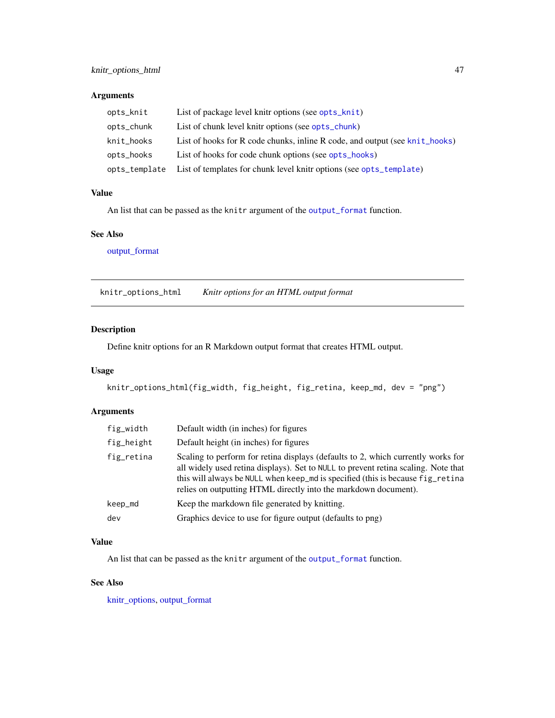# Arguments

| opts_knit     | List of package level knitr options (see opts_knit)                         |
|---------------|-----------------------------------------------------------------------------|
| opts_chunk    | List of chunk level knitr options (see opts_chunk)                          |
| knit_hooks    | List of hooks for R code chunks, inline R code, and output (see knit_hooks) |
| opts_hooks    | List of hooks for code chunk options (see opts_hooks)                       |
| opts_template | List of templates for chunk level knitr options (see opts_template)         |

## Value

An list that can be passed as the knitr argument of the [output\\_format](#page-53-0) function.

## See Also

[output\\_format](#page-53-0)

knitr\_options\_html *Knitr options for an HTML output format*

# Description

Define knitr options for an R Markdown output format that creates HTML output.

# Usage

knitr\_options\_html(fig\_width, fig\_height, fig\_retina, keep\_md, dev = "png")

# Arguments

| fig_width  | Default width (in inches) for figures                                                                                                                                                                                                                                                                                       |
|------------|-----------------------------------------------------------------------------------------------------------------------------------------------------------------------------------------------------------------------------------------------------------------------------------------------------------------------------|
| fig_height | Default height (in inches) for figures                                                                                                                                                                                                                                                                                      |
| fig_retina | Scaling to perform for retina displays (defaults to 2, which currently works for<br>all widely used retina displays). Set to NULL to prevent retina scaling. Note that<br>this will always be NULL when keep_md is specified (this is because fig_retina<br>relies on outputting HTML directly into the markdown document). |
| keep_md    | Keep the markdown file generated by knitting.                                                                                                                                                                                                                                                                               |
| dev        | Graphics device to use for figure output (defaults to png)                                                                                                                                                                                                                                                                  |

# Value

An list that can be passed as the knitr argument of the [output\\_format](#page-53-0) function.

# See Also

[knitr\\_options,](#page-45-0) [output\\_format](#page-53-0)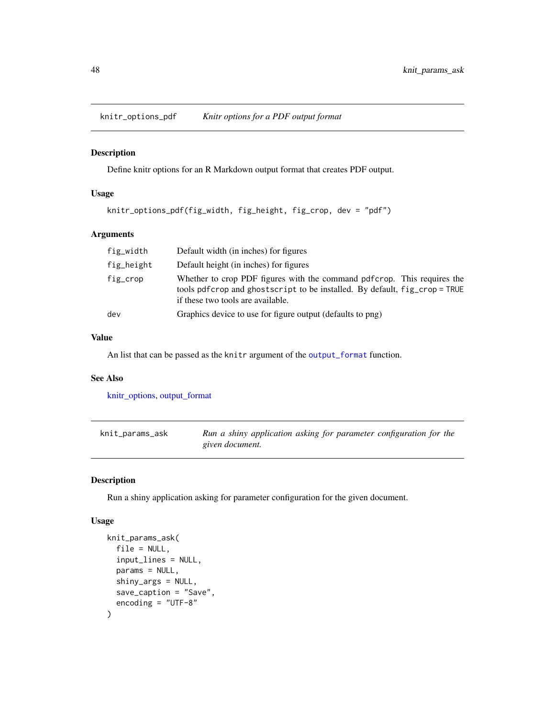knitr\_options\_pdf *Knitr options for a PDF output format*

### Description

Define knitr options for an R Markdown output format that creates PDF output.

# Usage

```
knitr_options_pdf(fig_width, fig_height, fig_crop, dev = "pdf")
```
# Arguments

| fig_width  | Default width (in inches) for figures                                                                                                                                                       |
|------------|---------------------------------------------------------------------------------------------------------------------------------------------------------------------------------------------|
| fig_height | Default height (in inches) for figures                                                                                                                                                      |
| fig_crop   | Whether to crop PDF figures with the command pdf crop. This requires the<br>tools pdfcrop and ghostscript to be installed. By default, fig_crop = TRUE<br>if these two tools are available. |
| dev        | Graphics device to use for figure output (defaults to png)                                                                                                                                  |

#### Value

An list that can be passed as the knitr argument of the [output\\_format](#page-53-0) function.

# See Also

[knitr\\_options,](#page-45-0) [output\\_format](#page-53-0)

| knit_params_ask | Run a shiny application asking for parameter configuration for the |
|-----------------|--------------------------------------------------------------------|
|                 | given document.                                                    |

# Description

Run a shiny application asking for parameter configuration for the given document.

## Usage

```
knit_params_ask(
  file = NULL,
  input_lines = NULL,
  params = NULL,
  shiny_args = NULL,
  save_caption = "Save",
  encoding = "UTF-8"
\mathcal{E}
```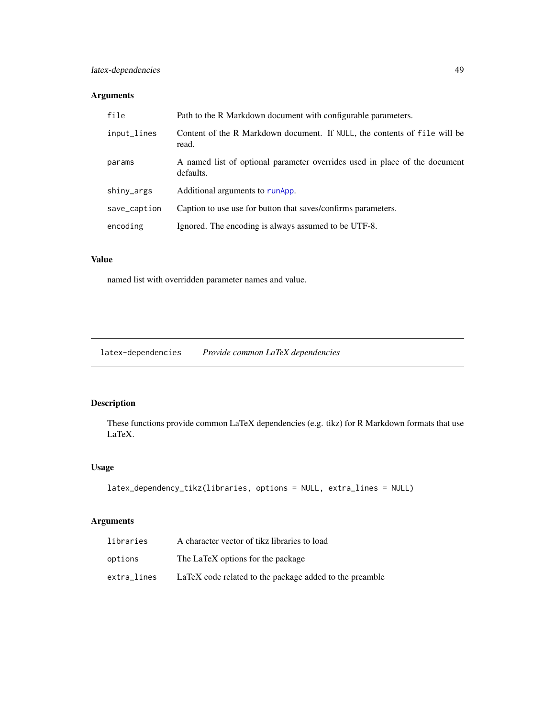# latex-dependencies 49

# Arguments

| file         | Path to the R Markdown document with configurable parameters.                           |
|--------------|-----------------------------------------------------------------------------------------|
| input_lines  | Content of the R Markdown document. If NULL, the contents of file will be<br>read.      |
| params       | A named list of optional parameter overrides used in place of the document<br>defaults. |
| shiny_args   | Additional arguments to runApp.                                                         |
| save_caption | Caption to use use for button that saves/confirms parameters.                           |
| encoding     | Ignored. The encoding is always assumed to be UTF-8.                                    |
|              |                                                                                         |

# Value

named list with overridden parameter names and value.

latex-dependencies *Provide common LaTeX dependencies*

# Description

These functions provide common LaTeX dependencies (e.g. tikz) for R Markdown formats that use LaTeX.

# Usage

```
latex_dependency_tikz(libraries, options = NULL, extra_lines = NULL)
```

| libraries   | A character vector of tikz libraries to load            |
|-------------|---------------------------------------------------------|
| options     | The LaTeX options for the package                       |
| extra_lines | LaTeX code related to the package added to the preamble |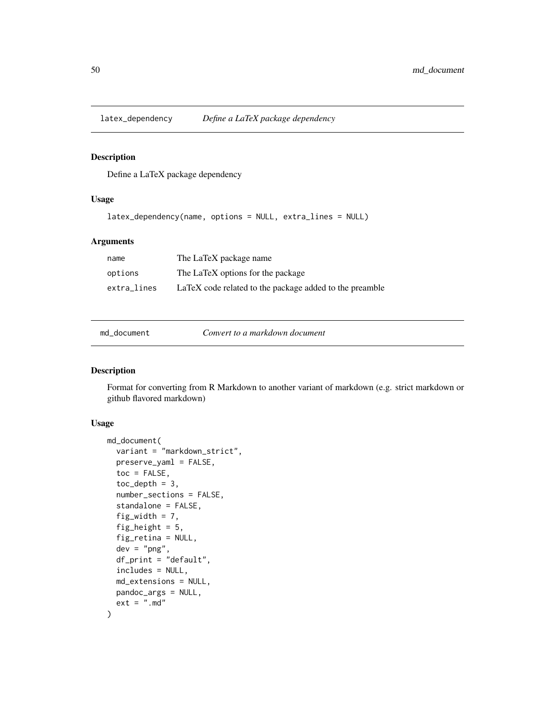Define a LaTeX package dependency

# Usage

```
latex_dependency(name, options = NULL, extra_lines = NULL)
```
## Arguments

| name        | The LaTeX package name                                  |
|-------------|---------------------------------------------------------|
| options     | The LaTeX options for the package                       |
| extra lines | LaTeX code related to the package added to the preamble |

md\_document *Convert to a markdown document*

## Description

Format for converting from R Markdown to another variant of markdown (e.g. strict markdown or github flavored markdown)

# Usage

```
md_document(
  variant = "markdown_strict",
 preserve_yaml = FALSE,
  toc = FALSE,toc\_depth = 3,
  number_sections = FALSE,
  standalone = FALSE,
  fig_width = 7,
  fig_height = 5,
  fig_retina = NULL,
  dev = "png",df<sub>-print</sub> = "default",
  includes = NULL,
 md_extensions = NULL,
 pandoc_args = NULL,
  ext = " . md")
```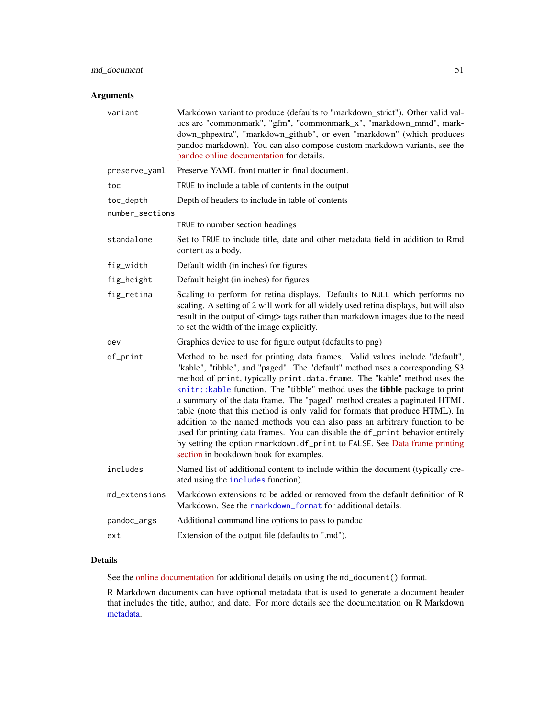# Arguments

| variant         | Markdown variant to produce (defaults to "markdown_strict"). Other valid val-<br>ues are "commonmark", "gfm", "commonmark_x", "markdown_mmd", mark-<br>down_phpextra", "markdown_github", or even "markdown" (which produces<br>pandoc markdown). You can also compose custom markdown variants, see the<br>pandoc online documentation for details.                                                                                                                                                                                                                                                                                                                                                                                                                        |
|-----------------|-----------------------------------------------------------------------------------------------------------------------------------------------------------------------------------------------------------------------------------------------------------------------------------------------------------------------------------------------------------------------------------------------------------------------------------------------------------------------------------------------------------------------------------------------------------------------------------------------------------------------------------------------------------------------------------------------------------------------------------------------------------------------------|
| preserve_yaml   | Preserve YAML front matter in final document.                                                                                                                                                                                                                                                                                                                                                                                                                                                                                                                                                                                                                                                                                                                               |
| toc             | TRUE to include a table of contents in the output                                                                                                                                                                                                                                                                                                                                                                                                                                                                                                                                                                                                                                                                                                                           |
| toc_depth       | Depth of headers to include in table of contents                                                                                                                                                                                                                                                                                                                                                                                                                                                                                                                                                                                                                                                                                                                            |
| number_sections |                                                                                                                                                                                                                                                                                                                                                                                                                                                                                                                                                                                                                                                                                                                                                                             |
|                 | TRUE to number section headings                                                                                                                                                                                                                                                                                                                                                                                                                                                                                                                                                                                                                                                                                                                                             |
| standalone      | Set to TRUE to include title, date and other metadata field in addition to Rmd<br>content as a body.                                                                                                                                                                                                                                                                                                                                                                                                                                                                                                                                                                                                                                                                        |
| fig_width       | Default width (in inches) for figures                                                                                                                                                                                                                                                                                                                                                                                                                                                                                                                                                                                                                                                                                                                                       |
| fig_height      | Default height (in inches) for figures                                                                                                                                                                                                                                                                                                                                                                                                                                                                                                                                                                                                                                                                                                                                      |
| fig_retina      | Scaling to perform for retina displays. Defaults to NULL which performs no<br>scaling. A setting of 2 will work for all widely used retina displays, but will also<br>result in the output of <img/> tags rather than markdown images due to the need<br>to set the width of the image explicitly.                                                                                                                                                                                                                                                                                                                                                                                                                                                                          |
| dev             | Graphics device to use for figure output (defaults to png)                                                                                                                                                                                                                                                                                                                                                                                                                                                                                                                                                                                                                                                                                                                  |
| df_print        | Method to be used for printing data frames. Valid values include "default",<br>"kable", "tibble", and "paged". The "default" method uses a corresponding S3<br>method of print, typically print.data.frame. The "kable" method uses the<br>knitr::kable function. The "tibble" method uses the tibble package to print<br>a summary of the data frame. The "paged" method creates a paginated HTML<br>table (note that this method is only valid for formats that produce HTML). In<br>addition to the named methods you can also pass an arbitrary function to be<br>used for printing data frames. You can disable the df_print behavior entirely<br>by setting the option rmarkdown.df_print to FALSE. See Data frame printing<br>section in bookdown book for examples. |
| includes        | Named list of additional content to include within the document (typically cre-<br>ated using the includes function).                                                                                                                                                                                                                                                                                                                                                                                                                                                                                                                                                                                                                                                       |
| md_extensions   | Markdown extensions to be added or removed from the default definition of R<br>Markdown. See the rmarkdown_format for additional details.                                                                                                                                                                                                                                                                                                                                                                                                                                                                                                                                                                                                                                   |
| pandoc_args     | Additional command line options to pass to pandoc                                                                                                                                                                                                                                                                                                                                                                                                                                                                                                                                                                                                                                                                                                                           |
| ext             | Extension of the output file (defaults to ".md").                                                                                                                                                                                                                                                                                                                                                                                                                                                                                                                                                                                                                                                                                                                           |
|                 |                                                                                                                                                                                                                                                                                                                                                                                                                                                                                                                                                                                                                                                                                                                                                                             |

## Details

See the [online documentation](https://bookdown.org/yihui/rmarkdown/markdown-document.html) for additional details on using the md\_document() format.

R Markdown documents can have optional metadata that is used to generate a document header that includes the title, author, and date. For more details see the documentation on R Markdown [metadata.](#page-81-0)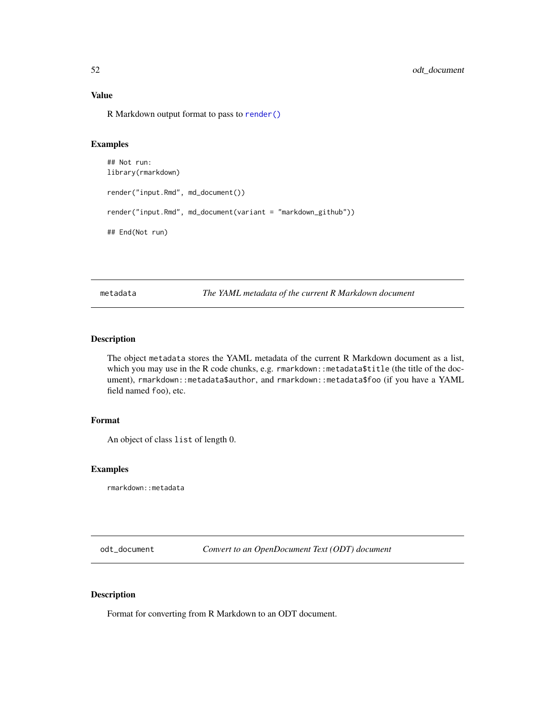## Value

R Markdown output format to pass to [render\(\)](#page-71-0)

## Examples

```
## Not run:
library(rmarkdown)
render("input.Rmd", md_document())
render("input.Rmd", md_document(variant = "markdown_github"))
## End(Not run)
```
metadata *The YAML metadata of the current R Markdown document*

# Description

The object metadata stores the YAML metadata of the current R Markdown document as a list, which you may use in the R code chunks, e.g. rmarkdown::metadata\$title (the title of the document), rmarkdown::metadata\$author, and rmarkdown::metadata\$foo (if you have a YAML field named foo), etc.

#### Format

An object of class list of length 0.

# Examples

rmarkdown::metadata

odt\_document *Convert to an OpenDocument Text (ODT) document*

# Description

Format for converting from R Markdown to an ODT document.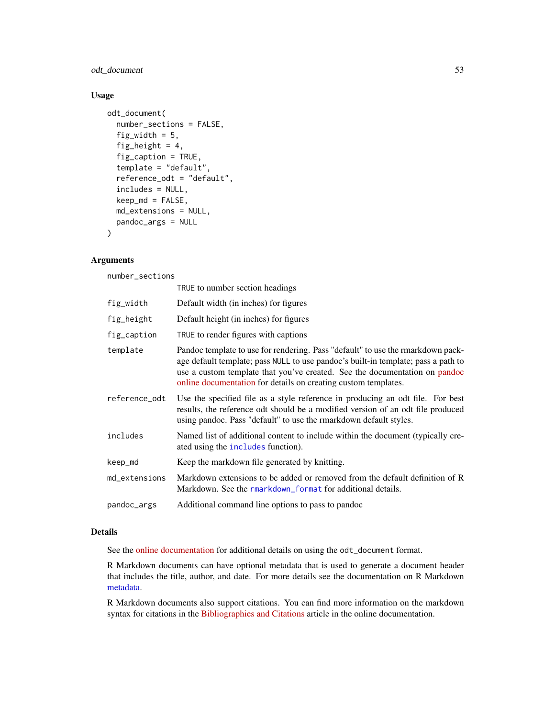odt\_document 53

# Usage

```
odt_document(
  number_sections = FALSE,
  fig_width = 5,
  fig_height = 4,
  fig_caption = TRUE,
  template = "default",
  reference_odt = "default",
  includes = NULL,
  keep_md = FALSE,
  md_extensions = NULL,
  pandoc_args = NULL
)
```
# Arguments

number\_sections

|               | TRUE to number section headings                                                                                                                                                                                                                                                                                      |
|---------------|----------------------------------------------------------------------------------------------------------------------------------------------------------------------------------------------------------------------------------------------------------------------------------------------------------------------|
| fig_width     | Default width (in inches) for figures                                                                                                                                                                                                                                                                                |
| fig_height    | Default height (in inches) for figures                                                                                                                                                                                                                                                                               |
| fig_caption   | TRUE to render figures with captions                                                                                                                                                                                                                                                                                 |
| template      | Pandoc template to use for rendering. Pass "default" to use the rmarkdown pack-<br>age default template; pass NULL to use pandoc's built-in template; pass a path to<br>use a custom template that you've created. See the documentation on pandoc<br>online documentation for details on creating custom templates. |
| reference_odt | Use the specified file as a style reference in producing an odt file. For best<br>results, the reference odt should be a modified version of an odt file produced<br>using pandoc. Pass "default" to use the rmarkdown default styles.                                                                               |
| includes      | Named list of additional content to include within the document (typically cre-<br>ated using the includes function).                                                                                                                                                                                                |
| keep_md       | Keep the markdown file generated by knitting.                                                                                                                                                                                                                                                                        |
| md_extensions | Markdown extensions to be added or removed from the default definition of R<br>Markdown. See the rmarkdown_format for additional details.                                                                                                                                                                            |
| pandoc_args   | Additional command line options to pass to pandoc                                                                                                                                                                                                                                                                    |
|               |                                                                                                                                                                                                                                                                                                                      |

# Details

See the [online documentation](https://bookdown.org/yihui/rmarkdown/opendocument-text-document.html) for additional details on using the odt\_document format.

R Markdown documents can have optional metadata that is used to generate a document header that includes the title, author, and date. For more details see the documentation on R Markdown [metadata.](#page-81-0)

R Markdown documents also support citations. You can find more information on the markdown syntax for citations in the [Bibliographies and Citations](https://pandoc.org/MANUAL.html#citations) article in the online documentation.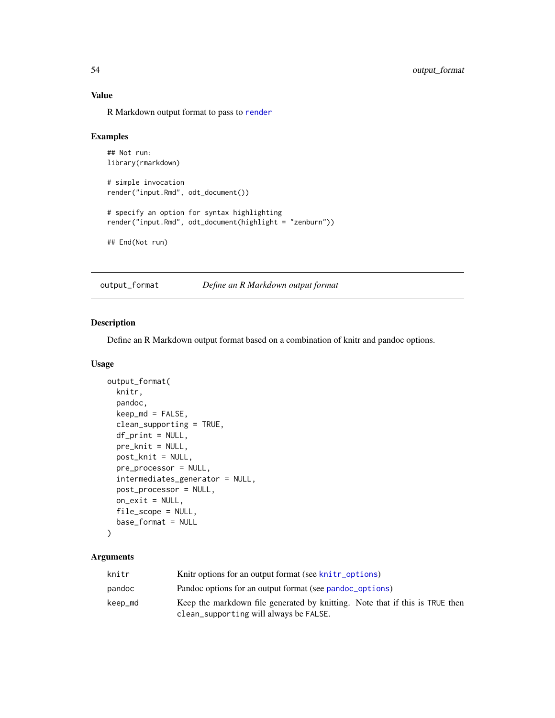# Value

R Markdown output format to pass to [render](#page-71-0)

#### Examples

```
## Not run:
library(rmarkdown)
# simple invocation
render("input.Rmd", odt_document())
# specify an option for syntax highlighting
render("input.Rmd", odt_document(highlight = "zenburn"))
## End(Not run)
```
<span id="page-53-0"></span>output\_format *Define an R Markdown output format*

#### Description

Define an R Markdown output format based on a combination of knitr and pandoc options.

## Usage

```
output_format(
  knitr,
  pandoc,
  keep\_md = FALSE,clean_supporting = TRUE,
  df_print = NULL,pre_knit = NULL,
 post_knit = NULL,
 pre_processor = NULL,
  intermediates_generator = NULL,
  post_processor = NULL,
 on\_exit = NULL,file_scope = NULL,
  base_format = NULL
)
```

| knitr   | Knitr options for an output format (see knitr options)                                                                 |
|---------|------------------------------------------------------------------------------------------------------------------------|
| pandoc  | Pandoc options for an output format (see pandoc_options)                                                               |
| keep_md | Keep the markdown file generated by knitting. Note that if this is TRUE then<br>clean_supporting will always be FALSE. |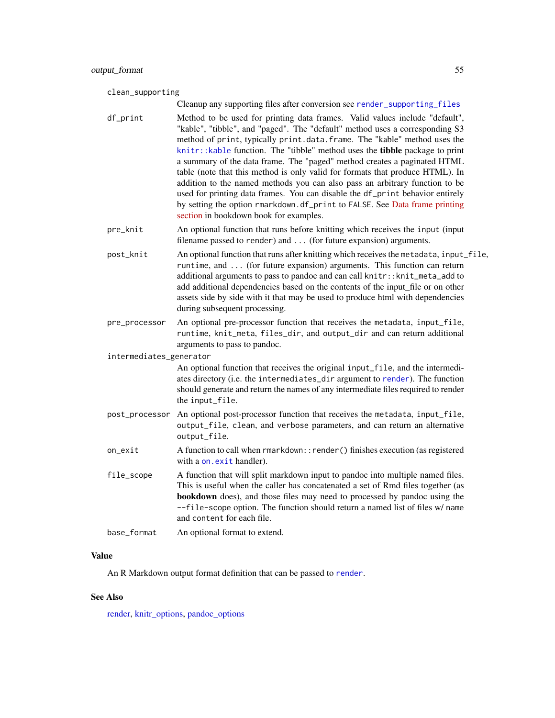#### clean\_supporting

Cleanup any supporting files after conversion see [render\\_supporting\\_files](#page-79-0)

df\_print Method to be used for printing data frames. Valid values include "default", "kable", "tibble", and "paged". The "default" method uses a corresponding S3 method of print, typically print.data.frame. The "kable" method uses the [knitr::kable](#page-0-0) function. The "tibble" method uses the **tibble** package to print a summary of the data frame. The "paged" method creates a paginated HTML table (note that this method is only valid for formats that produce HTML). In addition to the named methods you can also pass an arbitrary function to be used for printing data frames. You can disable the df\_print behavior entirely by setting the option rmarkdown.df\_print to FALSE. See [Data frame printing](https://bookdown.org/yihui/rmarkdown/html-document.html#data-frame-printing) [section](https://bookdown.org/yihui/rmarkdown/html-document.html#data-frame-printing) in bookdown book for examples.

pre\_knit An optional function that runs before knitting which receives the input (input filename passed to render) and ... (for future expansion) arguments.

post\_knit An optional function that runs after knitting which receives the metadata, input\_file, runtime, and ... (for future expansion) arguments. This function can return additional arguments to pass to pandoc and can call knitr::knit\_meta\_add to add additional dependencies based on the contents of the input\_file or on other assets side by side with it that may be used to produce html with dependencies during subsequent processing.

pre\_processor An optional pre-processor function that receives the metadata, input\_file, runtime, knit\_meta, files\_dir, and output\_dir and can return additional arguments to pass to pandoc.

intermediates\_generator

An optional function that receives the original input\_file, and the intermediates directory (i.e. the intermediates\_dir argument to [render](#page-71-0)). The function should generate and return the names of any intermediate files required to render the input\_file.

- post\_processor An optional post-processor function that receives the metadata, input\_file, output\_file, clean, and verbose parameters, and can return an alternative output\_file.
- on\_exit A function to call when rmarkdown::render() finishes execution (as registered with a [on.exit](#page-0-0) handler).
- file\_scope A function that will split markdown input to pandoc into multiple named files. This is useful when the caller has concatenated a set of Rmd files together (as bookdown does), and those files may need to processed by pandoc using the --file-scope option. The function should return a named list of files w/ name and content for each file.
- base\_format An optional format to extend.

# Value

An R Markdown output format definition that can be passed to [render](#page-71-0).

## See Also

[render,](#page-71-0) [knitr\\_options,](#page-45-0) [pandoc\\_options](#page-60-0)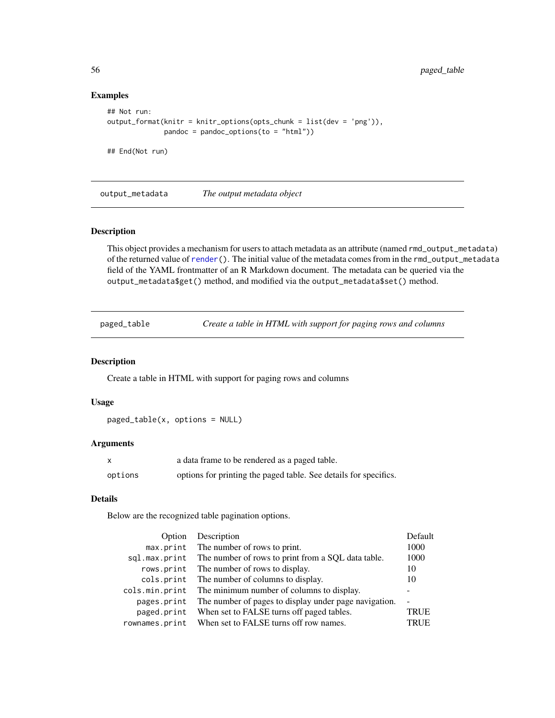# Examples

```
## Not run:
output_format(knitr = knitr_options(opts_chunk = list(dev = 'png')),
              pandoc = pandoc_options(to = "html"))
```
## End(Not run)

output\_metadata *The output metadata object*

#### Description

This object provides a mechanism for users to attach metadata as an attribute (named rmd\_output\_metadata) of the returned value of [render\(](#page-71-0)). The initial value of the metadata comes from in the rmd\_output\_metadata field of the YAML frontmatter of an R Markdown document. The metadata can be queried via the output\_metadata\$get() method, and modified via the output\_metadata\$set() method.

paged\_table *Create a table in HTML with support for paging rows and columns*

#### Description

Create a table in HTML with support for paging rows and columns

## Usage

paged\_table(x, options = NULL)

# Arguments

|         | a data frame to be rendered as a paged table.                    |
|---------|------------------------------------------------------------------|
| options | options for printing the paged table. See details for specifics. |

# Details

Below are the recognized table pagination options.

| Option         | Description                                           | Default     |
|----------------|-------------------------------------------------------|-------------|
|                | max.print The number of rows to print.                | 1000        |
| sql.max.print  | The number of rows to print from a SQL data table.    | 1000        |
|                | rows.print The number of rows to display.             | 10          |
|                | cols.print The number of columns to display.          | 10          |
| cols.min.print | The minimum number of columns to display.             |             |
| pages.print    | The number of pages to display under page navigation. |             |
| paged.print    | When set to FALSE turns off paged tables.             | <b>TRUE</b> |
| rownames.print | When set to FALSE turns off row names.                | <b>TRUE</b> |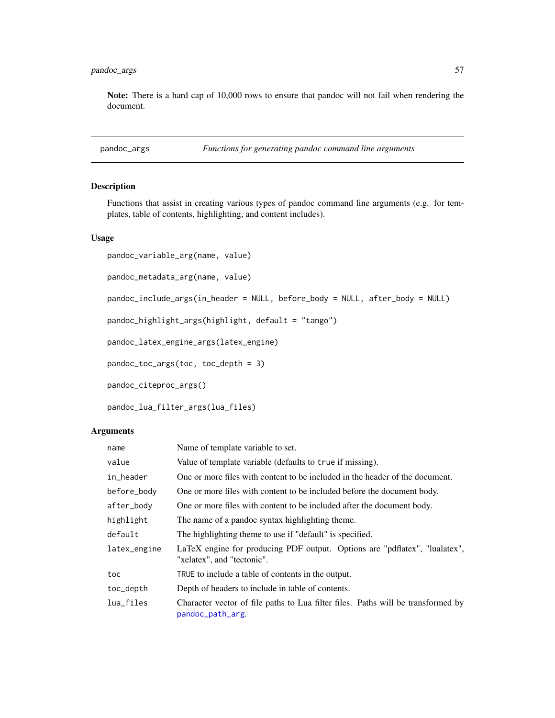Note: There is a hard cap of 10,000 rows to ensure that pandoc will not fail when rendering the document.

```
pandoc_args Functions for generating pandoc command line arguments
```
# Description

Functions that assist in creating various types of pandoc command line arguments (e.g. for templates, table of contents, highlighting, and content includes).

## Usage

```
pandoc_variable_arg(name, value)
pandoc_metadata_arg(name, value)
pandoc_include_args(in_header = NULL, before_body = NULL, after_body = NULL)
pandoc_highlight_args(highlight, default = "tango")
```
pandoc\_latex\_engine\_args(latex\_engine)

pandoc\_toc\_args(toc, toc\_depth = 3)

pandoc\_citeproc\_args()

```
pandoc_lua_filter_args(lua_files)
```

| name         | Name of template variable to set.                                                                        |  |
|--------------|----------------------------------------------------------------------------------------------------------|--|
| value        | Value of template variable (defaults to true if missing).                                                |  |
| in_header    | One or more files with content to be included in the header of the document.                             |  |
| before_body  | One or more files with content to be included before the document body.                                  |  |
| after_body   | One or more files with content to be included after the document body.                                   |  |
| highlight    | The name of a pandoc syntax highlighting theme.                                                          |  |
| default      | The highlighting theme to use if "default" is specified.                                                 |  |
| latex_engine | LaTeX engine for producing PDF output. Options are "pdflatex", "lualatex",<br>"xelatex", and "tectonic". |  |
| toc          | TRUE to include a table of contents in the output.                                                       |  |
| toc_depth    | Depth of headers to include in table of contents.                                                        |  |
| lua_files    | Character vector of file paths to Lua filter files. Paths will be transformed by<br>pandoc_path_arg.     |  |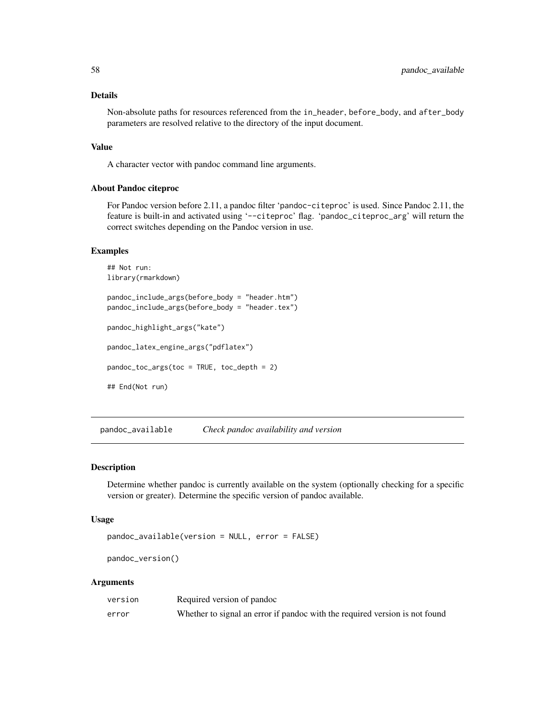## Details

Non-absolute paths for resources referenced from the in\_header, before\_body, and after\_body parameters are resolved relative to the directory of the input document.

### Value

A character vector with pandoc command line arguments.

## About Pandoc citeproc

For Pandoc version before 2.11, a pandoc filter 'pandoc-citeproc' is used. Since Pandoc 2.11, the feature is built-in and activated using '--citeproc' flag. 'pandoc\_citeproc\_arg' will return the correct switches depending on the Pandoc version in use.

#### Examples

```
## Not run:
library(rmarkdown)
pandoc_include_args(before_body = "header.htm")
pandoc_include_args(before_body = "header.tex")
pandoc_highlight_args("kate")
pandoc_latex_engine_args("pdflatex")
pandoc_toc_args(toc = TRUE, toc_depth = 2)
## End(Not run)
```
pandoc\_available *Check pandoc availability and version*

#### Description

Determine whether pandoc is currently available on the system (optionally checking for a specific version or greater). Determine the specific version of pandoc available.

#### Usage

```
pandoc_available(version = NULL, error = FALSE)
```
pandoc\_version()

| version | Required version of pandoc                                                  |
|---------|-----------------------------------------------------------------------------|
| error   | Whether to signal an error if pandoc with the required version is not found |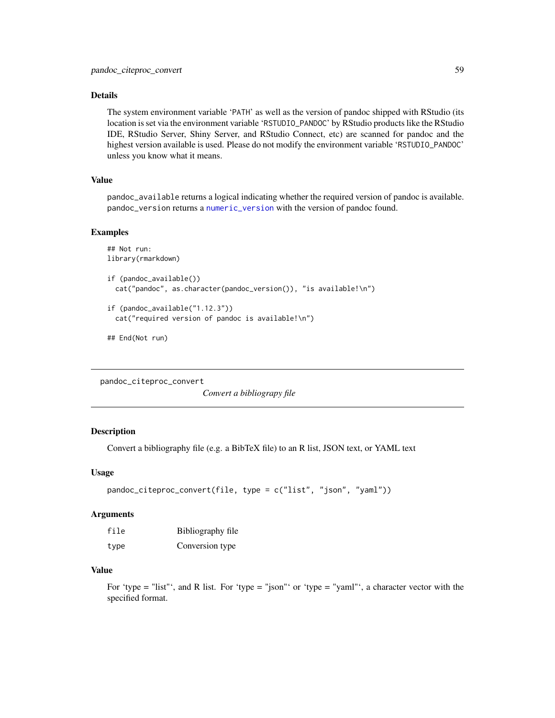## Details

The system environment variable 'PATH' as well as the version of pandoc shipped with RStudio (its location is set via the environment variable 'RSTUDIO\_PANDOC' by RStudio products like the RStudio IDE, RStudio Server, Shiny Server, and RStudio Connect, etc) are scanned for pandoc and the highest version available is used. Please do not modify the environment variable 'RSTUDIO\_PANDOC' unless you know what it means.

# Value

pandoc\_available returns a logical indicating whether the required version of pandoc is available. pandoc\_version returns a [numeric\\_version](#page-0-0) with the version of pandoc found.

#### Examples

```
## Not run:
library(rmarkdown)
```

```
if (pandoc_available())
 cat("pandoc", as.character(pandoc_version()), "is available!\n")
```

```
if (pandoc_available("1.12.3"))
 cat("required version of pandoc is available!\n")
```

```
## End(Not run)
```
pandoc\_citeproc\_convert

*Convert a bibliograpy file*

## Description

Convert a bibliography file (e.g. a BibTeX file) to an R list, JSON text, or YAML text

### Usage

```
pandoc_citeproc_convert(file, type = c("list", "json", "yaml"))
```
#### Arguments

| file | Bibliography file |
|------|-------------------|
| type | Conversion type   |

## Value

For 'type  $=$  "list"', and R list. For 'type  $=$  "json"' or 'type  $=$  "yaml"', a character vector with the specified format.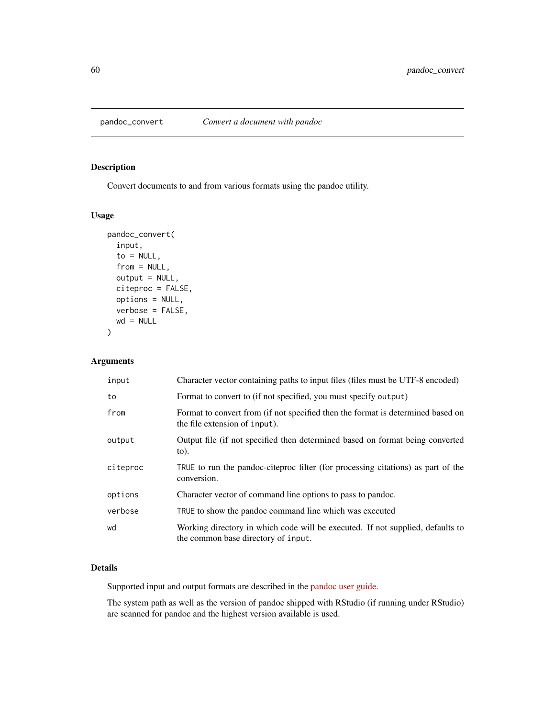Convert documents to and from various formats using the pandoc utility.

## Usage

```
pandoc_convert(
  input,
  to = NULL,
  from = NULL,
 output = NULL,
  citeproc = FALSE,
 options = NULL,
 verbose = FALSE,
 wd = NULL)
```
# Arguments

| input    | Character vector containing paths to input files (files must be UTF-8 encoded)                                        |
|----------|-----------------------------------------------------------------------------------------------------------------------|
| to       | Format to convert to (if not specified, you must specify output)                                                      |
| from     | Format to convert from (if not specified then the format is determined based on<br>the file extension of input).      |
| output   | Output file (if not specified then determined based on format being converted<br>$\circ$ .                            |
| citeproc | TRUE to run the pandoc-citeproc filter (for processing citations) as part of the<br>conversion.                       |
| options  | Character vector of command line options to pass to pandoc.                                                           |
| verbose  | TRUE to show the pandoc command line which was executed                                                               |
| wd       | Working directory in which code will be executed. If not supplied, defaults to<br>the common base directory of input. |

# Details

Supported input and output formats are described in the [pandoc user guide.](https://pandoc.org/MANUAL.html)

The system path as well as the version of pandoc shipped with RStudio (if running under RStudio) are scanned for pandoc and the highest version available is used.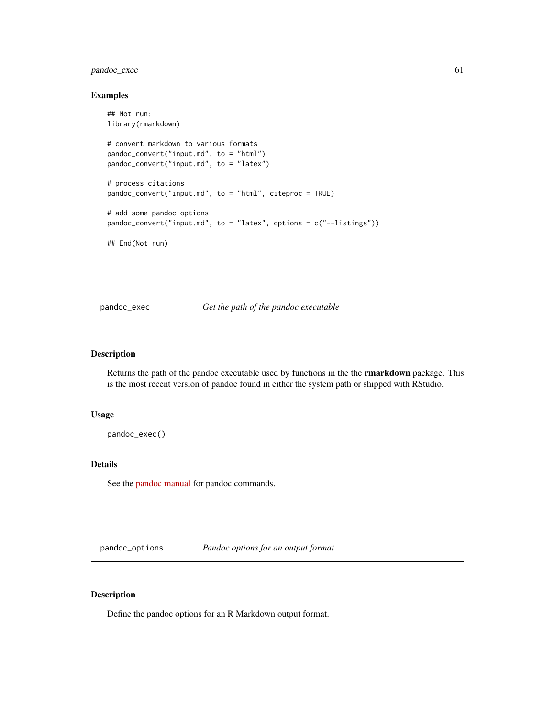# pandoc\_exec 61

#### Examples

```
## Not run:
library(rmarkdown)
# convert markdown to various formats
pandoc_convert("input.md", to = "html")
pandoc_convert("input.md", to = "latex")
# process citations
pandoc_convert("input.md", to = "html", citeproc = TRUE)
# add some pandoc options
pandoc_convert("input.md", to = "latex", options = c("--listings"))
## End(Not run)
```
pandoc\_exec *Get the path of the pandoc executable*

## Description

Returns the path of the pandoc executable used by functions in the the rmarkdown package. This is the most recent version of pandoc found in either the system path or shipped with RStudio.

# Usage

pandoc\_exec()

## Details

See the [pandoc manual](https://pandoc.org/MANUAL.html) for pandoc commands.

<span id="page-60-0"></span>pandoc\_options *Pandoc options for an output format*

# Description

Define the pandoc options for an R Markdown output format.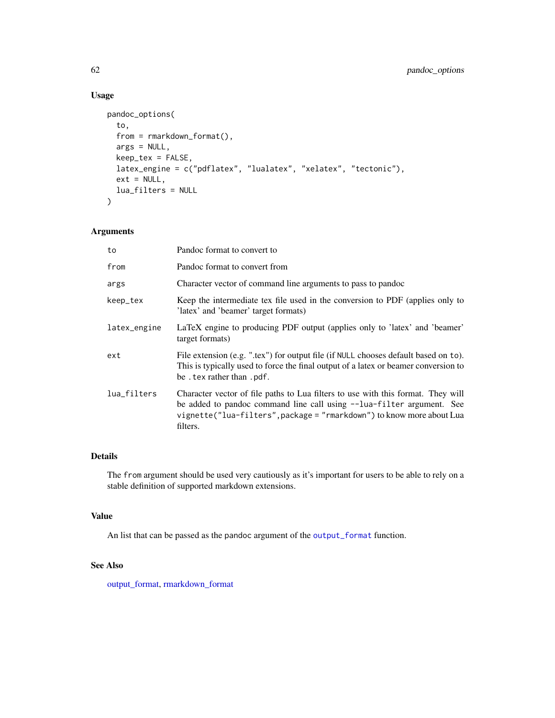# Usage

```
pandoc_options(
  to,
  from = rmarkdown_format(),
 args = NULL,keep_tex = FALSE,
 latex_engine = c("pdflatex", "lualatex", "xelatex", "tectonic"),
 ext = NULL,lua_filters = NULL
\lambda
```
## Arguments

| to           | Pandoc format to convert to                                                                                                                                                                                                                    |
|--------------|------------------------------------------------------------------------------------------------------------------------------------------------------------------------------------------------------------------------------------------------|
| from         | Pandoc format to convert from                                                                                                                                                                                                                  |
| args         | Character vector of command line arguments to pass to pandoc                                                                                                                                                                                   |
| keep_tex     | Keep the intermediate tex file used in the conversion to PDF (applies only to<br>'latex' and 'beamer' target formats)                                                                                                                          |
| latex_engine | LaTeX engine to producing PDF output (applies only to 'latex' and 'beamer'<br>target formats)                                                                                                                                                  |
| ext          | File extension (e.g. ".tex") for output file (if NULL chooses default based on to).<br>This is typically used to force the final output of a latex or beamer conversion to<br>be . tex rather than . pdf.                                      |
| lua_filters  | Character vector of file paths to Lua filters to use with this format. They will<br>be added to pandoc command line call using --lua-filter argument. See<br>vignette("lua-filters", package = "rmarkdown") to know more about Lua<br>filters. |

# Details

The from argument should be used very cautiously as it's important for users to be able to rely on a stable definition of supported markdown extensions.

# Value

An list that can be passed as the pandoc argument of the [output\\_format](#page-53-0) function.

# See Also

[output\\_format,](#page-53-0) [rmarkdown\\_format](#page-80-0)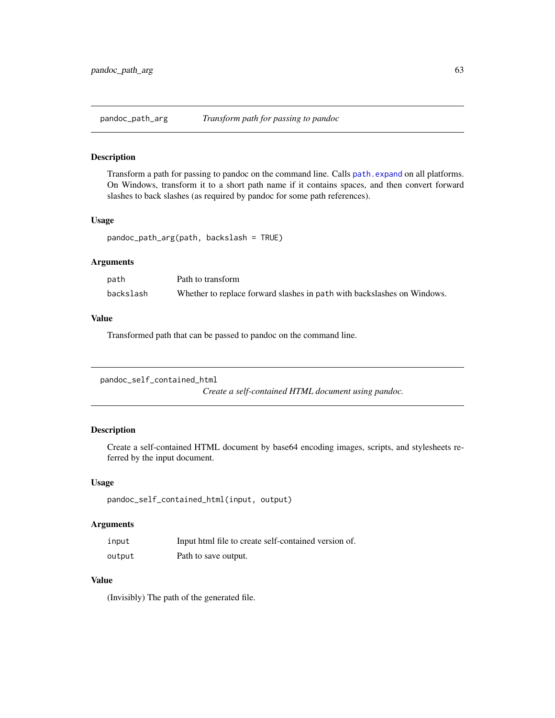<span id="page-62-0"></span>

Transform a path for passing to pandoc on the command line. Calls [path.expand](#page-0-0) on all platforms. On Windows, transform it to a short path name if it contains spaces, and then convert forward slashes to back slashes (as required by pandoc for some path references).

## Usage

```
pandoc_path_arg(path, backslash = TRUE)
```
## Arguments

| path      | Path to transform                                                       |
|-----------|-------------------------------------------------------------------------|
| backslash | Whether to replace forward slashes in path with backslashes on Windows. |

#### Value

Transformed path that can be passed to pandoc on the command line.

```
pandoc_self_contained_html
```
*Create a self-contained HTML document using pandoc.*

# Description

Create a self-contained HTML document by base64 encoding images, scripts, and stylesheets referred by the input document.

#### Usage

```
pandoc_self_contained_html(input, output)
```
# Arguments

| input  | Input html file to create self-contained version of. |
|--------|------------------------------------------------------|
| output | Path to save output.                                 |

# Value

(Invisibly) The path of the generated file.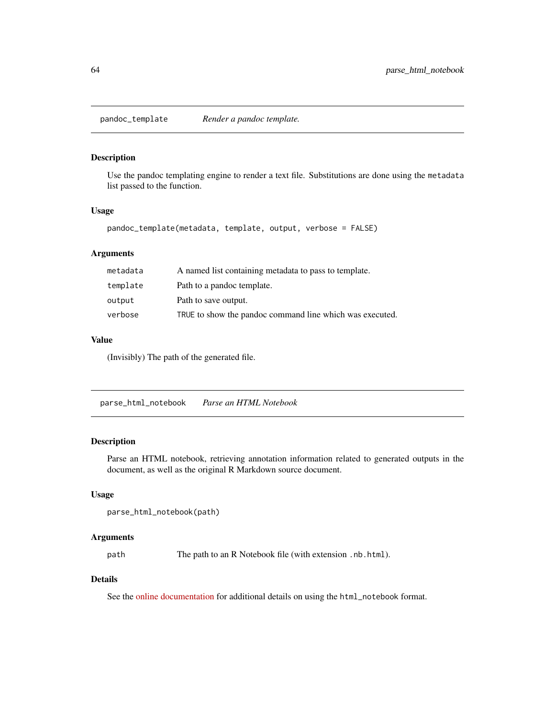Use the pandoc templating engine to render a text file. Substitutions are done using the metadata list passed to the function.

#### Usage

```
pandoc_template(metadata, template, output, verbose = FALSE)
```
## Arguments

| metadata | A named list containing metadata to pass to template.    |
|----------|----------------------------------------------------------|
| template | Path to a pandoc template.                               |
| output   | Path to save output.                                     |
| verbose  | TRUE to show the pandoc command line which was executed. |

## Value

(Invisibly) The path of the generated file.

parse\_html\_notebook *Parse an HTML Notebook*

## Description

Parse an HTML notebook, retrieving annotation information related to generated outputs in the document, as well as the original R Markdown source document.

#### Usage

```
parse_html_notebook(path)
```
#### Arguments

path The path to an R Notebook file (with extension .nb.html).

## Details

See the [online documentation](https://rmarkdown.rstudio.com/r_notebook_format.html) for additional details on using the html\_notebook format.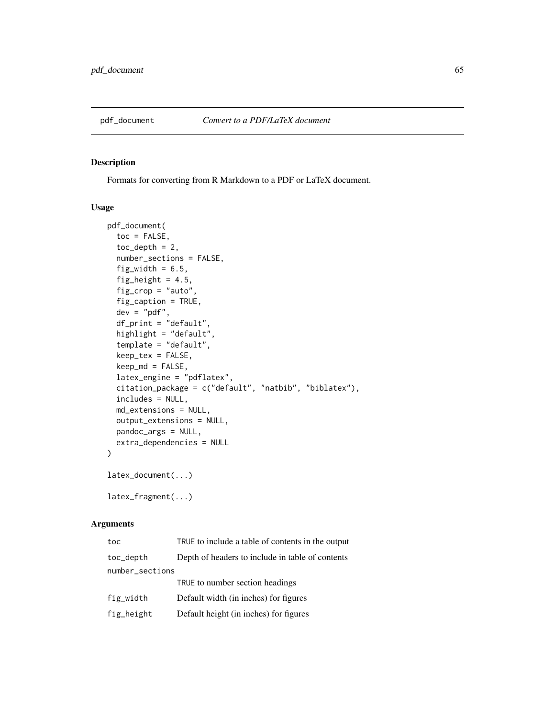Formats for converting from R Markdown to a PDF or LaTeX document.

## Usage

```
pdf_document(
  toc = FALSE,toc\_depth = 2,
  number_sections = FALSE,
  fig\_width = 6.5,fig_height = 4.5,
  fig_crop = "auto",
  fig_caption = TRUE,
  dev = "pdf",df_print = "default",
  highlight = "default",
  template = "default",
  keep_tex = FALSE,
  keep\_md = FALSE,latex_engine = "pdflatex",
  citation_package = c("default", "natbib", "biblatex"),
  includes = NULL,
  md_extensions = NULL,
  output_extensions = NULL,
  pandoc_args = NULL,
  extra_dependencies = NULL
)
latex_document(...)
latex_fragment(...)
```

| toc             | TRUE to include a table of contents in the output |  |
|-----------------|---------------------------------------------------|--|
| toc_depth       | Depth of headers to include in table of contents  |  |
| number_sections |                                                   |  |
|                 | TRUE to number section headings                   |  |
| fig_width       | Default width (in inches) for figures             |  |
| fig_height      | Default height (in inches) for figures            |  |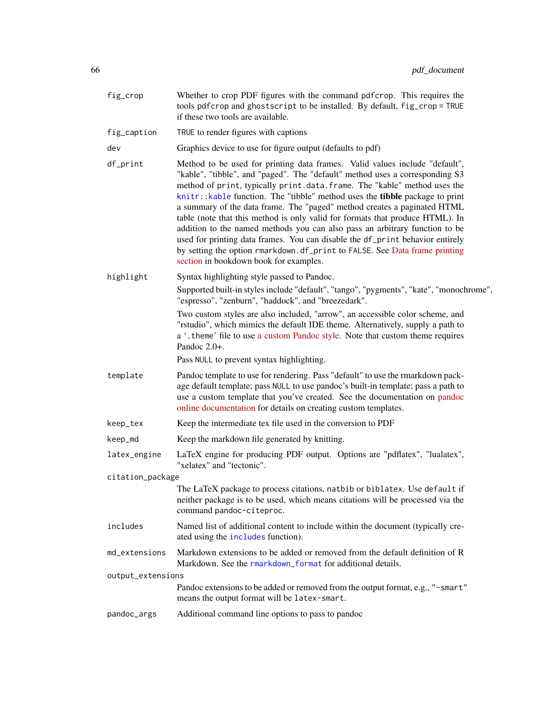| fig_crop          | Whether to crop PDF figures with the command pdf crop. This requires the<br>tools pdfcrop and ghostscript to be installed. By default, fig_crop = TRUE<br>if these two tools are available.                                                                                                                                                                                                                                                                                                                                                                                                                                                                                                                                                                                         |  |
|-------------------|-------------------------------------------------------------------------------------------------------------------------------------------------------------------------------------------------------------------------------------------------------------------------------------------------------------------------------------------------------------------------------------------------------------------------------------------------------------------------------------------------------------------------------------------------------------------------------------------------------------------------------------------------------------------------------------------------------------------------------------------------------------------------------------|--|
| fig_caption       | TRUE to render figures with captions                                                                                                                                                                                                                                                                                                                                                                                                                                                                                                                                                                                                                                                                                                                                                |  |
| dev               | Graphics device to use for figure output (defaults to pdf)                                                                                                                                                                                                                                                                                                                                                                                                                                                                                                                                                                                                                                                                                                                          |  |
| df_print          | Method to be used for printing data frames. Valid values include "default",<br>"kable", "tibble", and "paged". The "default" method uses a corresponding S3<br>method of print, typically print.data.frame. The "kable" method uses the<br>knitr:: kable function. The "tibble" method uses the <b>tibble</b> package to print<br>a summary of the data frame. The "paged" method creates a paginated HTML<br>table (note that this method is only valid for formats that produce HTML). In<br>addition to the named methods you can also pass an arbitrary function to be<br>used for printing data frames. You can disable the df_print behavior entirely<br>by setting the option rmarkdown.df_print to FALSE. See Data frame printing<br>section in bookdown book for examples. |  |
| highlight         | Syntax highlighting style passed to Pandoc.                                                                                                                                                                                                                                                                                                                                                                                                                                                                                                                                                                                                                                                                                                                                         |  |
|                   | Supported built-in styles include "default", "tango", "pygments", "kate", "monochrome",<br>"espresso", "zenburn", "haddock", and "breezedark".                                                                                                                                                                                                                                                                                                                                                                                                                                                                                                                                                                                                                                      |  |
|                   | Two custom styles are also included, "arrow", an accessible color scheme, and<br>"rstudio", which mimics the default IDE theme. Alternatively, supply a path to<br>a '. theme' file to use a custom Pandoc style. Note that custom theme requires<br>Pandoc $2.0+$ .                                                                                                                                                                                                                                                                                                                                                                                                                                                                                                                |  |
|                   | Pass NULL to prevent syntax highlighting.                                                                                                                                                                                                                                                                                                                                                                                                                                                                                                                                                                                                                                                                                                                                           |  |
| template          | Pandoc template to use for rendering. Pass "default" to use the rmarkdown pack-<br>age default template; pass NULL to use pandoc's built-in template; pass a path to<br>use a custom template that you've created. See the documentation on pandoc<br>online documentation for details on creating custom templates.                                                                                                                                                                                                                                                                                                                                                                                                                                                                |  |
| keep_tex          | Keep the intermediate tex file used in the conversion to PDF                                                                                                                                                                                                                                                                                                                                                                                                                                                                                                                                                                                                                                                                                                                        |  |
| keep_md           | Keep the markdown file generated by knitting.                                                                                                                                                                                                                                                                                                                                                                                                                                                                                                                                                                                                                                                                                                                                       |  |
| latex_engine      | LaTeX engine for producing PDF output. Options are "pdflatex", "lualatex",<br>"xelatex" and "tectonic".                                                                                                                                                                                                                                                                                                                                                                                                                                                                                                                                                                                                                                                                             |  |
| citation_package  |                                                                                                                                                                                                                                                                                                                                                                                                                                                                                                                                                                                                                                                                                                                                                                                     |  |
|                   | The LaTeX package to process citations, natbib or biblatex. Use default if<br>neither package is to be used, which means citations will be processed via the<br>command pandoc-citeproc.                                                                                                                                                                                                                                                                                                                                                                                                                                                                                                                                                                                            |  |
| includes          | Named list of additional content to include within the document (typically cre-<br>ated using the includes function).                                                                                                                                                                                                                                                                                                                                                                                                                                                                                                                                                                                                                                                               |  |
| md_extensions     | Markdown extensions to be added or removed from the default definition of R<br>Markdown. See the rmarkdown_format for additional details.                                                                                                                                                                                                                                                                                                                                                                                                                                                                                                                                                                                                                                           |  |
| output_extensions |                                                                                                                                                                                                                                                                                                                                                                                                                                                                                                                                                                                                                                                                                                                                                                                     |  |
|                   | Pandoc extensions to be added or removed from the output format, e.g., "-smart"<br>means the output format will be latex-smart.                                                                                                                                                                                                                                                                                                                                                                                                                                                                                                                                                                                                                                                     |  |
| pandoc_args       | Additional command line options to pass to pandoc                                                                                                                                                                                                                                                                                                                                                                                                                                                                                                                                                                                                                                                                                                                                   |  |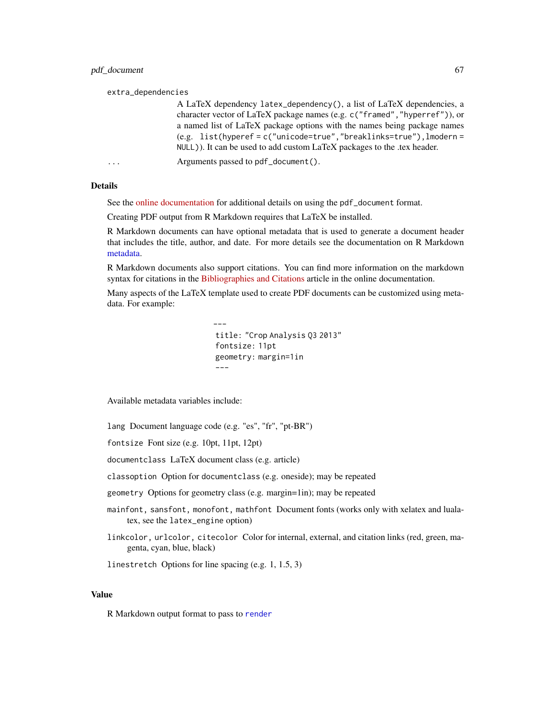#### pdf\_document 67

#### extra\_dependencies

A LaTeX dependency latex\_dependency(), a list of LaTeX dependencies, a character vector of LaTeX package names (e.g. c("framed","hyperref")), or a named list of LaTeX package options with the names being package names (e.g. list(hyperef = c("unicode=true","breaklinks=true"),lmodern = NULL)). It can be used to add custom LaTeX packages to the .tex header.

... Arguments passed to pdf\_document().

## Details

See the [online documentation](https://bookdown.org/yihui/rmarkdown/pdf-document.html) for additional details on using the pdf\_document format.

Creating PDF output from R Markdown requires that LaTeX be installed.

R Markdown documents can have optional metadata that is used to generate a document header that includes the title, author, and date. For more details see the documentation on R Markdown [metadata.](#page-81-0)

R Markdown documents also support citations. You can find more information on the markdown syntax for citations in the [Bibliographies and Citations](https://pandoc.org/MANUAL.html#citations) article in the online documentation.

Many aspects of the LaTeX template used to create PDF documents can be customized using metadata. For example:

```
---
title: "Crop Analysis Q3 2013"
fontsize: 11pt
geometry: margin=1in
---
```
Available metadata variables include:

lang Document language code (e.g. "es", "fr", "pt-BR")

fontsize Font size (e.g. 10pt, 11pt, 12pt)

documentclass LaTeX document class (e.g. article)

classoption Option for documentclass (e.g. oneside); may be repeated

geometry Options for geometry class (e.g. margin=1in); may be repeated

- mainfont, sansfont, monofont, mathfont Document fonts (works only with xelatex and lualatex, see the latex\_engine option)
- linkcolor, urlcolor, citecolor Color for internal, external, and citation links (red, green, magenta, cyan, blue, black)

linestretch Options for line spacing (e.g. 1, 1.5, 3)

# Value

R Markdown output format to pass to [render](#page-71-0)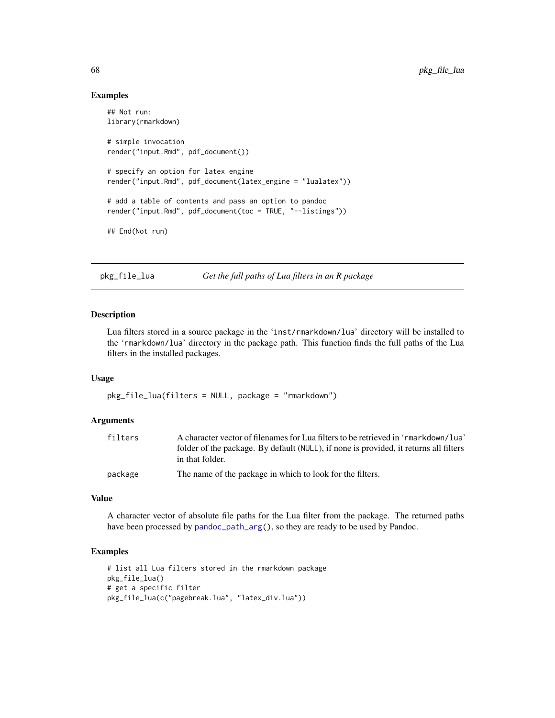## Examples

```
## Not run:
library(rmarkdown)
# simple invocation
render("input.Rmd", pdf_document())
# specify an option for latex engine
render("input.Rmd", pdf_document(latex_engine = "lualatex"))
# add a table of contents and pass an option to pandoc
render("input.Rmd", pdf_document(toc = TRUE, "--listings"))
## End(Not run)
```
pkg\_file\_lua *Get the full paths of Lua filters in an R package*

# Description

Lua filters stored in a source package in the 'inst/rmarkdown/lua' directory will be installed to the 'rmarkdown/lua' directory in the package path. This function finds the full paths of the Lua filters in the installed packages.

#### Usage

pkg\_file\_lua(filters = NULL, package = "rmarkdown")

#### Arguments

| filters | A character vector of filenames for Lua filters to be retrieved in 'rmarkdown/lua'    |
|---------|---------------------------------------------------------------------------------------|
|         | folder of the package. By default (NULL), if none is provided, it returns all filters |
|         | in that folder.                                                                       |
| package | The name of the package in which to look for the filters.                             |

## Value

A character vector of absolute file paths for the Lua filter from the package. The returned paths have been processed by [pandoc\\_path\\_arg\(](#page-62-0)), so they are ready to be used by Pandoc.

### Examples

```
# list all Lua filters stored in the rmarkdown package
pkg_file_lua()
# get a specific filter
pkg_file_lua(c("pagebreak.lua", "latex_div.lua"))
```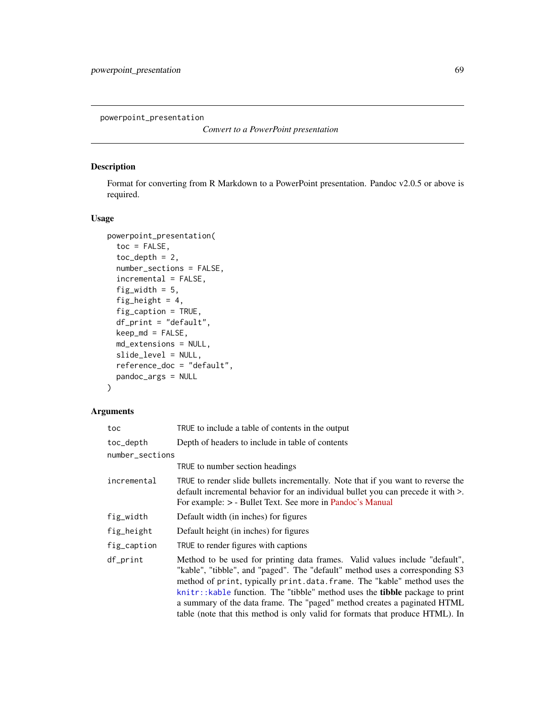powerpoint\_presentation

*Convert to a PowerPoint presentation*

# Description

Format for converting from R Markdown to a PowerPoint presentation. Pandoc v2.0.5 or above is required.

# Usage

```
powerpoint_presentation(
  toc = FALSE,toc\_depth = 2,
  number_sections = FALSE,
  incremental = FALSE,
  fig_width = 5,
  fig_height = 4,
  fig_caption = TRUE,
  df_print = "default",
  keep\_md = FALSE,md_extensions = NULL,
  slide_level = NULL,
 reference_doc = "default",
 pandoc_args = NULL
)
```

| toc             | TRUE to include a table of contents in the output                                                                                                                                                                                                                                                                                                                                                                                                                                           |  |
|-----------------|---------------------------------------------------------------------------------------------------------------------------------------------------------------------------------------------------------------------------------------------------------------------------------------------------------------------------------------------------------------------------------------------------------------------------------------------------------------------------------------------|--|
| toc_depth       | Depth of headers to include in table of contents                                                                                                                                                                                                                                                                                                                                                                                                                                            |  |
| number_sections |                                                                                                                                                                                                                                                                                                                                                                                                                                                                                             |  |
|                 | TRUE to number section headings                                                                                                                                                                                                                                                                                                                                                                                                                                                             |  |
| incremental     | TRUE to render slide bullets incrementally. Note that if you want to reverse the<br>default incremental behavior for an individual bullet you can precede it with >.<br>For example: $>$ - Bullet Text. See more in Pandoc's Manual                                                                                                                                                                                                                                                         |  |
| fig_width       | Default width (in inches) for figures                                                                                                                                                                                                                                                                                                                                                                                                                                                       |  |
| fig_height      | Default height (in inches) for figures                                                                                                                                                                                                                                                                                                                                                                                                                                                      |  |
| fig_caption     | TRUE to render figures with captions                                                                                                                                                                                                                                                                                                                                                                                                                                                        |  |
| df_print        | Method to be used for printing data frames. Valid values include "default",<br>"kable", "tibble", and "paged". The "default" method uses a corresponding S3<br>method of print, typically print.data.frame. The "kable" method uses the<br>knitr:: kable function. The "tibble" method uses the <b>tibble</b> package to print<br>a summary of the data frame. The "paged" method creates a paginated HTML<br>table (note that this method is only valid for formats that produce HTML). In |  |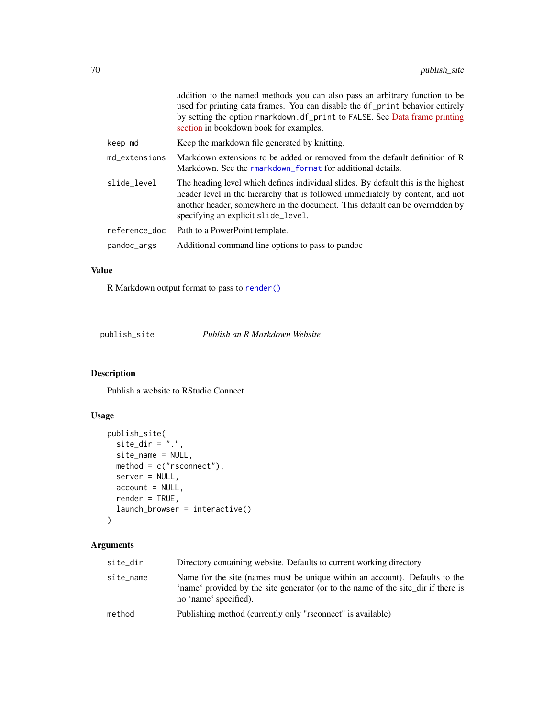|               | addition to the named methods you can also pass an arbitrary function to be<br>used for printing data frames. You can disable the df_print behavior entirely<br>by setting the option rmarkdown.df_print to FALSE. See Data frame printing<br>section in bookdown book for examples.       |
|---------------|--------------------------------------------------------------------------------------------------------------------------------------------------------------------------------------------------------------------------------------------------------------------------------------------|
| keep_md       | Keep the markdown file generated by knitting.                                                                                                                                                                                                                                              |
| md_extensions | Markdown extensions to be added or removed from the default definition of R<br>Markdown. See the rmarkdown_format for additional details.                                                                                                                                                  |
| slide level   | The heading level which defines individual slides. By default this is the highest<br>header level in the hierarchy that is followed immediately by content, and not<br>another header, somewhere in the document. This default can be overridden by<br>specifying an explicit slide_level. |
| reference doc | Path to a PowerPoint template.                                                                                                                                                                                                                                                             |
| pandoc_args   | Additional command line options to pass to pandoc                                                                                                                                                                                                                                          |

## Value

R Markdown output format to pass to [render\(\)](#page-71-0)

publish\_site *Publish an R Markdown Website*

# Description

Publish a website to RStudio Connect

# Usage

```
publish_site(
  site_dir = ".".site_name = NULL,
  method = c("rsconnect"),server = NULL,
  account = NULL,
  render = TRUE,
  launch_browser = interactive()
\mathcal{L}
```

| site_dir  | Directory containing website. Defaults to current working directory.                                                                                                                      |
|-----------|-------------------------------------------------------------------------------------------------------------------------------------------------------------------------------------------|
| site_name | Name for the site (names must be unique within an account). Defaults to the<br>'name' provided by the site generator (or to the name of the site_dir if there is<br>no 'name' specified). |
| method    | Publishing method (currently only "rsconnect" is available)                                                                                                                               |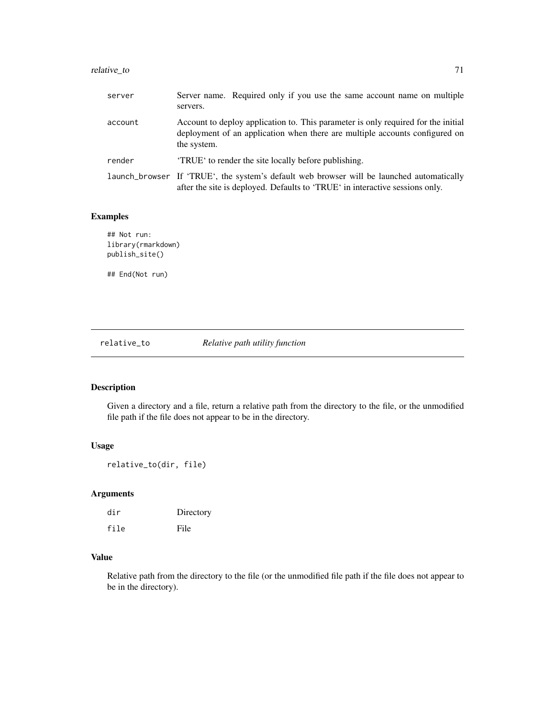# relative\_to 71

| server  | Server name. Required only if you use the same account name on multiple<br>servers.                                                                                             |
|---------|---------------------------------------------------------------------------------------------------------------------------------------------------------------------------------|
| account | Account to deploy application to. This parameter is only required for the initial<br>deployment of an application when there are multiple accounts configured on<br>the system. |
| render  | <b>TRUE</b> to render the site locally before publishing.                                                                                                                       |
|         | launch_browser If 'TRUE', the system's default web browser will be launched automatically<br>after the site is deployed. Defaults to 'TRUE' in interactive sessions only.       |

# Examples

## Not run: library(rmarkdown) publish\_site() ## End(Not run)

relative\_to *Relative path utility function*

# Description

Given a directory and a file, return a relative path from the directory to the file, or the unmodified file path if the file does not appear to be in the directory.

# Usage

relative\_to(dir, file)

# Arguments

| dir  | Directory |
|------|-----------|
| file | File      |

## Value

Relative path from the directory to the file (or the unmodified file path if the file does not appear to be in the directory).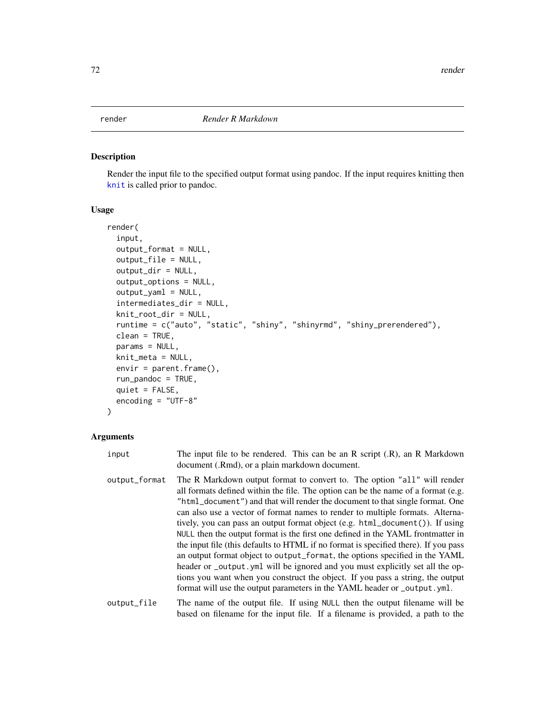<span id="page-71-0"></span>Render the input file to the specified output format using pandoc. If the input requires knitting then [knit](#page-0-0) is called prior to pandoc.

# Usage

```
render(
  input,
  output_format = NULL,
 output_file = NULL,
 output_dir = NULL,
 output_options = NULL,
  output_yaml = NULL,
  intermediates_dir = NULL,
  knit_root_dir = NULL,
  runtime = c("auto", "static", "shiny", "shinyrmd", "shiny_prerendered"),
 clean = TRUE,
 params = NULL,
 knit_meta = NULL,
  envir = parent.frame(),
  run_pandoc = TRUE,
  quiet = FALSE,encoding = "UTF-8"
)
```
## Arguments

| input                        | The input file to be rendered. This can be an $R$ script $(R)$ , an $R$ Markdown<br>document (.Rmd), or a plain markdown document.                                                                                                                                                                                                                                                                                                                                                                                                                                                                                                                                                                                                                                                                                                                                                                                        |
|------------------------------|---------------------------------------------------------------------------------------------------------------------------------------------------------------------------------------------------------------------------------------------------------------------------------------------------------------------------------------------------------------------------------------------------------------------------------------------------------------------------------------------------------------------------------------------------------------------------------------------------------------------------------------------------------------------------------------------------------------------------------------------------------------------------------------------------------------------------------------------------------------------------------------------------------------------------|
| output_format                | The R Markdown output format to convert to. The option "all" will render<br>all formats defined within the file. The option can be the name of a format (e.g.<br>"html_document") and that will render the document to that single format. One<br>can also use a vector of format names to render to multiple formats. Alterna-<br>tively, you can pass an output format object (e.g. html_document()). If using<br>NULL then the output format is the first one defined in the YAML frontmatter in<br>the input file (this defaults to HTML if no format is specified there). If you pass<br>an output format object to output_format, the options specified in the YAML<br>header or _output. yml will be ignored and you must explicitly set all the op-<br>tions you want when you construct the object. If you pass a string, the output<br>format will use the output parameters in the YAML header or _output.yml. |
| المراكات المستحددة والمستحدة | The second of the content fle. If we we will be then the content flemence will be                                                                                                                                                                                                                                                                                                                                                                                                                                                                                                                                                                                                                                                                                                                                                                                                                                         |

output\_file The name of the output file. If using NULL then the output filename will be based on filename for the input file. If a filename is provided, a path to the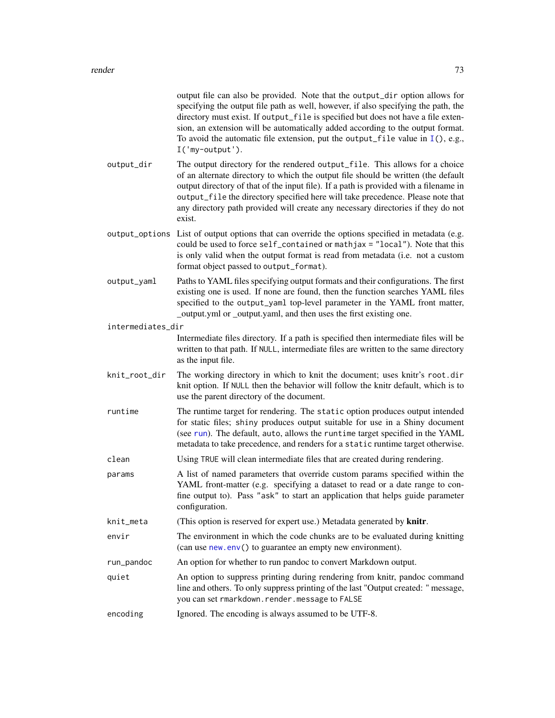<span id="page-72-0"></span>

|                   | output file can also be provided. Note that the output_dir option allows for<br>specifying the output file path as well, however, if also specifying the path, the<br>directory must exist. If output_file is specified but does not have a file exten-<br>sion, an extension will be automatically added according to the output format.<br>To avoid the automatic file extension, put the output_file value in $I($ ), e.g.,<br>I('my-output'). |
|-------------------|---------------------------------------------------------------------------------------------------------------------------------------------------------------------------------------------------------------------------------------------------------------------------------------------------------------------------------------------------------------------------------------------------------------------------------------------------|
| output_dir        | The output directory for the rendered output_file. This allows for a choice<br>of an alternate directory to which the output file should be written (the default<br>output directory of that of the input file). If a path is provided with a filename in<br>output_file the directory specified here will take precedence. Please note that<br>any directory path provided will create any necessary directories if they do not<br>exist.        |
| output_options    | List of output options that can override the options specified in metadata (e.g.<br>could be used to force self_contained or mathjax = "local"). Note that this<br>is only valid when the output format is read from metadata (i.e. not a custom<br>format object passed to output_format).                                                                                                                                                       |
| output_yaml       | Paths to YAML files specifying output formats and their configurations. The first<br>existing one is used. If none are found, then the function searches YAML files<br>specified to the output_yaml top-level parameter in the YAML front matter,<br>_output.yml or _output.yaml, and then uses the first existing one.                                                                                                                           |
| intermediates_dir |                                                                                                                                                                                                                                                                                                                                                                                                                                                   |
|                   | Intermediate files directory. If a path is specified then intermediate files will be<br>written to that path. If NULL, intermediate files are written to the same directory<br>as the input file.                                                                                                                                                                                                                                                 |
| knit_root_dir     | The working directory in which to knit the document; uses knitr's root.dir<br>knit option. If NULL then the behavior will follow the knitr default, which is to<br>use the parent directory of the document.                                                                                                                                                                                                                                      |
| runtime           | The runtime target for rendering. The static option produces output intended<br>for static files; shiny produces output suitable for use in a Shiny document<br>(see run). The default, auto, allows the runtime target specified in the YAML<br>metadata to take precedence, and renders for a static runtime target otherwise.                                                                                                                  |
| clean             | Using TRUE will clean intermediate files that are created during rendering.                                                                                                                                                                                                                                                                                                                                                                       |
| params            | A list of named parameters that override custom params specified within the<br>YAML front-matter (e.g. specifying a dataset to read or a date range to con-<br>fine output to). Pass "ask" to start an application that helps guide parameter<br>configuration.                                                                                                                                                                                   |
| knit_meta         | (This option is reserved for expert use.) Metadata generated by knitr.                                                                                                                                                                                                                                                                                                                                                                            |
| envir             | The environment in which the code chunks are to be evaluated during knitting<br>(can use new.env() to guarantee an empty new environment).                                                                                                                                                                                                                                                                                                        |
| run_pandoc        | An option for whether to run pandoc to convert Markdown output.                                                                                                                                                                                                                                                                                                                                                                                   |
| quiet             | An option to suppress printing during rendering from knitr, pandoc command<br>line and others. To only suppress printing of the last "Output created: " message,<br>you can set rmarkdown.render.message to FALSE                                                                                                                                                                                                                                 |
| encoding          | Ignored. The encoding is always assumed to be UTF-8.                                                                                                                                                                                                                                                                                                                                                                                              |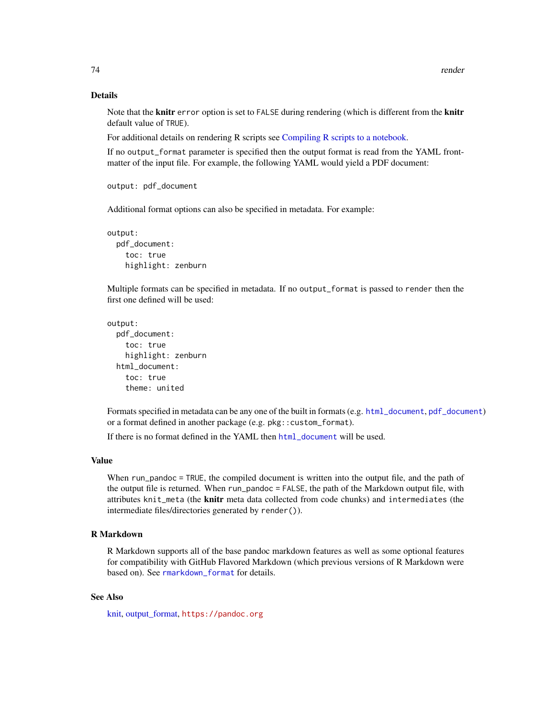#### Details

Note that the **knitr** error option is set to FALSE during rendering (which is different from the **knitr** default value of TRUE).

For additional details on rendering R scripts see [Compiling R scripts to a notebook.](#page-8-0)

If no output\_format parameter is specified then the output format is read from the YAML frontmatter of the input file. For example, the following YAML would yield a PDF document:

```
output: pdf_document
```
Additional format options can also be specified in metadata. For example:

```
output:
  pdf_document:
    toc: true
    highlight: zenburn
```
Multiple formats can be specified in metadata. If no output\_format is passed to render then the first one defined will be used:

```
output:
 pdf_document:
   toc: true
   highlight: zenburn
  html document:
    toc: true
    theme: united
```
Formats specified in metadata can be any one of the built in formats (e.g. [html\\_document](#page-19-0), [pdf\\_document](#page-64-0)) or a format defined in another package (e.g. pkg::custom\_format).

If there is no format defined in the YAML then [html\\_document](#page-19-0) will be used.

## Value

When run\_pandoc = TRUE, the compiled document is written into the output file, and the path of the output file is returned. When run\_pandoc = FALSE, the path of the Markdown output file, with attributes knit\_meta (the knitr meta data collected from code chunks) and intermediates (the intermediate files/directories generated by render()).

## R Markdown

R Markdown supports all of the base pandoc markdown features as well as some optional features for compatibility with GitHub Flavored Markdown (which previous versions of R Markdown were based on). See [rmarkdown\\_format](#page-80-0) for details.

# See Also

[knit,](#page-0-0) [output\\_format,](#page-53-0) <https://pandoc.org>

<span id="page-73-0"></span>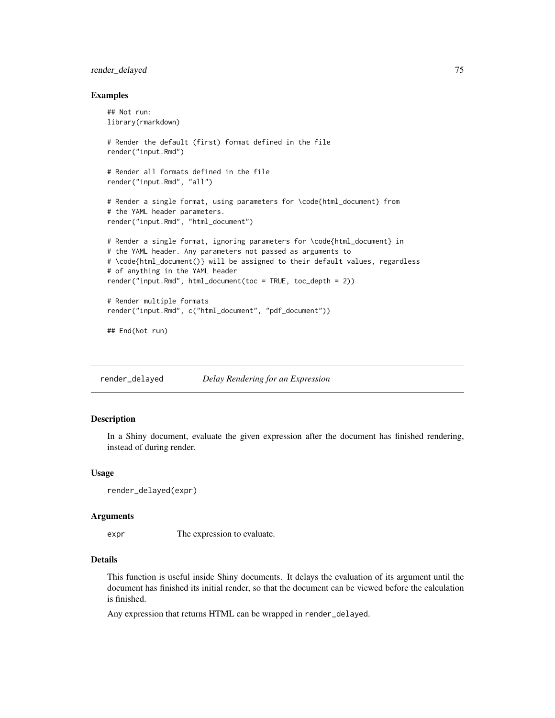# <span id="page-74-0"></span>render\_delayed 75

#### Examples

```
## Not run:
library(rmarkdown)
# Render the default (first) format defined in the file
render("input.Rmd")
# Render all formats defined in the file
render("input.Rmd", "all")
# Render a single format, using parameters for \code{html_document} from
# the YAML header parameters.
render("input.Rmd", "html_document")
# Render a single format, ignoring parameters for \code{html_document} in
# the YAML header. Any parameters not passed as arguments to
# \code{html_document()} will be assigned to their default values, regardless
# of anything in the YAML header
render("input.Rmd", html_document(toc = TRUE, toc_depth = 2))
# Render multiple formats
render("input.Rmd", c("html_document", "pdf_document"))
## End(Not run)
```
render\_delayed *Delay Rendering for an Expression*

## Description

In a Shiny document, evaluate the given expression after the document has finished rendering, instead of during render.

## Usage

```
render_delayed(expr)
```
#### Arguments

expr The expression to evaluate.

## Details

This function is useful inside Shiny documents. It delays the evaluation of its argument until the document has finished its initial render, so that the document can be viewed before the calculation is finished.

Any expression that returns HTML can be wrapped in render\_delayed.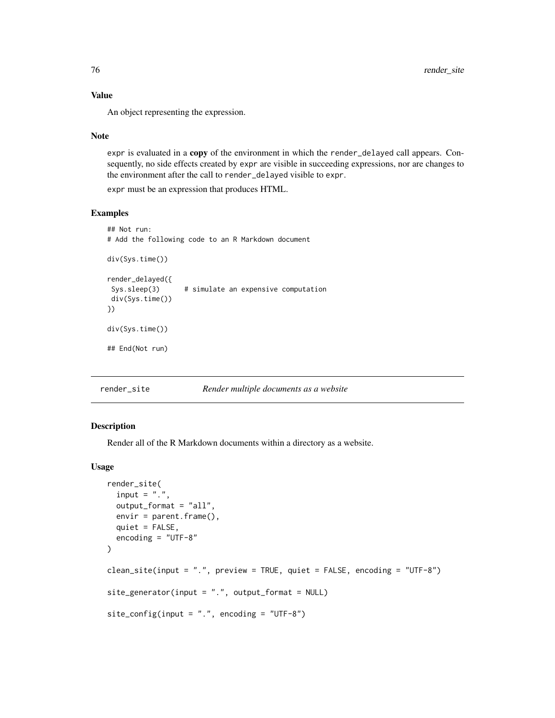# Value

An object representing the expression.

#### Note

expr is evaluated in a copy of the environment in which the render\_delayed call appears. Consequently, no side effects created by expr are visible in succeeding expressions, nor are changes to the environment after the call to render\_delayed visible to expr.

expr must be an expression that produces HTML.

## Examples

```
## Not run:
# Add the following code to an R Markdown document
div(Sys.time())
render_delayed({
Sys.sleep(3) # simulate an expensive computation
div(Sys.time())
})
div(Sys.time())
## End(Not run)
```
# render\_site *Render multiple documents as a website*

## Description

Render all of the R Markdown documents within a directory as a website.

## Usage

```
render_site(
  input = ".',
  output_format = "all",
  envir = parent.frame(),quiet = FALSE,
  encoding = "UTF-8"
\mathcal{L}clean_site(input = ".", preview = TRUE, quiet = FALSE, encoding = "UTF-8")
site\_generator(input = "." , output\_format = NULL)site\_config(input = ".", encoding = "UTF-8")
```
<span id="page-75-0"></span>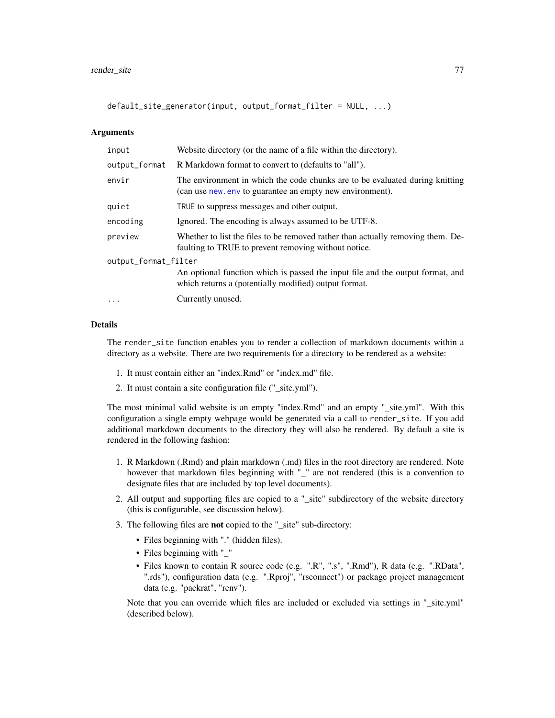<span id="page-76-0"></span>default\_site\_generator(input, output\_format\_filter = NULL, ...)

#### Arguments

| input                | Website directory (or the name of a file within the directory).                                                                           |  |
|----------------------|-------------------------------------------------------------------------------------------------------------------------------------------|--|
| output_format        | R Markdown format to convert to (defaults to "all").                                                                                      |  |
| envir                | The environment in which the code chunks are to be evaluated during knitting<br>(can use new, env to guarantee an empty new environment). |  |
| quiet                | TRUE to suppress messages and other output.                                                                                               |  |
| encoding             | Ignored. The encoding is always assumed to be UTF-8.                                                                                      |  |
| preview              | Whether to list the files to be removed rather than actually removing them. De-<br>faulting to TRUE to prevent removing without notice.   |  |
| output_format_filter |                                                                                                                                           |  |
|                      | An optional function which is passed the input file and the output format, and<br>which returns a (potentially modified) output format.   |  |
| $\cdot$              | Currently unused.                                                                                                                         |  |

## Details

The render\_site function enables you to render a collection of markdown documents within a directory as a website. There are two requirements for a directory to be rendered as a website:

- 1. It must contain either an "index.Rmd" or "index.md" file.
- 2. It must contain a site configuration file ("\_site.yml").

The most minimal valid website is an empty "index.Rmd" and an empty "\_site.yml". With this configuration a single empty webpage would be generated via a call to render\_site. If you add additional markdown documents to the directory they will also be rendered. By default a site is rendered in the following fashion:

- 1. R Markdown (.Rmd) and plain markdown (.md) files in the root directory are rendered. Note however that markdown files beginning with "\_" are not rendered (this is a convention to designate files that are included by top level documents).
- 2. All output and supporting files are copied to a "\_site" subdirectory of the website directory (this is configurable, see discussion below).
- 3. The following files are not copied to the "\_site" sub-directory:
	- Files beginning with "." (hidden files).
	- Files beginning with "\_"
	- Files known to contain R source code (e.g. ".R", ".s", ".Rmd"), R data (e.g. ".RData", ".rds"), configuration data (e.g. ".Rproj", "rsconnect") or package project management data (e.g. "packrat", "renv").

Note that you can override which files are included or excluded via settings in "\_site.yml" (described below).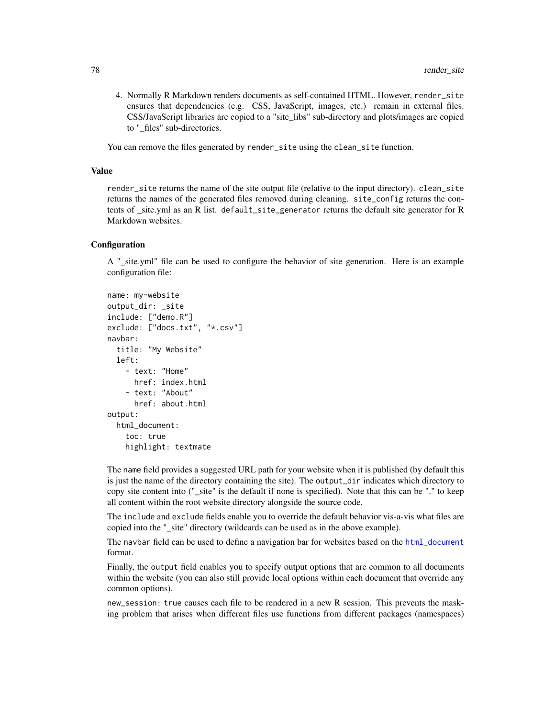<span id="page-77-0"></span>4. Normally R Markdown renders documents as self-contained HTML. However, render\_site ensures that dependencies (e.g. CSS, JavaScript, images, etc.) remain in external files. CSS/JavaScript libraries are copied to a "site\_libs" sub-directory and plots/images are copied to "\_files" sub-directories.

You can remove the files generated by render\_site using the clean\_site function.

#### Value

render\_site returns the name of the site output file (relative to the input directory). clean\_site returns the names of the generated files removed during cleaning. site\_config returns the contents of \_site.yml as an R list. default\_site\_generator returns the default site generator for R Markdown websites.

## **Configuration**

A "\_site.yml" file can be used to configure the behavior of site generation. Here is an example configuration file:

```
name: my-website
output_dir: _site
include: ["demo.R"]
exclude: ["docs.txt", "*.csv"]
navbar:
  title: "My Website"
  left:
    - text: "Home"
      href: index.html
    - text: "About"
      href: about.html
output:
  html_document:
    toc: true
    highlight: textmate
```
The name field provides a suggested URL path for your website when it is published (by default this is just the name of the directory containing the site). The output\_dir indicates which directory to copy site content into ("\_site" is the default if none is specified). Note that this can be "." to keep all content within the root website directory alongside the source code.

The include and exclude fields enable you to override the default behavior vis-a-vis what files are copied into the "\_site" directory (wildcards can be used as in the above example).

The navbar field can be used to define a navigation bar for websites based on the [html\\_document](#page-19-0) format.

Finally, the output field enables you to specify output options that are common to all documents within the website (you can also still provide local options within each document that override any common options).

new\_session: true causes each file to be rendered in a new R session. This prevents the masking problem that arises when different files use functions from different packages (namespaces)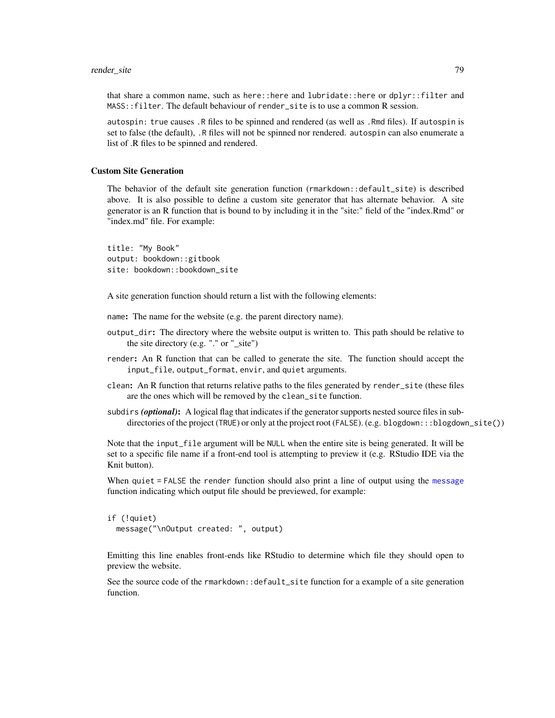#### <span id="page-78-0"></span>render\_site 79

that share a common name, such as here::here and lubridate::here or dplyr::filter and MASS::filter. The default behaviour of render\_site is to use a common R session.

autospin: true causes .R files to be spinned and rendered (as well as .Rmd files). If autospin is set to false (the default), .R files will not be spinned nor rendered. autospin can also enumerate a list of .R files to be spinned and rendered.

#### Custom Site Generation

The behavior of the default site generation function (rmarkdown::default\_site) is described above. It is also possible to define a custom site generator that has alternate behavior. A site generator is an R function that is bound to by including it in the "site:" field of the "index.Rmd" or "index.md" file. For example:

title: "My Book" output: bookdown::gitbook site: bookdown::bookdown\_site

A site generation function should return a list with the following elements:

name: The name for the website (e.g. the parent directory name).

- output\_dir: The directory where the website output is written to. This path should be relative to the site directory (e.g. "." or "\_site")
- render: An R function that can be called to generate the site. The function should accept the input\_file, output\_format, envir, and quiet arguments.
- clean: An R function that returns relative paths to the files generated by render\_site (these files are the ones which will be removed by the clean\_site function.
- subdirs (optional): A logical flag that indicates if the generator supports nested source files in subdirectories of the project (TRUE) or only at the project root (FALSE). (e.g. blogdown:::blogdown\_site())

Note that the input\_file argument will be NULL when the entire site is being generated. It will be set to a specific file name if a front-end tool is attempting to preview it (e.g. RStudio IDE via the Knit button).

When quiet = FALSE the render function should also print a line of output using the [message](#page-0-0) function indicating which output file should be previewed, for example:

```
if (!quiet)
 message("\nOutput created: ", output)
```
Emitting this line enables front-ends like RStudio to determine which file they should open to preview the website.

See the source code of the rmarkdown::default\_site function for a example of a site generation function.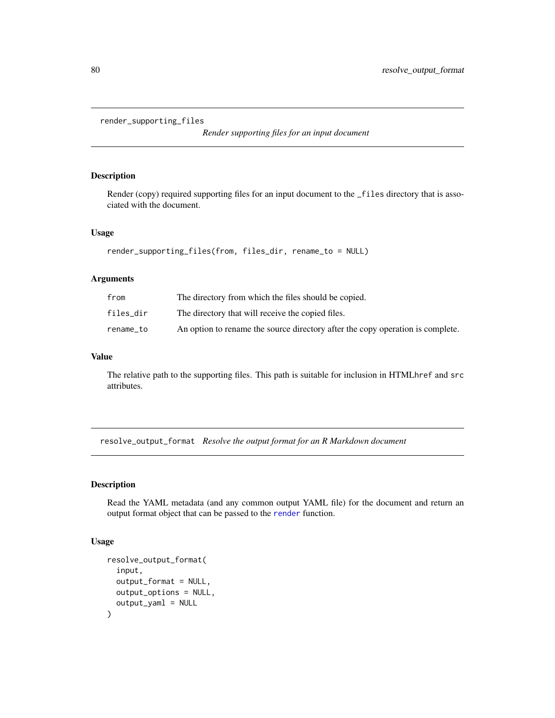```
render_supporting_files
```
*Render supporting files for an input document*

## Description

Render (copy) required supporting files for an input document to the \_files directory that is associated with the document.

#### Usage

```
render_supporting_files(from, files_dir, rename_to = NULL)
```
## Arguments

| from      | The directory from which the files should be copied.                           |
|-----------|--------------------------------------------------------------------------------|
| files dir | The directory that will receive the copied files.                              |
| rename to | An option to rename the source directory after the copy operation is complete. |

#### Value

The relative path to the supporting files. This path is suitable for inclusion in HTMLhref and src attributes.

resolve\_output\_format *Resolve the output format for an R Markdown document*

# Description

Read the YAML metadata (and any common output YAML file) for the document and return an output format object that can be passed to the [render](#page-71-0) function.

## Usage

```
resolve_output_format(
  input,
  output_format = NULL,
 output_options = NULL,
  output_yaml = NULL
)
```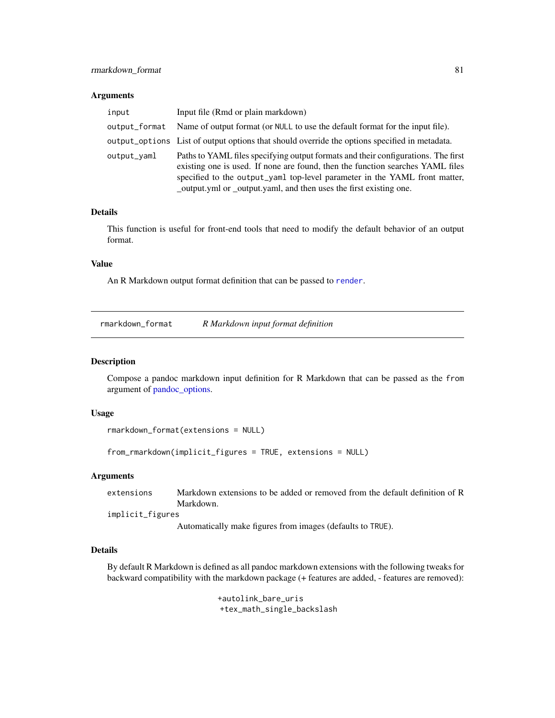#### <span id="page-80-1"></span>**Arguments**

| input         | Input file (Rmd or plain markdown)                                                                                                                                                                                                                                                                                     |
|---------------|------------------------------------------------------------------------------------------------------------------------------------------------------------------------------------------------------------------------------------------------------------------------------------------------------------------------|
| output_format | Name of output format (or NULL to use the default format for the input file).                                                                                                                                                                                                                                          |
|               | output_options List of output options that should override the options specified in metadata.                                                                                                                                                                                                                          |
| output_vaml   | Paths to YAML files specifying output formats and their configurations. The first<br>existing one is used. If none are found, then the function searches YAML files<br>specified to the output_yaml top-level parameter in the YAML front matter,<br>output.yml or _output.yaml, and then uses the first existing one. |

## Details

This function is useful for front-end tools that need to modify the default behavior of an output format.

# Value

An R Markdown output format definition that can be passed to [render](#page-71-0).

<span id="page-80-0"></span>rmarkdown\_format *R Markdown input format definition*

#### Description

Compose a pandoc markdown input definition for R Markdown that can be passed as the from argument of [pandoc\\_options.](#page-60-0)

#### Usage

```
rmarkdown_format(extensions = NULL)
```
from\_rmarkdown(implicit\_figures = TRUE, extensions = NULL)

## Arguments

extensions Markdown extensions to be added or removed from the default definition of R Markdown.

implicit\_figures

Automatically make figures from images (defaults to TRUE).

#### Details

By default R Markdown is defined as all pandoc markdown extensions with the following tweaks for backward compatibility with the markdown package (+ features are added, - features are removed):

> +autolink\_bare\_uris +tex\_math\_single\_backslash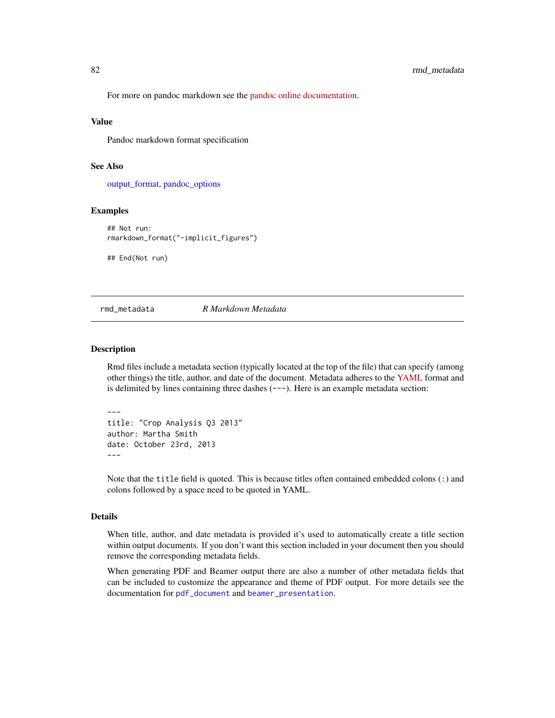For more on pandoc markdown see the [pandoc online documentation.](https://pandoc.org/MANUAL.html)

#### Value

Pandoc markdown format specification

## See Also

[output\\_format,](#page-53-0) [pandoc\\_options](#page-60-0)

#### Examples

```
## Not run:
rmarkdown_format("-implicit_figures")
```
## End(Not run)

<span id="page-81-0"></span>rmd\_metadata *R Markdown Metadata*

## Description

---

Rmd files include a metadata section (typically located at the top of the file) that can specify (among other things) the title, author, and date of the document. Metadata adheres to the [YAML](https://yaml.org) format and is delimited by lines containing three dashes (---). Here is an example metadata section:

```
title: "Crop Analysis Q3 2013"
author: Martha Smith
date: October 23rd, 2013
---
```
Note that the title field is quoted. This is because titles often contained embedded colons (:) and colons followed by a space need to be quoted in YAML.

#### Details

When title, author, and date metadata is provided it's used to automatically create a title section within output documents. If you don't want this section included in your document then you should remove the corresponding metadata fields.

When generating PDF and Beamer output there are also a number of other metadata fields that can be included to customize the appearance and theme of PDF output. For more details see the documentation for [pdf\\_document](#page-64-0) and [beamer\\_presentation](#page-5-0).

<span id="page-81-1"></span>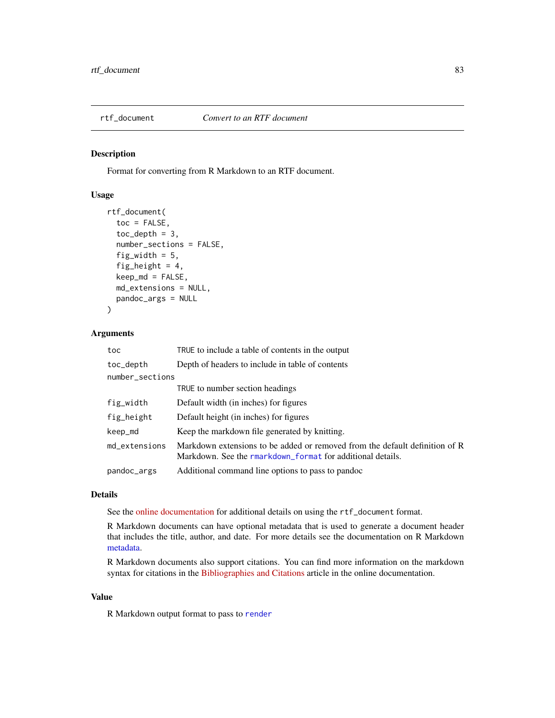<span id="page-82-0"></span>

# Description

Format for converting from R Markdown to an RTF document.

# Usage

```
rtf_document(
  toc = FALSE,toc\_depth = 3,
  number_sections = FALSE,
  fig_width = 5,
  fig_height = 4,
  keep\_md = FALSE,md_extensions = NULL,
  pandoc_args = NULL
\mathcal{L}
```
# Arguments

| toc             | TRUE to include a table of contents in the output                                                                                         |
|-----------------|-------------------------------------------------------------------------------------------------------------------------------------------|
| toc_depth       | Depth of headers to include in table of contents                                                                                          |
| number_sections |                                                                                                                                           |
|                 | TRUE to number section headings                                                                                                           |
| fig_width       | Default width (in inches) for figures                                                                                                     |
| fig_height      | Default height (in inches) for figures                                                                                                    |
| keep_md         | Keep the markdown file generated by knitting.                                                                                             |
| md extensions   | Markdown extensions to be added or removed from the default definition of R<br>Markdown. See the rmarkdown format for additional details. |
| pandoc_args     | Additional command line options to pass to pandoc                                                                                         |

## Details

See the [online documentation](https://bookdown.org/yihui/rmarkdown/rich-text-format-document.html) for additional details on using the rtf\_document format.

R Markdown documents can have optional metadata that is used to generate a document header that includes the title, author, and date. For more details see the documentation on R Markdown [metadata.](#page-81-0)

R Markdown documents also support citations. You can find more information on the markdown syntax for citations in the [Bibliographies and Citations](https://pandoc.org/MANUAL.html#citations) article in the online documentation.

## Value

R Markdown output format to pass to [render](#page-71-0)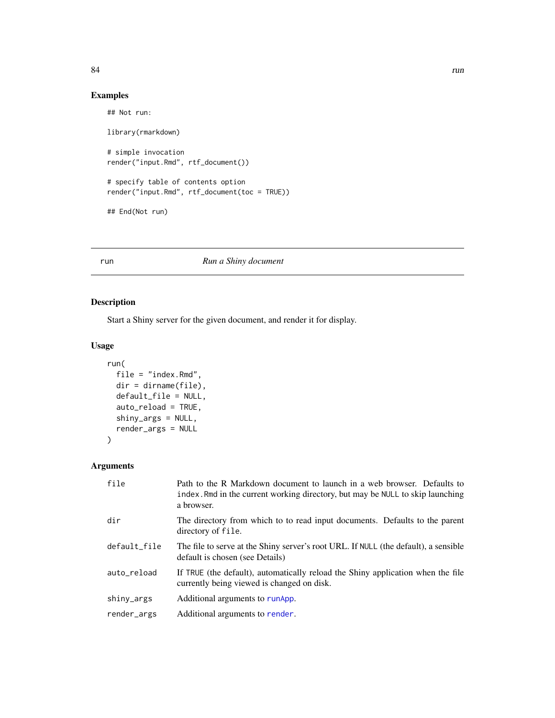# Examples

```
## Not run:
library(rmarkdown)
# simple invocation
render("input.Rmd", rtf_document())
# specify table of contents option
render("input.Rmd", rtf_document(toc = TRUE))
## End(Not run)
```
## <span id="page-83-0"></span>run *Run a Shiny document*

# Description

Start a Shiny server for the given document, and render it for display.

# Usage

```
run(
  file = "index.Rmd",
 dir = dirname(file),
 default_file = NULL,
  auto_reload = TRUE,
  shiny_args = NULL,
  render_args = NULL
)
```
# Arguments

| file         | Path to the R Markdown document to launch in a web browser. Defaults to<br>index. Rmd in the current working directory, but may be NULL to skip launching<br>a browser. |
|--------------|-------------------------------------------------------------------------------------------------------------------------------------------------------------------------|
| dir          | The directory from which to to read input documents. Defaults to the parent<br>directory of file.                                                                       |
| default_file | The file to serve at the Shiny server's root URL. If NULL (the default), a sensible<br>default is chosen (see Details)                                                  |
| auto reload  | If TRUE (the default), automatically reload the Shiny application when the file<br>currently being viewed is changed on disk.                                           |
| shiny_args   | Additional arguments to runApp.                                                                                                                                         |
| render_args  | Additional arguments to render.                                                                                                                                         |

<span id="page-83-1"></span>84 run was a strong with the contract of the contract of the contract of the contract of the contract of the contract of the contract of the contract of the contract of the contract of the contract of the contract of the c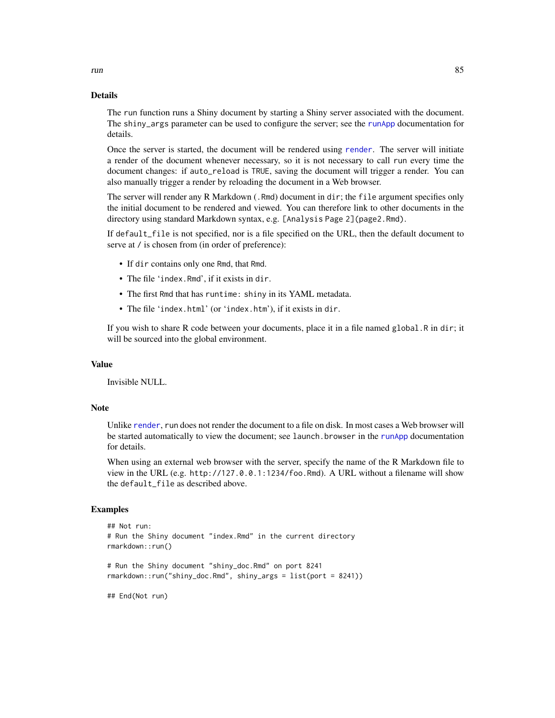#### Details

The run function runs a Shiny document by starting a Shiny server associated with the document. The shiny\_args parameter can be used to configure the server; see the [runApp](#page-0-0) documentation for details.

Once the server is started, the document will be rendered using [render](#page-71-0). The server will initiate a render of the document whenever necessary, so it is not necessary to call run every time the document changes: if auto\_reload is TRUE, saving the document will trigger a render. You can also manually trigger a render by reloading the document in a Web browser.

The server will render any R Markdown (.Rmd) document in dir; the file argument specifies only the initial document to be rendered and viewed. You can therefore link to other documents in the directory using standard Markdown syntax, e.g. [Analysis Page 2](page2.Rmd).

If default\_file is not specified, nor is a file specified on the URL, then the default document to serve at  $\ell$  is chosen from (in order of preference):

- If dir contains only one Rmd, that Rmd.
- The file 'index.Rmd', if it exists in dir.
- The first Rmd that has runtime: shiny in its YAML metadata.
- The file 'index.html' (or 'index.htm'), if it exists in dir.

If you wish to share R code between your documents, place it in a file named global.R in dir; it will be sourced into the global environment.

## Value

Invisible NULL.

## Note

Unlike [render](#page-71-0), run does not render the document to a file on disk. In most cases a Web browser will be started automatically to view the document; see launch. browser in the [runApp](#page-0-0) documentation for details.

When using an external web browser with the server, specify the name of the R Markdown file to view in the URL (e.g. http://127.0.0.1:1234/foo.Rmd). A URL without a filename will show the default\_file as described above.

## Examples

```
## Not run:
# Run the Shiny document "index.Rmd" in the current directory
rmarkdown::run()
# Run the Shiny document "shiny_doc.Rmd" on port 8241
rmarkdown::run("shiny_doc.Rmd", shiny_args = list(port = 8241))
## End(Not run)
```
<span id="page-84-0"></span>run 35 km studies and the state of the state of the state of the state of the state of the state of the state o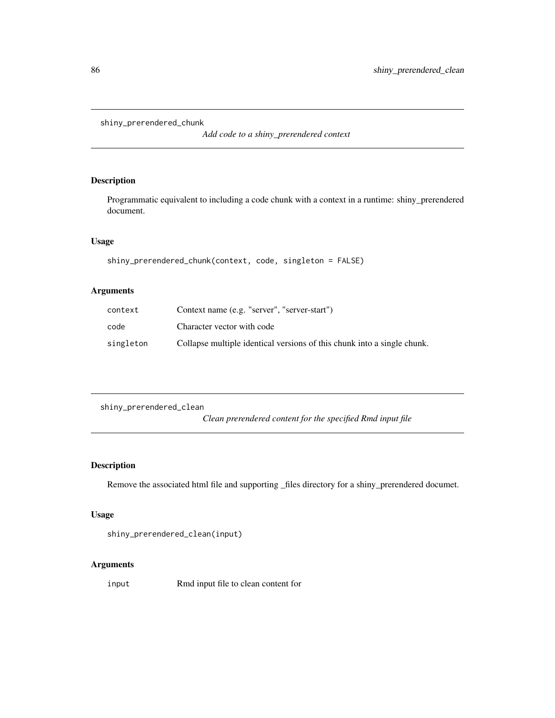<span id="page-85-0"></span>shiny\_prerendered\_chunk

*Add code to a shiny\_prerendered context*

# Description

Programmatic equivalent to including a code chunk with a context in a runtime: shiny\_prerendered document.

## Usage

```
shiny_prerendered_chunk(context, code, singleton = FALSE)
```
# Arguments

| context   | Context name (e.g. "server", "server-start")                            |
|-----------|-------------------------------------------------------------------------|
| code      | Character vector with code                                              |
| singleton | Collapse multiple identical versions of this chunk into a single chunk. |

shiny\_prerendered\_clean *Clean prerendered content for the specified Rmd input file*

# Description

Remove the associated html file and supporting \_files directory for a shiny\_prerendered documet.

## Usage

```
shiny_prerendered_clean(input)
```
## Arguments

input Rmd input file to clean content for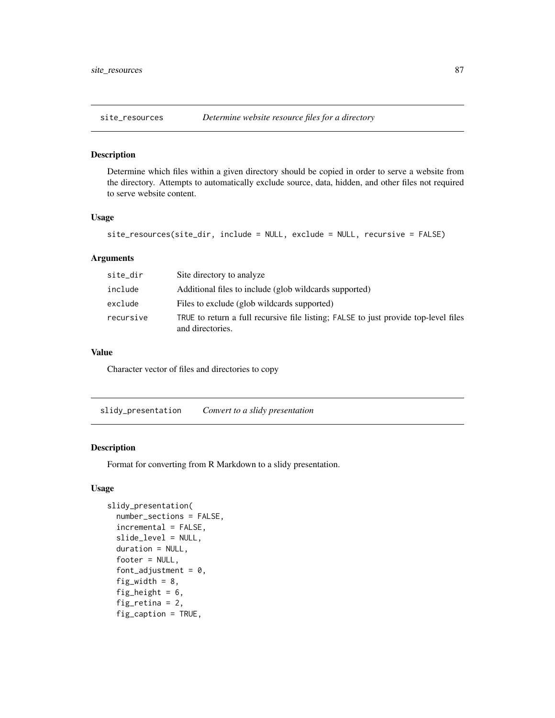<span id="page-86-0"></span>

#### Description

Determine which files within a given directory should be copied in order to serve a website from the directory. Attempts to automatically exclude source, data, hidden, and other files not required to serve website content.

#### Usage

```
site_resources(site_dir, include = NULL, exclude = NULL, recursive = FALSE)
```
#### Arguments

| site_dir  | Site directory to analyze                                                                               |
|-----------|---------------------------------------------------------------------------------------------------------|
| include   | Additional files to include (glob wildcards supported)                                                  |
| exclude   | Files to exclude (glob wildcards supported)                                                             |
| recursive | TRUE to return a full recursive file listing; FALSE to just provide top-level files<br>and directories. |

## Value

Character vector of files and directories to copy

slidy\_presentation *Convert to a slidy presentation*

## Description

Format for converting from R Markdown to a slidy presentation.

## Usage

```
slidy_presentation(
  number_sections = FALSE,
  incremental = FALSE,
  slide_level = NULL,
  duration = NULL,
  footer = NULL,font_adjustment = 0,
  fig_width = 8,
  fig_height = 6,
  fig_retina = 2,
  fig_caption = TRUE,
```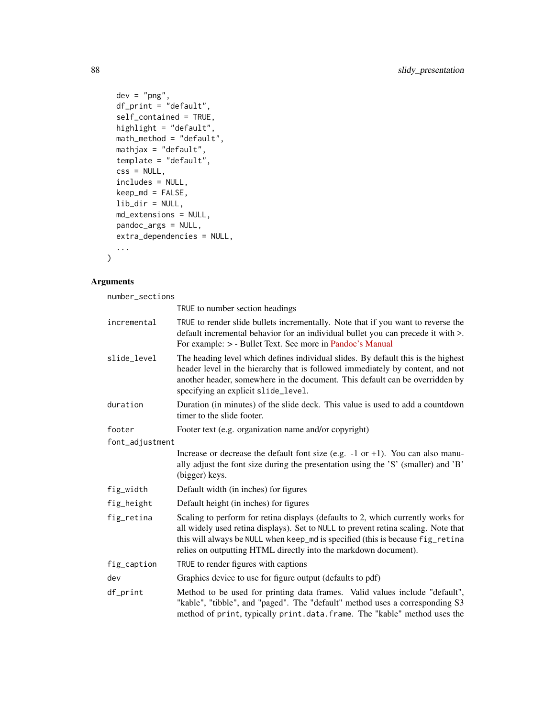```
dev = "png",df_print = "default",
 self_contained = TRUE,
 highlight = "default",
 math_method = "default",
 mathjax = "default",
 template = "default",
 \text{css} = \text{NULL},
 includes = NULL,
 keep\_md = FALSE,lib_dir = NULL,
 md_extensions = NULL,
 pandoc_args = NULL,
 extra_dependencies = NULL,
  ...
)
```
# Arguments

number\_sections

|                 | TRUE to number section headings                                                                                                                                                                                                                                                                                             |
|-----------------|-----------------------------------------------------------------------------------------------------------------------------------------------------------------------------------------------------------------------------------------------------------------------------------------------------------------------------|
| incremental     | TRUE to render slide bullets incrementally. Note that if you want to reverse the<br>default incremental behavior for an individual bullet you can precede it with >.<br>For example: > - Bullet Text. See more in Pandoc's Manual                                                                                           |
| slide_level     | The heading level which defines individual slides. By default this is the highest<br>header level in the hierarchy that is followed immediately by content, and not<br>another header, somewhere in the document. This default can be overridden by<br>specifying an explicit slide_level.                                  |
| duration        | Duration (in minutes) of the slide deck. This value is used to add a countdown<br>timer to the slide footer.                                                                                                                                                                                                                |
| footer          | Footer text (e.g. organization name and/or copyright)                                                                                                                                                                                                                                                                       |
| font_adjustment |                                                                                                                                                                                                                                                                                                                             |
|                 | Increase or decrease the default font size (e.g. $-1$ or $+1$ ). You can also manu-<br>ally adjust the font size during the presentation using the 'S' (smaller) and 'B'<br>(bigger) keys.                                                                                                                                  |
| fig_width       | Default width (in inches) for figures                                                                                                                                                                                                                                                                                       |
| fig_height      | Default height (in inches) for figures                                                                                                                                                                                                                                                                                      |
| fig_retina      | Scaling to perform for retina displays (defaults to 2, which currently works for<br>all widely used retina displays). Set to NULL to prevent retina scaling. Note that<br>this will always be NULL when keep_md is specified (this is because fig_retina<br>relies on outputting HTML directly into the markdown document). |
| fig_caption     | TRUE to render figures with captions                                                                                                                                                                                                                                                                                        |
| dev             | Graphics device to use for figure output (defaults to pdf)                                                                                                                                                                                                                                                                  |
| df_print        | Method to be used for printing data frames. Valid values include "default",<br>"kable", "tibble", and "paged". The "default" method uses a corresponding S3<br>method of print, typically print.data.frame. The "kable" method uses the                                                                                     |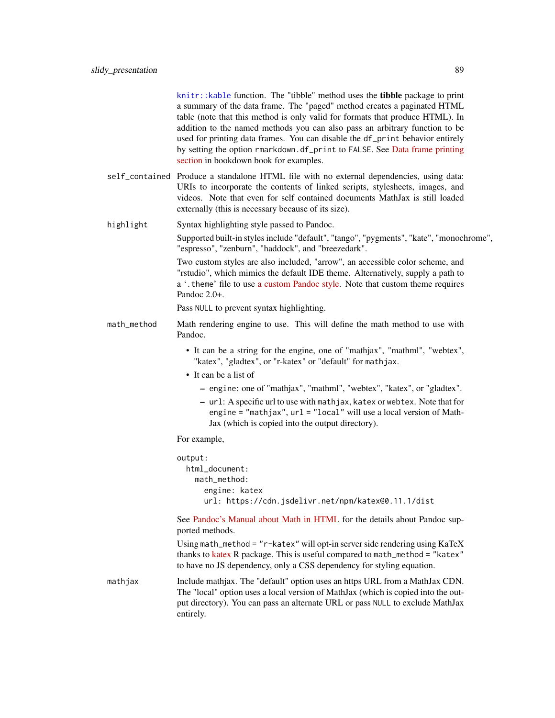<span id="page-88-0"></span>[knitr::kable](#page-0-0) function. The "tibble" method uses the tibble package to print a summary of the data frame. The "paged" method creates a paginated HTML table (note that this method is only valid for formats that produce HTML). In addition to the named methods you can also pass an arbitrary function to be used for printing data frames. You can disable the df\_print behavior entirely by setting the option rmarkdown.df\_print to FALSE. See [Data frame printing](https://bookdown.org/yihui/rmarkdown/html-document.html#data-frame-printing) [section](https://bookdown.org/yihui/rmarkdown/html-document.html#data-frame-printing) in bookdown book for examples.

- self\_contained Produce a standalone HTML file with no external dependencies, using data: URIs to incorporate the contents of linked scripts, stylesheets, images, and videos. Note that even for self contained documents MathJax is still loaded externally (this is necessary because of its size).
- highlight Syntax highlighting style passed to Pandoc.

Supported built-in styles include "default", "tango", "pygments", "kate", "monochrome", "espresso", "zenburn", "haddock", and "breezedark".

Two custom styles are also included, "arrow", an accessible color scheme, and "rstudio", which mimics the default IDE theme. Alternatively, supply a path to a '.theme' file to use [a custom Pandoc style.](https://pandoc.org/MANUAL.html#syntax-highlighting) Note that custom theme requires Pandoc 2.0+.

Pass NULL to prevent syntax highlighting.

- math\_method Math rendering engine to use. This will define the math method to use with Pandoc.
	- It can be a string for the engine, one of "mathjax", "mathml", "webtex", "katex", "gladtex", or "r-katex" or "default" for mathjax.
	- It can be a list of
		- engine: one of "mathjax", "mathml", "webtex", "katex", or "gladtex".
		- url: A specific url to use with mathjax, katex or webtex. Note that for engine = "mathjax", url = "local" will use a local version of Math-Jax (which is copied into the output directory).

For example,

output: html\_document: math\_method: engine: katex url: https://cdn.jsdelivr.net/npm/katex@0.11.1/dist

See [Pandoc's Manual about Math in HTML](https://pandoc.org/MANUAL.html#math-rendering-in-html) for the details about Pandoc supported methods.

Using math\_method = "r-katex" will opt-in server side rendering using KaTeX thanks to [katex](https://docs.ropensci.org/katex/) R package. This is useful compared to math\_method = "katex" to have no JS dependency, only a CSS dependency for styling equation.

mathjax Include mathjax. The "default" option uses an https URL from a MathJax CDN. The "local" option uses a local version of MathJax (which is copied into the output directory). You can pass an alternate URL or pass NULL to exclude MathJax entirely.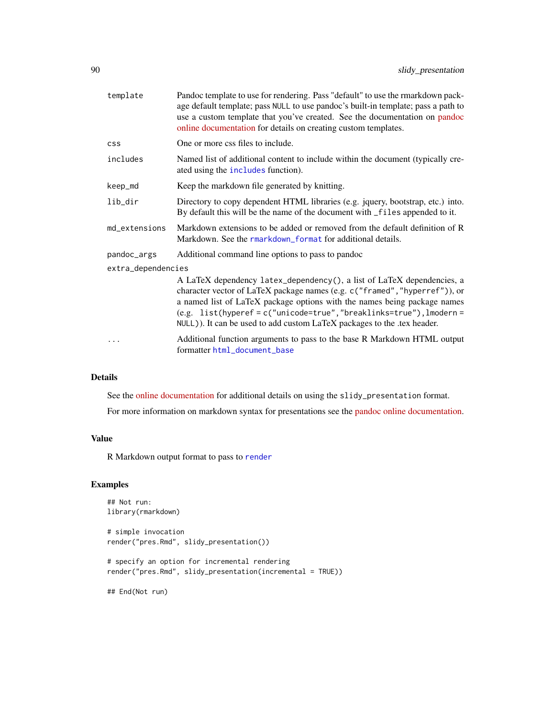<span id="page-89-0"></span>

| template           | Pandoc template to use for rendering. Pass "default" to use the rmarkdown pack-<br>age default template; pass NULL to use pandoc's built-in template; pass a path to<br>use a custom template that you've created. See the documentation on pandoc<br>online documentation for details on creating custom templates.                                                                  |  |
|--------------------|---------------------------------------------------------------------------------------------------------------------------------------------------------------------------------------------------------------------------------------------------------------------------------------------------------------------------------------------------------------------------------------|--|
| <b>CSS</b>         | One or more css files to include.                                                                                                                                                                                                                                                                                                                                                     |  |
| includes           | Named list of additional content to include within the document (typically cre-<br>ated using the includes function).                                                                                                                                                                                                                                                                 |  |
| keep_md            | Keep the markdown file generated by knitting.                                                                                                                                                                                                                                                                                                                                         |  |
| lib_dir            | Directory to copy dependent HTML libraries (e.g. jquery, bootstrap, etc.) into.<br>By default this will be the name of the document with _files appended to it.                                                                                                                                                                                                                       |  |
| md_extensions      | Markdown extensions to be added or removed from the default definition of R<br>Markdown. See the rmarkdown_format for additional details.                                                                                                                                                                                                                                             |  |
| pandoc_args        | Additional command line options to pass to pandoc                                                                                                                                                                                                                                                                                                                                     |  |
| extra_dependencies |                                                                                                                                                                                                                                                                                                                                                                                       |  |
|                    | A LaTeX dependency latex_dependency(), a list of LaTeX dependencies, a<br>character vector of LaTeX package names (e.g. c("framed", "hyperref")), or<br>a named list of LaTeX package options with the names being package names<br>$(e.g. list(hyperef = c("unicode=true", "breaklinks=true"), lmodern =$<br>NULL)). It can be used to add custom LaTeX packages to the .tex header. |  |
|                    | Additional function arguments to pass to the base R Markdown HTML output<br>formatter html_document_base                                                                                                                                                                                                                                                                              |  |

## Details

See the [online documentation](https://bookdown.org/yihui/rmarkdown/slidy-presentation.html) for additional details on using the slidy\_presentation format.

For more information on markdown syntax for presentations see the [pandoc online documentation.](https://pandoc.org/README.html)

# Value

R Markdown output format to pass to [render](#page-71-0)

# Examples

```
## Not run:
library(rmarkdown)
# simple invocation
render("pres.Rmd", slidy_presentation())
# specify an option for incremental rendering
render("pres.Rmd", slidy_presentation(incremental = TRUE))
```
## End(Not run)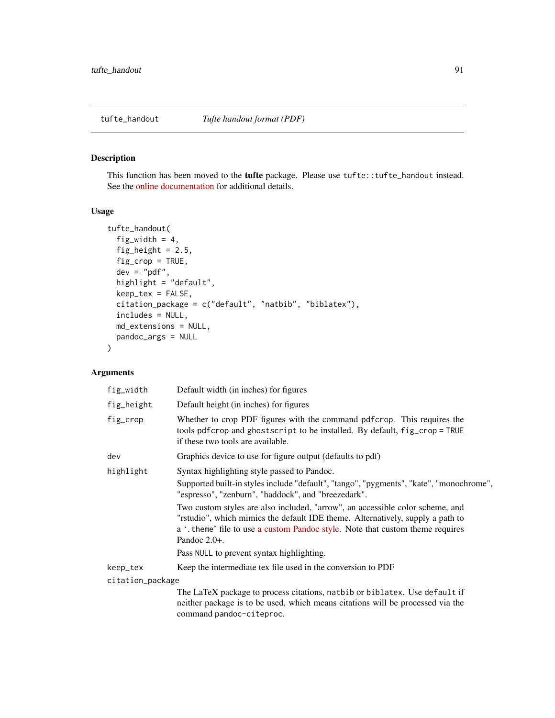# <span id="page-90-0"></span>Description

This function has been moved to the tufte package. Please use tufte::tufte\_handout instead. See the [online documentation](https://bookdown.org/yihui/rmarkdown/tufte-handouts.html) for additional details.

## Usage

```
tufte_handout(
  fig_width = 4,
  fig_height = 2.5,
  fig_crop = TRUE,
  dev = "pdf",highlight = "default",
  keep_tex = FALSE,
  citation_package = c("default", "natbib", "biblatex"),
  includes = NULL,
 md_extensions = NULL,
 pandoc_args = NULL
)
```
# Arguments

| fig_width        | Default width (in inches) for figures                                                                                                                                                                                                                                |
|------------------|----------------------------------------------------------------------------------------------------------------------------------------------------------------------------------------------------------------------------------------------------------------------|
| fig_height       | Default height (in inches) for figures                                                                                                                                                                                                                               |
| fig_crop         | Whether to crop PDF figures with the command pdf crop. This requires the<br>tools pdfcrop and ghostscript to be installed. By default, fig_crop = TRUE<br>if these two tools are available.                                                                          |
| dev              | Graphics device to use for figure output (defaults to pdf)                                                                                                                                                                                                           |
| highlight        | Syntax highlighting style passed to Pandoc.                                                                                                                                                                                                                          |
|                  | Supported built-in styles include "default", "tango", "pygments", "kate", "monochrome",<br>"espresso", "zenburn", "haddock", and "breezedark".                                                                                                                       |
|                  | Two custom styles are also included, "arrow", an accessible color scheme, and<br>"rstudio", which mimics the default IDE theme. Alternatively, supply a path to<br>a '. theme' file to use a custom Pandoc style. Note that custom theme requires<br>Pandoc $2.0+$ . |
|                  | Pass NULL to prevent syntax highlighting.                                                                                                                                                                                                                            |
| keep_tex         | Keep the intermediate tex file used in the conversion to PDF                                                                                                                                                                                                         |
| citation_package |                                                                                                                                                                                                                                                                      |
|                  | The LaTeX package to process citations, natbib or biblatex. Use default if<br>neither package is to be used, which means citations will be processed via the                                                                                                         |

command pandoc-citeproc.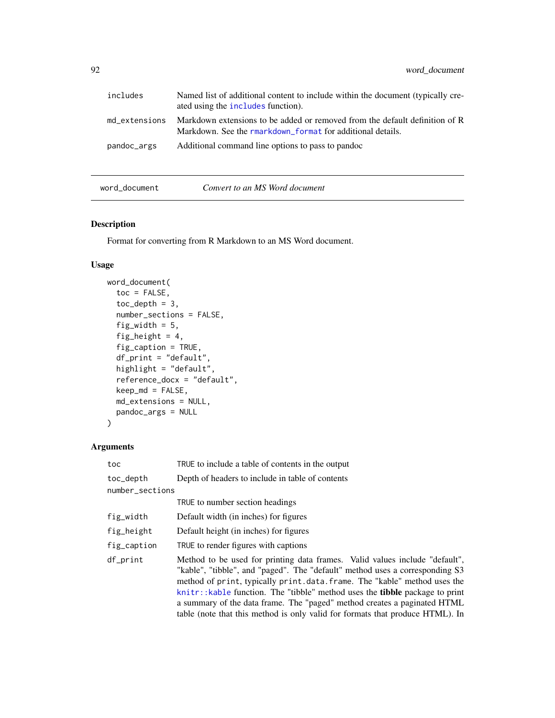<span id="page-91-0"></span>

| includes      | Named list of additional content to include within the document (typically cre-<br>ated using the includes function).                     |
|---------------|-------------------------------------------------------------------------------------------------------------------------------------------|
| md_extensions | Markdown extensions to be added or removed from the default definition of R<br>Markdown. See the rmarkdown format for additional details. |
| pandoc_args   | Additional command line options to pass to pandoc                                                                                         |

# word\_document *Convert to an MS Word document*

# Description

Format for converting from R Markdown to an MS Word document.

# Usage

```
word_document(
  toc = FALSE,toc\_depth = 3,
  number_sections = FALSE,
  fig_width = 5,
  fig_height = 4,
  fig_caption = TRUE,
 df_print = "default",
  highlight = "default",
  reference_docx = "default",
  keep\_md = FALSE,md_extensions = NULL,
 pandoc_args = NULL
)
```
# Arguments

| toc             | TRUE to include a table of contents in the output                                                                                                                                                                                                                                                                                                                                                                                                                                              |
|-----------------|------------------------------------------------------------------------------------------------------------------------------------------------------------------------------------------------------------------------------------------------------------------------------------------------------------------------------------------------------------------------------------------------------------------------------------------------------------------------------------------------|
| toc_depth       | Depth of headers to include in table of contents                                                                                                                                                                                                                                                                                                                                                                                                                                               |
| number_sections |                                                                                                                                                                                                                                                                                                                                                                                                                                                                                                |
|                 | TRUE to number section headings                                                                                                                                                                                                                                                                                                                                                                                                                                                                |
| fig_width       | Default width (in inches) for figures                                                                                                                                                                                                                                                                                                                                                                                                                                                          |
| fig_height      | Default height (in inches) for figures                                                                                                                                                                                                                                                                                                                                                                                                                                                         |
| fig_caption     | TRUE to render figures with captions                                                                                                                                                                                                                                                                                                                                                                                                                                                           |
| df_print        | Method to be used for printing data frames. Valid values include "default",<br>"kable", "tibble", and "paged". The "default" method uses a corresponding S3<br>method of print, typically print.data.frame. The "kable" method uses the<br>$k$ nitr:: kable function. The "tibble" method uses the <b>tibble</b> package to print<br>a summary of the data frame. The "paged" method creates a paginated HTML<br>table (note that this method is only valid for formats that produce HTML). In |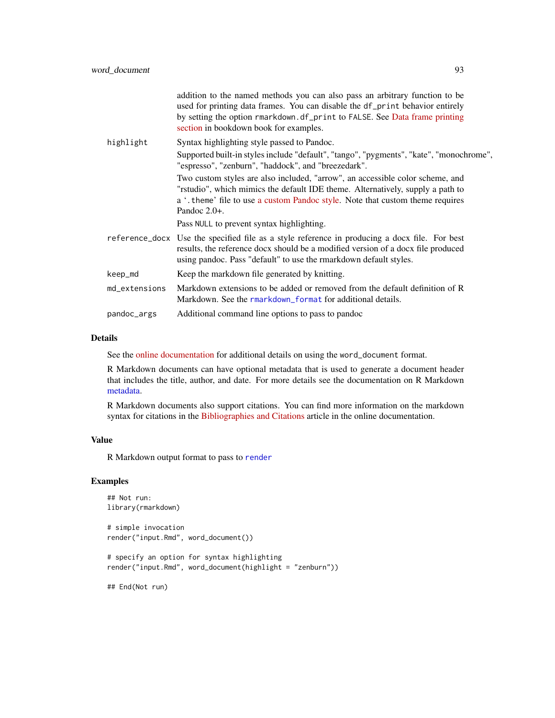<span id="page-92-0"></span>

|               | addition to the named methods you can also pass an arbitrary function to be<br>used for printing data frames. You can disable the df_print behavior entirely<br>by setting the option rmarkdown.df_print to FALSE. See Data frame printing<br>section in bookdown book for examples. |
|---------------|--------------------------------------------------------------------------------------------------------------------------------------------------------------------------------------------------------------------------------------------------------------------------------------|
| highlight     | Syntax highlighting style passed to Pandoc.                                                                                                                                                                                                                                          |
|               | Supported built-in styles include "default", "tango", "pygments", "kate", "monochrome",<br>"espresso", "zenburn", "haddock", and "breezedark".                                                                                                                                       |
|               | Two custom styles are also included, "arrow", an accessible color scheme, and<br>"rstudio", which mimics the default IDE theme. Alternatively, supply a path to<br>a '. theme' file to use a custom Pandoc style. Note that custom theme requires<br>Pandoc $2.0+$ .                 |
|               | Pass NULL to prevent syntax highlighting.                                                                                                                                                                                                                                            |
|               | reference_docx Use the specified file as a style reference in producing a docx file. For best<br>results, the reference docx should be a modified version of a docx file produced<br>using pandoc. Pass "default" to use the rmarkdown default styles.                               |
| keep_md       | Keep the markdown file generated by knitting.                                                                                                                                                                                                                                        |
| md_extensions | Markdown extensions to be added or removed from the default definition of R<br>Markdown. See the rmarkdown_format for additional details.                                                                                                                                            |
| pandoc_args   | Additional command line options to pass to pandoc                                                                                                                                                                                                                                    |
|               |                                                                                                                                                                                                                                                                                      |

#### Details

See the [online documentation](https://bookdown.org/yihui/rmarkdown/word-document.html) for additional details on using the word\_document format.

R Markdown documents can have optional metadata that is used to generate a document header that includes the title, author, and date. For more details see the documentation on R Markdown [metadata.](#page-81-0)

R Markdown documents also support citations. You can find more information on the markdown syntax for citations in the [Bibliographies and Citations](https://pandoc.org/MANUAL.html#citations) article in the online documentation.

# Value

R Markdown output format to pass to [render](#page-71-0)

#### Examples

```
## Not run:
library(rmarkdown)
# simple invocation
render("input.Rmd", word_document())
# specify an option for syntax highlighting
render("input.Rmd", word_document(highlight = "zenburn"))
## End(Not run)
```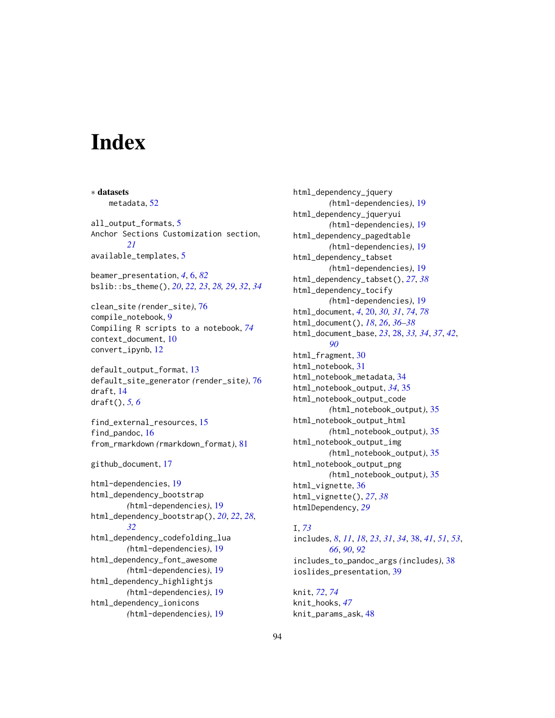# **Index**

∗ datasets metadata, [52](#page-51-0) all\_output\_formats, [5](#page-4-0) Anchor Sections Customization section, *[21](#page-20-0)* available\_templates, [5](#page-4-0) beamer\_presentation, *[4](#page-3-0)*, [6,](#page-5-1) *[82](#page-81-1)* bslib::bs\_theme(), *[20](#page-19-1)*, *[22,](#page-21-0) [23](#page-22-0)*, *[28,](#page-27-1) [29](#page-28-0)*, *[32](#page-31-0)*, *[34](#page-33-0)* clean\_site *(*render\_site*)*, [76](#page-75-0) compile\_notebook, [9](#page-8-1) Compiling R scripts to a notebook, *[74](#page-73-0)* context\_document, [10](#page-9-0) convert\_ipynb, [12](#page-11-0) default\_output\_format, [13](#page-12-0) default\_site\_generator *(*render\_site*)*, [76](#page-75-0) draft, [14](#page-13-0) draft(), *[5,](#page-4-0) [6](#page-5-1)* find\_external\_resources, [15](#page-14-0) find\_pandoc, [16](#page-15-0) from\_rmarkdown *(*rmarkdown\_format*)*, [81](#page-80-1) github\_document, [17](#page-16-0) html-dependencies, [19](#page-18-0) html\_dependency\_bootstrap *(*html-dependencies*)*, [19](#page-18-0) html\_dependency\_bootstrap(), *[20](#page-19-1)*, *[22](#page-21-0)*, *[28](#page-27-1)*, *[32](#page-31-0)* html\_dependency\_codefolding\_lua *(*html-dependencies*)*, [19](#page-18-0) html\_dependency\_font\_awesome *(*html-dependencies*)*, [19](#page-18-0) html\_dependency\_highlightjs *(*html-dependencies*)*, [19](#page-18-0) html\_dependency\_ionicons *(*html-dependencies*)*, [19](#page-18-0)

html\_dependency\_jquery *(*html-dependencies*)*, [19](#page-18-0) html\_dependency\_jqueryui *(*html-dependencies*)*, [19](#page-18-0) html\_dependency\_pagedtable *(*html-dependencies*)*, [19](#page-18-0) html\_dependency\_tabset *(*html-dependencies*)*, [19](#page-18-0) html\_dependency\_tabset(), *[27](#page-26-0)*, *[38](#page-37-1)* html\_dependency\_tocify *(*html-dependencies*)*, [19](#page-18-0) html\_document, *[4](#page-3-0)*, [20,](#page-19-1) *[30,](#page-29-0) [31](#page-30-0)*, *[74](#page-73-0)*, *[78](#page-77-0)* html\_document(), *[18](#page-17-0)*, *[26](#page-25-0)*, *[36](#page-35-0)[–38](#page-37-1)* html\_document\_base, *[23](#page-22-0)*, [28,](#page-27-1) *[33,](#page-32-0) [34](#page-33-0)*, *[37](#page-36-0)*, *[42](#page-41-0)*, *[90](#page-89-0)* html\_fragment, [30](#page-29-0) html\_notebook, [31](#page-30-0) html\_notebook\_metadata, [34](#page-33-0) html\_notebook\_output, *[34](#page-33-0)*, [35](#page-34-0) html\_notebook\_output\_code *(*html\_notebook\_output*)*, [35](#page-34-0) html\_notebook\_output\_html *(*html\_notebook\_output*)*, [35](#page-34-0) html\_notebook\_output\_img *(*html\_notebook\_output*)*, [35](#page-34-0) html\_notebook\_output\_png *(*html\_notebook\_output*)*, [35](#page-34-0) html\_vignette, [36](#page-35-0) html\_vignette(), *[27](#page-26-0)*, *[38](#page-37-1)* htmlDependency, *[29](#page-28-0)*

#### I, *[73](#page-72-0)*

includes, *[8](#page-7-0)*, *[11](#page-10-0)*, *[18](#page-17-0)*, *[23](#page-22-0)*, *[31](#page-30-0)*, *[34](#page-33-0)*, [38,](#page-37-1) *[41](#page-40-0)*, *[51](#page-50-0)*, *[53](#page-52-0)*, *[66](#page-65-0)*, *[90](#page-89-0)*, *[92](#page-91-0)* includes\_to\_pandoc\_args *(*includes*)*, [38](#page-37-1) ioslides\_presentation, [39](#page-38-0)

knit, *[72](#page-71-1)*, *[74](#page-73-0)* knit\_hooks, *[47](#page-46-0)* knit\_params\_ask, [48](#page-47-0)